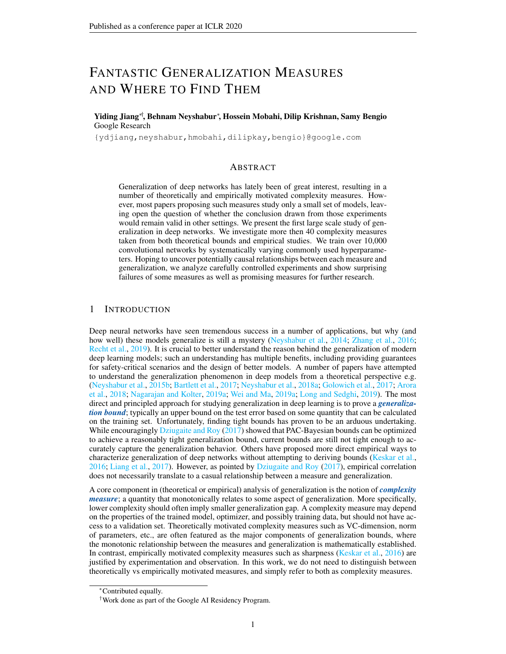# FANTASTIC GENERALIZATION MEASURES AND WHERE TO FIND THEM

Yiding Jiang∗†, Behnam Neyshabur<sup>∗</sup> , Hossein Mobahi, Dilip Krishnan, Samy Bengio Google Research

{ydjiang,neyshabur,hmobahi,dilipkay,bengio}@google.com

# ABSTRACT

Generalization of deep networks has lately been of great interest, resulting in a number of theoretically and empirically motivated complexity measures. However, most papers proposing such measures study only a small set of models, leaving open the question of whether the conclusion drawn from those experiments would remain valid in other settings. We present the first large scale study of generalization in deep networks. We investigate more then 40 complexity measures taken from both theoretical bounds and empirical studies. We train over 10,000 convolutional networks by systematically varying commonly used hyperparameters. Hoping to uncover potentially causal relationships between each measure and generalization, we analyze carefully controlled experiments and show surprising failures of some measures as well as promising measures for further research.

# 1 INTRODUCTION

Deep neural networks have seen tremendous success in a number of applications, but why (and how well) these models generalize is still a mystery [\(Neyshabur et al.,](#page-11-0) [2014;](#page-11-0) [Zhang et al.,](#page-12-0) [2016;](#page-12-0) [Recht et al.,](#page-12-1) [2019\)](#page-12-1). It is crucial to better understand the reason behind the generalization of modern deep learning models; such an understanding has multiple benefits, including providing guarantees for safety-critical scenarios and the design of better models. A number of papers have attempted to understand the generalization phenomenon in deep models from a theoretical perspective e.g. [\(Neyshabur et al.,](#page-11-1) [2015b;](#page-11-1) [Bartlett et al.,](#page-10-0) [2017;](#page-10-0) [Neyshabur et al.,](#page-11-2) [2018a;](#page-11-2) [Golowich et al.,](#page-10-1) [2017;](#page-10-1) [Arora](#page-10-2) [et al.,](#page-10-2) [2018;](#page-10-2) [Nagarajan and Kolter,](#page-11-3) [2019a;](#page-11-3) [Wei and Ma,](#page-12-2) [2019a;](#page-12-2) [Long and Sedghi,](#page-11-4) [2019\)](#page-11-4). The most direct and principled approach for studying generalization in deep learning is to prove a *generalization bound*; typically an upper bound on the test error based on some quantity that can be calculated on the training set. Unfortunately, finding tight bounds has proven to be an arduous undertaking. While encouragingly [Dziugaite and Roy](#page-10-3) [\(2017\)](#page-10-3) showed that PAC-Bayesian bounds can be optimized to achieve a reasonably tight generalization bound, current bounds are still not tight enough to accurately capture the generalization behavior. Others have proposed more direct empirical ways to characterize generalization of deep networks without attempting to deriving bounds [\(Keskar et al.,](#page-10-4) [2016;](#page-10-4) [Liang et al.,](#page-11-5) [2017\)](#page-11-5). However, as pointed by [Dziugaite and Roy](#page-10-3) [\(2017\)](#page-10-3), empirical correlation does not necessarily translate to a casual relationship between a measure and generalization.

A core component in (theoretical or empirical) analysis of generalization is the notion of *complexity measure*; a quantity that monotonically relates to some aspect of generalization. More specifically, lower complexity should often imply smaller generalization gap. A complexity measure may depend on the properties of the trained model, optimizer, and possibly training data, but should not have access to a validation set. Theoretically motivated complexity measures such as VC-dimension, norm of parameters, etc., are often featured as the major components of generalization bounds, where the monotonic relationship between the measures and generalization is mathematically established. In contrast, empirically motivated complexity measures such as sharpness [\(Keskar et al.,](#page-10-4) [2016\)](#page-10-4) are justified by experimentation and observation. In this work, we do not need to distinguish between theoretically vs empirically motivated measures, and simply refer to both as complexity measures.

<sup>∗</sup>Contributed equally.

<sup>†</sup>Work done as part of the Google AI Residency Program.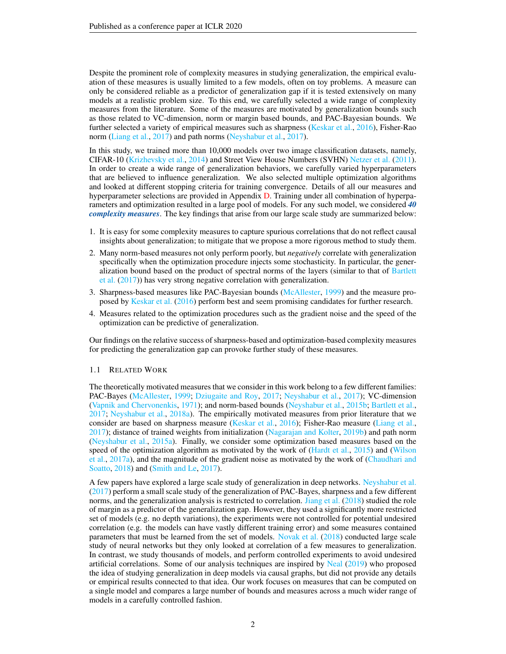Despite the prominent role of complexity measures in studying generalization, the empirical evaluation of these measures is usually limited to a few models, often on toy problems. A measure can only be considered reliable as a predictor of generalization gap if it is tested extensively on many models at a realistic problem size. To this end, we carefully selected a wide range of complexity measures from the literature. Some of the measures are motivated by generalization bounds such as those related to VC-dimension, norm or margin based bounds, and PAC-Bayesian bounds. We further selected a variety of empirical measures such as sharpness [\(Keskar et al.,](#page-10-4) [2016\)](#page-10-4), Fisher-Rao norm [\(Liang et al.,](#page-11-5) [2017\)](#page-11-5) and path norms [\(Neyshabur et al.,](#page-11-6) [2017\)](#page-11-6).

In this study, we trained more than 10,000 models over two image classification datasets, namely, CIFAR-10 [\(Krizhevsky et al.,](#page-11-7) [2014\)](#page-11-7) and Street View House Numbers (SVHN) [Netzer et al.](#page-11-8) [\(2011\)](#page-11-8). In order to create a wide range of generalization behaviors, we carefully varied hyperparameters that are believed to influence generalization. We also selected multiple optimization algorithms and looked at different stopping criteria for training convergence. Details of all our measures and hyperparameter selections are provided in Appendix [D.](#page-24-0) Training under all combination of hyperparameters and optimization resulted in a large pool of models. For any such model, we considered *40 complexity measures*. The key findings that arise from our large scale study are summarized below:

- 1. It is easy for some complexity measures to capture spurious correlations that do not reflect causal insights about generalization; to mitigate that we propose a more rigorous method to study them.
- 2. Many norm-based measures not only perform poorly, but *negatively* correlate with generalization specifically when the optimization procedure injects some stochasticity. In particular, the generalization bound based on the product of spectral norms of the layers (similar to that of [Bartlett](#page-10-0) [et al.](#page-10-0) [\(2017\)](#page-10-0)) has very strong negative correlation with generalization.
- 3. Sharpness-based measures like PAC-Bayesian bounds [\(McAllester,](#page-11-9) [1999\)](#page-11-9) and the measure proposed by [Keskar et al.](#page-10-4) [\(2016\)](#page-10-4) perform best and seem promising candidates for further research.
- 4. Measures related to the optimization procedures such as the gradient noise and the speed of the optimization can be predictive of generalization.

Our findings on the relative success of sharpness-based and optimization-based complexity measures for predicting the generalization gap can provoke further study of these measures.

### 1.1 RELATED WORK

The theoretically motivated measures that we consider in this work belong to a few different families: PAC-Bayes [\(McAllester,](#page-11-9) [1999;](#page-11-9) [Dziugaite and Roy,](#page-10-3) [2017;](#page-10-3) [Neyshabur et al.,](#page-11-6) [2017\)](#page-11-6); VC-dimension [\(Vapnik and Chervonenkis,](#page-12-3) [1971\)](#page-12-3); and norm-based bounds [\(Neyshabur et al.,](#page-11-1) [2015b;](#page-11-1) [Bartlett et al.,](#page-10-0) [2017;](#page-10-0) [Neyshabur et al.,](#page-11-2) [2018a\)](#page-11-2). The empirically motivated measures from prior literature that we consider are based on sharpness measure [\(Keskar et al.,](#page-10-4) [2016\)](#page-10-4); Fisher-Rao measure [\(Liang et al.,](#page-11-5) [2017\)](#page-11-5); distance of trained weights from initialization [\(Nagarajan and Kolter,](#page-11-10) [2019b\)](#page-11-10) and path norm [\(Neyshabur et al.,](#page-11-11) [2015a\)](#page-11-11). Finally, we consider some optimization based measures based on the speed of the optimization algorithm as motivated by the work of [\(Hardt et al.,](#page-10-5) [2015\)](#page-10-5) and [\(Wilson](#page-12-4) [et al.,](#page-12-4) [2017a\)](#page-12-4), and the magnitude of the gradient noise as motivated by the work of [\(Chaudhari and](#page-10-6) [Soatto,](#page-10-6) [2018\)](#page-10-6) and [\(Smith and Le,](#page-12-5) [2017\)](#page-12-5).

A few papers have explored a large scale study of generalization in deep networks. [Neyshabur et al.](#page-11-6) [\(2017\)](#page-11-6) perform a small scale study of the generalization of PAC-Bayes, sharpness and a few different norms, and the generalization analysis is restricted to correlation. [Jiang et al.](#page-10-7) [\(2018\)](#page-10-7) studied the role of margin as a predictor of the generalization gap. However, they used a significantly more restricted set of models (e.g. no depth variations), the experiments were not controlled for potential undesired correlation (e.g. the models can have vastly different training error) and some measures contained parameters that must be learned from the set of models. [Novak et al.](#page-11-12) [\(2018\)](#page-11-12) conducted large scale study of neural networks but they only looked at correlation of a few measures to generalization. In contrast, we study thousands of models, and perform controlled experiments to avoid undesired artificial correlations. Some of our analysis techniques are inspired by [Neal](#page-11-13) [\(2019\)](#page-11-13) who proposed the idea of studying generalization in deep models via causal graphs, but did not provide any details or empirical results connected to that idea. Our work focuses on measures that can be computed on a single model and compares a large number of bounds and measures across a much wider range of models in a carefully controlled fashion.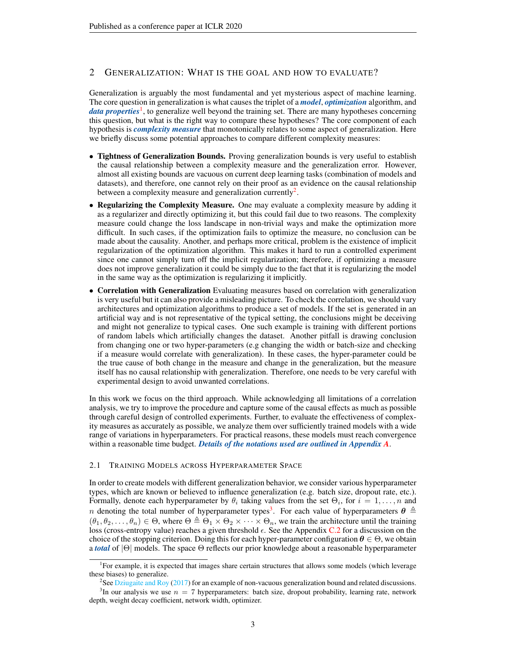# 2 GENERALIZATION: WHAT IS THE GOAL AND HOW TO EVALUATE?

Generalization is arguably the most fundamental and yet mysterious aspect of machine learning. The core question in generalization is what causes the triplet of a *model*, *optimization* algorithm, and data properties<sup>[1](#page-2-0)</sup>, to generalize well beyond the training set. There are many hypotheses concerning this question, but what is the right way to compare these hypotheses? The core component of each hypothesis is *complexity measure* that monotonically relates to some aspect of generalization. Here we briefly discuss some potential approaches to compare different complexity measures:

- Tightness of Generalization Bounds. Proving generalization bounds is very useful to establish the causal relationship between a complexity measure and the generalization error. However, almost all existing bounds are vacuous on current deep learning tasks (combination of models and datasets), and therefore, one cannot rely on their proof as an evidence on the causal relationship between a complexity measure and generalization currently<sup>[2](#page-2-1)</sup>.
- Regularizing the Complexity Measure. One may evaluate a complexity measure by adding it as a regularizer and directly optimizing it, but this could fail due to two reasons. The complexity measure could change the loss landscape in non-trivial ways and make the optimization more difficult. In such cases, if the optimization fails to optimize the measure, no conclusion can be made about the causality. Another, and perhaps more critical, problem is the existence of implicit regularization of the optimization algorithm. This makes it hard to run a controlled experiment since one cannot simply turn off the implicit regularization; therefore, if optimizing a measure does not improve generalization it could be simply due to the fact that it is regularizing the model in the same way as the optimization is regularizing it implicitly.
- Correlation with Generalization Evaluating measures based on correlation with generalization is very useful but it can also provide a misleading picture. To check the correlation, we should vary architectures and optimization algorithms to produce a set of models. If the set is generated in an artificial way and is not representative of the typical setting, the conclusions might be deceiving and might not generalize to typical cases. One such example is training with different portions of random labels which artificially changes the dataset. Another pitfall is drawing conclusion from changing one or two hyper-parameters (e.g changing the width or batch-size and checking if a measure would correlate with generalization). In these cases, the hyper-parameter could be the true cause of both change in the measure and change in the generalization, but the measure itself has no causal relationship with generalization. Therefore, one needs to be very careful with experimental design to avoid unwanted correlations.

In this work we focus on the third approach. While acknowledging all limitations of a correlation analysis, we try to improve the procedure and capture some of the causal effects as much as possible through careful design of controlled experiments. Further, to evaluate the effectiveness of complexity measures as accurately as possible, we analyze them over sufficiently trained models with a wide range of variations in hyperparameters. For practical reasons, these models must reach convergence within a reasonable time budget. *Details of the notations used are outlined in Appendix [A](#page-13-0)*.

### 2.1 TRAINING MODELS ACROSS HYPERPARAMETER SPACE

In order to create models with different generalization behavior, we consider various hyperparameter types, which are known or believed to influence generalization (e.g. batch size, dropout rate, etc.). Formally, denote each hyperparameter by  $\theta_i$  taking values from the set  $\Theta_i$ , for  $i = 1, \ldots, n$  and *n* denoting the total number of hyperparameter types<sup>[3](#page-2-2)</sup>. For each value of hyperparameters  $\theta \triangleq$  $(\theta_1, \theta_2, \dots, \theta_n) \in \Theta$ , where  $\Theta \triangleq \Theta_1 \times \Theta_2 \times \dots \times \Theta_n$ , we train the architecture until the training loss (cross-entropy value) reaches a given threshold  $\epsilon$ . See the Appendix [C.2](#page-17-0) for a discussion on the choice of the stopping criterion. Doing this for each hyper-parameter configuration  $\theta \in \Theta$ , we obtain a *total* of |Θ| models. The space Θ reflects our prior knowledge about a reasonable hyperparameter

<span id="page-2-0"></span><sup>&</sup>lt;sup>1</sup>For example, it is expected that images share certain structures that allows some models (which leverage these biases) to generalize.

<span id="page-2-2"></span><span id="page-2-1"></span><sup>&</sup>lt;sup>2</sup>See [Dziugaite and Roy](#page-10-3) [\(2017\)](#page-10-3) for an example of non-vacuous generalization bound and related discussions. <sup>3</sup>In our analysis we use  $n = 7$  hyperparameters: batch size, dropout probability, learning rate, network depth, weight decay coefficient, network width, optimizer.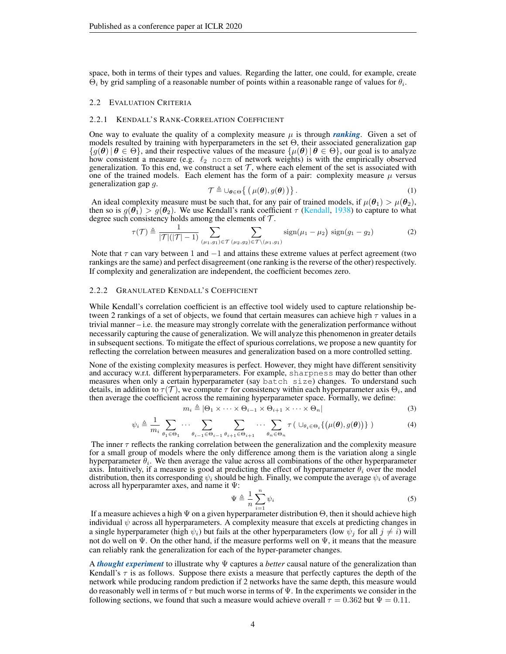space, both in terms of their types and values. Regarding the latter, one could, for example, create  $\Theta_i$  by grid sampling of a reasonable number of points within a reasonable range of values for  $\theta_i$ .

### 2.2 EVALUATION CRITERIA

### 2.2.1 KENDALL'S RANK-CORRELATION COEFFICIENT

One way to evaluate the quality of a complexity measure  $\mu$  is through *ranking*. Given a set of models resulted by training with hyperparameters in the set  $\Theta$ , their associated generalization gap  $\{g(\theta) | \theta \in \Theta\}$ , and their respective values of the measure  $\{\mu(\theta) | \theta \in \Theta\}$ , our goal is to analyze how consistent a measure (e.g.  $\ell_2$  norm of network weights) is with the empirically observed generalization. To this end, we construct a set  $\mathcal{T}$ , where each element of the set is associated with one of the trained models. Each element has the form of a pair: complexity measure  $\mu$  versus generalization gap g.

$$
\mathcal{T} \triangleq \cup_{\boldsymbol{\theta} \in \Theta} \left\{ \left( \mu(\boldsymbol{\theta}), g(\boldsymbol{\theta}) \right) \right\}.
$$
 (1)

An ideal complexity measure must be such that, for any pair of trained models, if  $\mu(\theta_1) > \mu(\theta_2)$ , then so is  $g(\theta_1) > g(\theta_2)$ . We use Kendall's rank coefficient  $\tau$  [\(Kendall,](#page-10-8) [1938\)](#page-10-8) to capture to what degree such consistency holds among the elements of  $\mathcal{T}$ .

$$
\tau(\mathcal{T}) \triangleq \frac{1}{|\mathcal{T}|(|\mathcal{T}| - 1)} \sum_{(\mu_1, g_1) \in \mathcal{T}} \sum_{(\mu_2, g_2) \in \mathcal{T} \setminus (\mu_1, g_1)} sign(\mu_1 - \mu_2) sign(g_1 - g_2)
$$
 (2)

Note that  $\tau$  can vary between 1 and  $-1$  and attains these extreme values at perfect agreement (two rankings are the same) and perfect disagreement (one ranking is the reverse of the other) respectively. If complexity and generalization are independent, the coefficient becomes zero.

### 2.2.2 GRANULATED KENDALL'S COEFFICIENT

While Kendall's correlation coefficient is an effective tool widely used to capture relationship between 2 rankings of a set of objects, we found that certain measures can achieve high  $\tau$  values in a trivial manner – i.e. the measure may strongly correlate with the generalization performance without necessarily capturing the cause of generalization. We will analyze this phenomenon in greater details in subsequent sections. To mitigate the effect of spurious correlations, we propose a new quantity for reflecting the correlation between measures and generalization based on a more controlled setting.

None of the existing complexity measures is perfect. However, they might have different sensitivity and accuracy w.r.t. different hyperparameters. For example, sharpness may do better than other measures when only a certain hyperparameter (say  $\bar{b}$  and  $\bar{c}$  changes. To understand such details, in addition to  $\tau(\mathcal{T})$ , we compute  $\tau$  for consistency within each hyperparameter axis  $\Theta_i$ , and then average the coefficient across the remaining hyperparameter space. Formally, we define:

$$
m_i \triangleq |\Theta_1 \times \cdots \times \Theta_{i-1} \times \Theta_{i+1} \times \cdots \times \Theta_n|
$$
\n(3)

$$
\psi_i \triangleq \frac{1}{m_i} \sum_{\theta_1 \in \Theta_1} \cdots \sum_{\theta_{i-1} \in \Theta_{i-1}} \sum_{\theta_{i+1} \in \Theta_{i+1}} \cdots \sum_{\theta_n \in \Theta_n} \tau \left( \cup_{\theta_i \in \Theta_i} \{ (\mu(\theta), g(\theta)) \} \right) \tag{4}
$$

The inner  $\tau$  reflects the ranking correlation between the generalization and the complexity measure for a small group of models where the only difference among them is the variation along a single hyperparameter  $\theta_i$ . We then average the value across all combinations of the other hyperparameter axis. Intuitively, if a measure is good at predicting the effect of hyperparameter  $\theta_i$  over the model distribution, then its corresponding  $\psi_i$  should be high. Finally, we compute the average  $\psi_i$  of average across all hyperparamter axes, and name it Ψ:

$$
\Psi \triangleq \frac{1}{n} \sum_{i=1}^{n} \psi_i
$$
\n(5)

If a measure achieves a high  $\Psi$  on a given hyperparameter distribution  $\Theta$ , then it should achieve high individual  $\psi$  across all hyperparameters. A complexity measure that excels at predicting changes in a single hyperparameter (high  $\psi_i$ ) but fails at the other hyperparameters (low  $\psi_i$  for all  $j \neq i$ ) will not do well on  $\Psi$ . On the other hand, if the measure performs well on  $\Psi$ , it means that the measure can reliably rank the generalization for each of the hyper-parameter changes.

A *thought experiment* to illustrate why Ψ captures a *better* causal nature of the generalization than Kendall's  $\tau$  is as follows. Suppose there exists a measure that perfectly captures the depth of the network while producing random prediction if 2 networks have the same depth, this measure would do reasonably well in terms of  $\tau$  but much worse in terms of  $\Psi$ . In the experiments we consider in the following sections, we found that such a measure would achieve overall  $\tau = 0.362$  but  $\Psi = 0.11$ .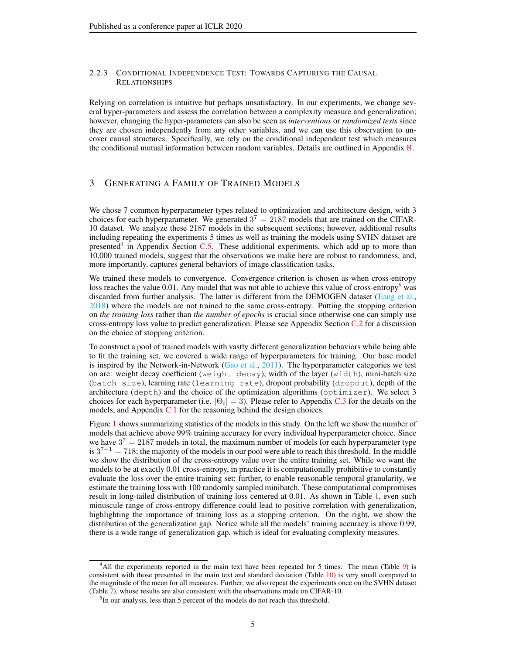# 2.2.3 CONDITIONAL INDEPENDENCE TEST: TOWARDS CAPTURING THE CAUSAL RELATIONSHIPS

Relying on correlation is intuitive but perhaps unsatisfactory. In our experiments, we change several hyper-parameters and assess the correlation between a complexity measure and generalization; however, changing the hyper-parameters can also be seen as *interventions* or *randomized tests* since they are chosen independently from any other variables, and we can use this observation to uncover causal structures. Specifically, we rely on the conditional independent test which measures the conditional mutual information between random variables. Details are outlined in Appendix [B.](#page-15-0)

# 3 GENERATING A FAMILY OF TRAINED MODELS

We chose 7 common hyperparameter types related to optimization and architecture design, with 3 choices for each hyperparameter. We generated  $3^7 = 2187$  models that are trained on the CIFAR-10 dataset. We analyze these 2187 models in the subsequent sections; however, additional results including repeating the experiments 5 times as well as training the models using SVHN dataset are presented<sup>[4](#page-4-0)</sup> in Appendix Section [C.5.](#page-18-0) These additional experiments, which add up to more than 10,000 trained models, suggest that the observations we make here are robust to randomness, and, more importantly, captures general behaviors of image classification tasks.

We trained these models to convergence. Convergence criterion is chosen as when cross-entropy loss reaches the value 0.01. Any model that was not able to achieve this value of cross-entropy<sup>[5](#page-4-1)</sup> was discarded from further analysis. The latter is different from the DEMOGEN dataset [\(Jiang et al.,](#page-10-7) [2018\)](#page-10-7) where the models are not trained to the same cross-entropy. Putting the stopping criterion on *the training loss* rather than *the number of epochs* is crucial since otherwise one can simply use cross-entropy loss value to predict generalization. Please see Appendix Section [C.2](#page-17-0) for a discussion on the choice of stopping criterion.

To construct a pool of trained models with vastly different generalization behaviors while being able to fit the training set, we covered a wide range of hyperparameters for training. Our base model is inspired by the Network-in-Network [\(Gao et al.,](#page-10-9) [2011\)](#page-10-9). The hyperparameter categories we test on are: weight decay coefficient (weight decay), width of the layer (width), mini-batch size (batch size), learning rate (learning rate), dropout probability (dropout), depth of the architecture (depth) and the choice of the optimization algorithms (optimizer). We select 3 choices for each hyperparameter (i.e.  $|\Theta_i| = 3$ ). Please refer to Appendix [C.3](#page-17-1) for the details on the models, and Appendix [C.1](#page-16-0) for the reasoning behind the design choices.

Figure [1](#page-5-0) shows summarizing statistics of the models in this study. On the left we show the number of models that achieve above 99% training accuracy for every individual hyperparameter choice. Since we have  $3^7 = 2187$  models in total, the maximum number of models for each hyperparameter type is  $3^{7-1} = 718$ ; the majority of the models in our pool were able to reach this threshold. In the middle we show the distribution of the cross-entropy value over the entire training set. While we want the models to be at exactly 0.01 cross-entropy, in practice it is computationally prohibitive to constantly evaluate the loss over the entire training set; further, to enable reasonable temporal granularity, we estimate the training loss with 100 randomly sampled minibatch. These computational compromises result in long-tailed distribution of training loss centered at 0.01. As shown in Table [1,](#page-5-1) even such minuscule range of cross-entropy difference could lead to positive correlation with generalization, highlighting the importance of training loss as a stopping criterion. On the right, we show the distribution of the generalization gap. Notice while all the models' training accuracy is above 0.99, there is a wide range of generalization gap, which is ideal for evaluating complexity measures.

<span id="page-4-0"></span><sup>&</sup>lt;sup>4</sup>All the experiments reported in the main text have been repeated for 5 times. The mean (Table [9\)](#page-22-0) is consistent with those presented in the main text and standard deviation (Table [10\)](#page-23-0) is very small compared to the magnitude of the mean for all measures. Further, we also repeat the experiments once on the SVHN dataset (Table [7\)](#page-20-0), whose results are also consistent with the observations made on CIFAR-10.

<span id="page-4-1"></span><sup>&</sup>lt;sup>5</sup>In our analysis, less than 5 percent of the models do not reach this threshold.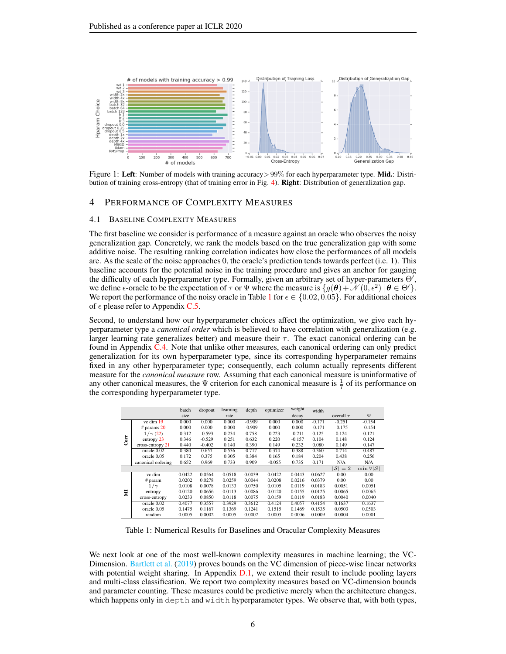<span id="page-5-0"></span>

Figure 1: Left: Number of models with training accuracy > 99% for each hyperparameter type. Mid.: Distribution of training cross-entropy (that of training error in Fig. [4\)](#page-19-0). Right: Distribution of generalization gap.

### 4 PERFORMANCE OF COMPLEXITY MEASURES

### 4.1 BASELINE COMPLEXITY MEASURES

The first baseline we consider is performance of a measure against an oracle who observes the noisy generalization gap. Concretely, we rank the models based on the true generalization gap with some additive noise. The resulting ranking correlation indicates how close the performances of all models are. As the scale of the noise approaches 0, the oracle's prediction tends towards perfect (i.e. 1). This baseline accounts for the potential noise in the training procedure and gives an anchor for gauging the difficulty of each hyperparameter type. Formally, given an arbitrary set of hyper-parameters  $\Theta'$ , we define  $\epsilon$ -oracle to be the expectation of  $\tau$  or  $\Psi$  where the measure is  $\{g(\theta) + \mathcal{N}(0, \epsilon^2) | \theta \in \Theta'\}.$ We report the performance of the noisy oracle in Table [1](#page-5-1) for  $\epsilon \in \{0.02, 0.05\}$ . For additional choices of  $\epsilon$  please refer to Appendix [C.5.](#page-18-0)

Second, to understand how our hyperparameter choices affect the optimization, we give each hyperparameter type a *canonical order* which is believed to have correlation with generalization (e.g. larger learning rate generalizes better) and measure their  $\tau$ . The exact canonical ordering can be found in Appendix [C.4.](#page-18-1) Note that unlike other measures, each canonical ordering can only predict generalization for its own hyperparameter type, since its corresponding hyperparameter remains fixed in any other hyperparameter type; consequently, each column actually represents different measure for the *canonical measure* row. Assuming that each canonical measure is uninformative of any other canonical measures, the  $\Psi$  criterion for each canonical measure is  $\frac{1}{7}$  of its performance on the corresponding hyperparameter type.

<span id="page-5-1"></span>

|      |                    | batch  | dropout  | learning | depth    | optimizer | weight   | width    |                   |                              |
|------|--------------------|--------|----------|----------|----------|-----------|----------|----------|-------------------|------------------------------|
|      |                    | size   |          | rate     |          |           | decay    |          | overall $\tau$    | Ψ                            |
|      | vc dim 19          | 0.000  | 0.000    | 0.000    | $-0.909$ | 0.000     | 0.000    | $-0.171$ | $-0.251$          | $-0.154$                     |
|      | # params $20$      | 0.000  | 0.000    | 0.000    | $-0.909$ | 0.000     | 0.000    | $-0.171$ | $-0.175$          | $-0.154$                     |
|      | $1/\gamma(22)$     | 0.312  | $-0.593$ | 0.234    | 0.758    | 0.223     | $-0.211$ | 0.125    | 0.124             | 0.121                        |
| Corr | entropy 23         | 0.346  | $-0.529$ | 0.251    | 0.632    | 0.220     | $-0.157$ | 0.104    | 0.148             | 0.124                        |
|      | cross-entropy 21   | 0.440  | $-0.402$ | 0.140    | 0.390    | 0.149     | 0.232    | 0.080    | 0.149             | 0.147                        |
|      | oracle 0.02        | 0.380  | 0.657    | 0.536    | 0.717    | 0.374     | 0.388    | 0.360    | 0.714             | 0.487                        |
|      | oracle 0.05        | 0.172  | 0.375    | 0.305    | 0.384    | 0.165     | 0.184    | 0.204    | 0.438             | 0.256                        |
|      | canonical ordering | 0.652  | 0.969    | 0.733    | 0.909    | $-0.055$  | 0.735    | 0.171    | N/A               | N/A                          |
|      |                    |        |          |          |          |           |          |          | $ \mathcal{S} =2$ | $\min \forall  \mathcal{S} $ |
|      | vc dim             | 0.0422 | 0.0564   | 0.0518   | 0.0039   | 0.0422    | 0.0443   | 0.0627   | 0.00              | 0.00                         |
|      | # param            | 0.0202 | 0.0278   | 0.0259   | 0.0044   | 0.0208    | 0.0216   | 0.0379   | 0.00              | 0.00                         |
|      | $1/\gamma$         | 0.0108 | 0.0078   | 0.0133   | 0.0750   | 0.0105    | 0.0119   | 0.0183   | 0.0051            | 0.0051                       |
| Σ    | entropy            | 0.0120 | 0.0656   | 0.0113   | 0.0086   | 0.0120    | 0.0155   | 0.0125   | 0.0065            | 0.0065                       |
|      | cross-entropy      | 0.0233 | 0.0850   | 0.0118   | 0.0075   | 0.0159    | 0.0119   | 0.0183   | 0.0040            | 0.0040                       |
|      | oracle 0.02        | 0.4077 | 0.3557   | 0.3929   | 0.3612   | 0.4124    | 0.4057   | 0.4154   | 0.1637            | 0.1637                       |
|      | oracle 0.05        | 0.1475 | 0.1167   | 0.1369   | 0.1241   | 0.1515    | 0.1469   | 0.1535   | 0.0503            | 0.0503                       |
|      | random             | 0.0005 | 0.0002   | 0.0005   | 0.0002   | 0.0003    | 0.0006   | 0.0009   | 0.0004            | 0.0001                       |

Table 1: Numerical Results for Baselines and Oracular Complexity Measures

We next look at one of the most well-known complexity measures in machine learning; the VC-Dimension. [Bartlett et al.](#page-10-10) [\(2019\)](#page-10-10) proves bounds on the VC dimension of piece-wise linear networks with potential weight sharing. In Appendix [D.1,](#page-24-1) we extend their result to include pooling layers and multi-class classification. We report two complexity measures based on VC-dimension bounds and parameter counting. These measures could be predictive merely when the architecture changes, which happens only in depth and width hyperparameter types. We observe that, with both types,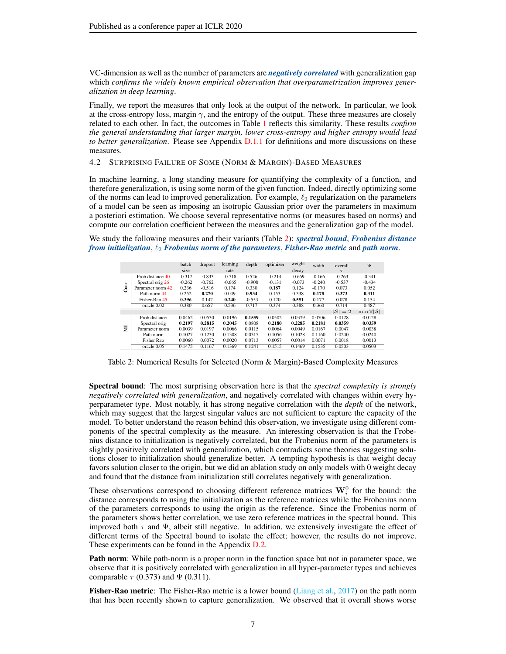VC-dimension as well as the number of parameters are *negatively correlated* with generalization gap which *confirms the widely known empirical observation that overparametrization improves generalization in deep learning*.

Finally, we report the measures that only look at the output of the network. In particular, we look at the cross-entropy loss, margin  $\gamma$ , and the entropy of the output. These three measures are closely related to each other. In fact, the outcomes in Table [1](#page-5-1) reflects this similarity. These results *confirm the general understanding that larger margin, lower cross-entropy and higher entropy would lead to better generalization*. Please see Appendix [D.1.1](#page-25-3) for definitions and more discussions on these measures.

4.2 SURPRISING FAILURE OF SOME (NORM & MARGIN)-BASED MEASURES

In machine learning, a long standing measure for quantifying the complexity of a function, and therefore generalization, is using some norm of the given function. Indeed, directly optimizing some of the norms can lead to improved generalization. For example,  $\ell_2$  regularization on the parameters of a model can be seen as imposing an isotropic Gaussian prior over the parameters in maximum a posteriori estimation. We choose several representative norms (or measures based on norms) and compute our correlation coefficient between the measures and the generalization gap of the model.

<span id="page-6-0"></span>We study the following measures and their variants (Table [2\)](#page-6-0): *spectral bound*, *Frobenius distance from initialization,*  $\ell_2$  *Frobenius norm of the parameters, Fisher-Rao metric* and *path norm.* 

|    |                   | batch    | dropout  | learning | depth    | optimizer | weight   | width    | overall           | Ψ                            |
|----|-------------------|----------|----------|----------|----------|-----------|----------|----------|-------------------|------------------------------|
|    |                   | size     |          | rate     |          |           | decay    |          | $\tau$            |                              |
|    | Frob distance 40  | $-0.317$ | $-0.833$ | $-0.718$ | 0.526    | $-0.214$  | $-0.669$ | $-0.166$ | $-0.263$          | $-0.341$                     |
| ÷. | Spectral orig 26  | $-0.262$ | $-0.762$ | $-0.665$ | $-0.908$ | $-0.131$  | $-0.073$ | $-0.240$ | $-0.537$          | $-0.434$                     |
| ළි | Parameter norm 42 | 0.236    | $-0.516$ | 0.174    | 0.330    | 0.187     | 0.124    | $-0.170$ | 0.073             | 0.052                        |
|    | Path norm 44      | 0.252    | 0.270    | 0.049    | 0.934    | 0.153     | 0.338    | 0.178    | 0.373             | 0.311                        |
|    | Fisher-Rao 45     | 0.396    | 0.147    | 0.240    | $-0.553$ | 0.120     | 0.551    | 0.177    | 0.078             | 0.154                        |
|    | oracle 0.02       | 0.380    | 0.657    | 0.536    | 0.717    | 0.374     | 0.388    | 0.360    | 0.714             | 0.487                        |
|    |                   |          |          |          |          |           |          |          | $ \mathcal{S} =2$ | $\min \forall  \mathcal{S} $ |
|    | Frob distance     | 0.0462   | 0.0530   | 0.0196   | 0.1559   | 0.0502    | 0.0379   | 0.0506   | 0.0128            | 0.0128                       |
|    | Spectral orig     | 0.2197   | 0.2815   | 0.2045   | 0.0808   | 0.2180    | 0.2285   | 0.2181   | 0.0359            | 0.0359                       |
| 븇  | Parameter norm    | 0.0039   | 0.0197   | 0.0066   | 0.0115   | 0.0064    | 0.0049   | 0.0167   | 0.0047            | 0.0038                       |
|    | Path norm         | 0.1027   | 0.1230   | 0.1308   | 0.0315   | 0.1056    | 0.1028   | 0.1160   | 0.0240            | 0.0240                       |
|    | Fisher Rao        | 0.0060   | 0.0072   | 0.0020   | 0.0713   | 0.0057    | 0.0014   | 0.0071   | 0.0018            | 0.0013                       |
|    | oracle 0.05       | 0.1475   | 0.1167   | 0.1369   | 0.1241   | 0.1515    | 0.1469   | 0.1535   | 0.0503            | 0.0503                       |

Table 2: Numerical Results for Selected (Norm & Margin)-Based Complexity Measures

Spectral bound: The most surprising observation here is that the *spectral complexity is strongly negatively correlated with generalization*, and negatively correlated with changes within every hyperparameter type. Most notably, it has strong negative correlation with the *depth* of the network, which may suggest that the largest singular values are not sufficient to capture the capacity of the model. To better understand the reason behind this observation, we investigate using different components of the spectral complexity as the measure. An interesting observation is that the Frobenius distance to initialization is negatively correlated, but the Frobenius norm of the parameters is slightly positively correlated with generalization, which contradicts some theories suggesting solutions closer to initialization should generalize better. A tempting hypothesis is that weight decay favors solution closer to the origin, but we did an ablation study on only models with 0 weight decay and found that the distance from initialization still correlates negatively with generalization.

These observations correspond to choosing different reference matrices  $\mathbf{W}_i^0$  for the bound: the distance corresponds to using the initialization as the reference matrices while the Frobenius norm of the parameters corresponds to using the origin as the reference. Since the Frobenius norm of the parameters shows better correlation, we use zero reference matrices in the spectral bound. This improved both  $\tau$  and  $\Psi$ , albeit still negative. In addition, we extensively investigate the effect of different terms of the Spectral bound to isolate the effect; however, the results do not improve. These experiments can be found in the Appendix [D.2.](#page-26-3)

Path norm: While path-norm is a proper norm in the function space but not in parameter space, we observe that it is positively correlated with generalization in all hyper-parameter types and achieves comparable  $\tau$  (0.373) and  $\Psi$  (0.311).

Fisher-Rao metric: The Fisher-Rao metric is a lower bound [\(Liang et al.,](#page-11-5) [2017\)](#page-11-5) on the path norm that has been recently shown to capture generalization. We observed that it overall shows worse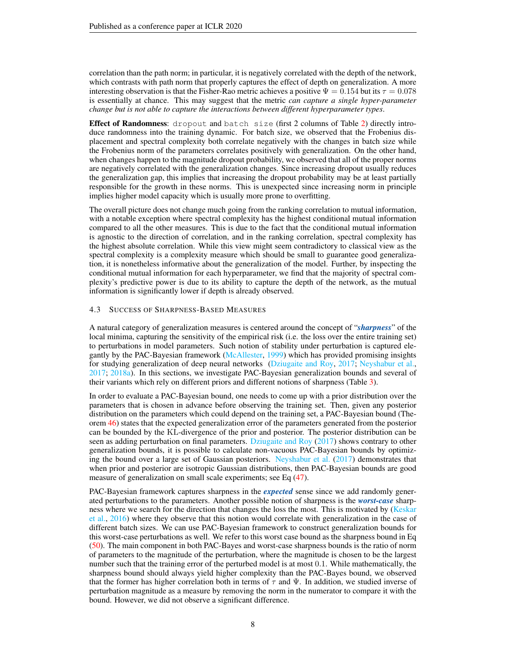correlation than the path norm; in particular, it is negatively correlated with the depth of the network, which contrasts with path norm that properly captures the effect of depth on generalization. A more interesting observation is that the Fisher-Rao metric achieves a positive  $\Psi = 0.154$  but its  $\tau = 0.078$ is essentially at chance. This may suggest that the metric *can capture a single hyper-parameter change but is not able to capture the interactions between different hyperparameter types*.

Effect of Randomness: dropout and batch size (first 2 columns of Table [2\)](#page-6-0) directly introduce randomness into the training dynamic. For batch size, we observed that the Frobenius displacement and spectral complexity both correlate negatively with the changes in batch size while the Frobenius norm of the parameters correlates positively with generalization. On the other hand, when changes happen to the magnitude dropout probability, we observed that all of the proper norms are negatively correlated with the generalization changes. Since increasing dropout usually reduces the generalization gap, this implies that increasing the dropout probability may be at least partially responsible for the growth in these norms. This is unexpected since increasing norm in principle implies higher model capacity which is usually more prone to overfitting.

The overall picture does not change much going from the ranking correlation to mutual information, with a notable exception where spectral complexity has the highest conditional mutual information compared to all the other measures. This is due to the fact that the conditional mutual information is agnostic to the direction of correlation, and in the ranking correlation, spectral complexity has the highest absolute correlation. While this view might seem contradictory to classical view as the spectral complexity is a complexity measure which should be small to guarantee good generalization, it is nonetheless informative about the generalization of the model. Further, by inspecting the conditional mutual information for each hyperparameter, we find that the majority of spectral complexity's predictive power is due to its ability to capture the depth of the network, as the mutual information is significantly lower if depth is already observed.

### 4.3 SUCCESS OF SHARPNESS-BASED MEASURES

A natural category of generalization measures is centered around the concept of "*sharpness*" of the local minima, capturing the sensitivity of the empirical risk (i.e. the loss over the entire training set) to perturbations in model parameters. Such notion of stability under perturbation is captured elegantly by the PAC-Bayesian framework [\(McAllester,](#page-11-9) [1999\)](#page-11-9) which has provided promising insights for studying generalization of deep neural networks [\(Dziugaite and Roy,](#page-10-3) [2017;](#page-10-3) [Neyshabur et al.,](#page-11-6) [2017;](#page-11-6) [2018a\)](#page-11-2). In this sections, we investigate PAC-Bayesian generalization bounds and several of their variants which rely on different priors and different notions of sharpness (Table [3\)](#page-8-0).

In order to evaluate a PAC-Bayesian bound, one needs to come up with a prior distribution over the parameters that is chosen in advance before observing the training set. Then, given any posterior distribution on the parameters which could depend on the training set, a PAC-Bayesian bound (Theorem [46\)](#page-28-4) states that the expected generalization error of the parameters generated from the posterior can be bounded by the KL-divergence of the prior and posterior. The posterior distribution can be seen as adding perturbation on final parameters. [Dziugaite and Roy](#page-10-3) [\(2017\)](#page-10-3) shows contrary to other generalization bounds, it is possible to calculate non-vacuous PAC-Bayesian bounds by optimizing the bound over a large set of Gaussian posteriors. [Neyshabur et al.](#page-11-6) [\(2017\)](#page-11-6) demonstrates that when prior and posterior are isotropic Gaussian distributions, then PAC-Bayesian bounds are good measure of generalization on small scale experiments; see Eq [\(47\)](#page-29-0).

PAC-Bayesian framework captures sharpness in the *expected* sense since we add randomly generated perturbations to the parameters. Another possible notion of sharpness is the *worst-case* sharp-ness where we search for the direction that changes the loss the most. This is motivated by [\(Keskar](#page-10-4) [et al.,](#page-10-4) [2016\)](#page-10-4) where they observe that this notion would correlate with generalization in the case of different batch sizes. We can use PAC-Bayesian framework to construct generalization bounds for this worst-case perturbations as well. We refer to this worst case bound as the sharpness bound in Eq [\(50\)](#page-29-1). The main component in both PAC-Bayes and worst-case sharpness bounds is the ratio of norm of parameters to the magnitude of the perturbation, where the magnitude is chosen to be the largest number such that the training error of the perturbed model is at most 0.1. While mathematically, the sharpness bound should always yield higher complexity than the PAC-Bayes bound, we observed that the former has higher correlation both in terms of  $\tau$  and  $\Psi$ . In addition, we studied inverse of perturbation magnitude as a measure by removing the norm in the numerator to compare it with the bound. However, we did not observe a significant difference.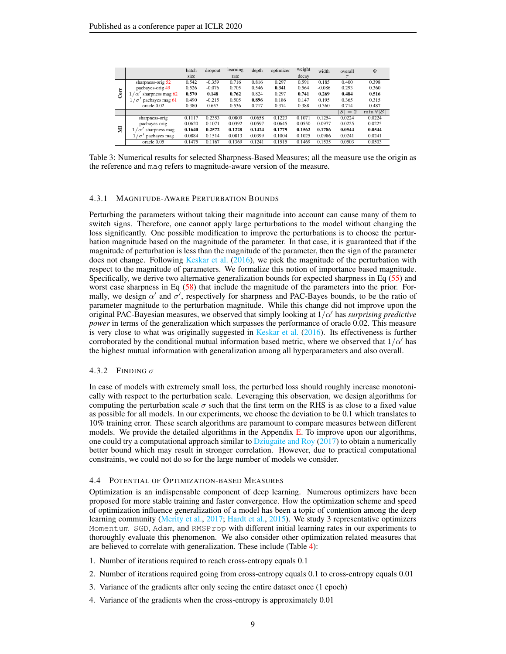<span id="page-8-0"></span>

|   |                                     | batch<br>size | dropout  | learning<br>rate | depth  | optimizer | weight<br>decay | width    | overall<br>$\tau$ | Ψ                            |
|---|-------------------------------------|---------------|----------|------------------|--------|-----------|-----------------|----------|-------------------|------------------------------|
|   | sharpness-orig 52                   | 0.542         | $-0.359$ | 0.716            | 0.816  | 0.297     | 0.591           | 0.185    | 0.400             | 0.398                        |
|   | pacbayes-orig 49                    | 0.526         | $-0.076$ | 0.705            | 0.546  | 0.341     | 0.564           | $-0.086$ | 0.293             | 0.360                        |
| Ğ | sharpness mag 62<br>1.<br>$\alpha'$ | 0.570         | 0.148    | 0.762            | 0.824  | 0.297     | 0.741           | 0.269    | 0.484             | 0.516                        |
|   | pachayes mag 61<br>$\sigma$         | 0.490         | $-0.215$ | 0.505            | 0.896  | 0.186     | 0.147           | 0.195    | 0.365             | 0.315                        |
|   | oracle 0.02                         | 0.380         | 0.657    | 0.536            | 0.717  | 0.374     | 0.388           | 0.360    | 0.714             | 0.487                        |
|   |                                     |               |          |                  |        |           |                 |          | $ \mathcal{S} =2$ | $\min \forall  \mathcal{S} $ |
|   | sharpness-orig                      | 0.1117        | 0.2353   | 0.0809           | 0.0658 | 0.1223    | 0.1071          | 0.1254   | 0.0224            | 0.0224                       |
|   | pacbayes-orig                       | 0.0620        | 0.1071   | 0.0392           | 0.0597 | 0.0645    | 0.0550          | 0.0977   | 0.0225            | 0.0225                       |
| 튳 | sharpness mag<br>$\alpha$           | 0.1640        | 0.2572   | 0.1228           | 0.1424 | 0.1779    | 0.1562          | 0.1786   | 0.0544            | 0.0544                       |
|   | pacbayes mag<br>$\sigma$            | 0.0884        | 0.1514   | 0.0813           | 0.0399 | 0.1004    | 0.1025          | 0.0986   | 0.0241            | 0.0241                       |
|   | oracle 0.05                         | 0.1475        | 0.1167   | 0.1369           | 0.1241 | 0.1515    | 0.1469          | 0.1535   | 0.0503            | 0.0503                       |

Table 3: Numerical results for selected Sharpness-Based Measures; all the measure use the origin as the reference and mag refers to magnitude-aware version of the measure.

### 4.3.1 MAGNITUDE-AWARE PERTURBATION BOUNDS

Perturbing the parameters without taking their magnitude into account can cause many of them to switch signs. Therefore, one cannot apply large perturbations to the model without changing the loss significantly. One possible modification to improve the perturbations is to choose the perturbation magnitude based on the magnitude of the parameter. In that case, it is guaranteed that if the magnitude of perturbation is less than the magnitude of the parameter, then the sign of the parameter does not change. Following [Keskar et al.](#page-10-4) [\(2016\)](#page-10-4), we pick the magnitude of the perturbation with respect to the magnitude of parameters. We formalize this notion of importance based magnitude. Specifically, we derive two alternative generalization bounds for expected sharpness in Eq [\(55\)](#page-30-2) and worst case sharpness in Eq [\(58\)](#page-30-3) that include the magnitude of the parameters into the prior. Formally, we design  $\alpha'$  and  $\sigma'$ , respectively for sharpness and PAC-Bayes bounds, to be the ratio of parameter magnitude to the perturbation magnitude. While this change did not improve upon the original PAC-Bayesian measures, we observed that simply looking at  $1/\alpha'$  has *surprising predictive power* in terms of the generalization which surpasses the performance of oracle 0.02. This measure is very close to what was originally suggested in [Keskar et al.](#page-10-4) [\(2016\)](#page-10-4). Its effectiveness is further corroborated by the conditional mutual information based metric, where we observed that  $1/\alpha'$  has the highest mutual information with generalization among all hyperparameters and also overall.

### 4.3.2 FINDING  $\sigma$

In case of models with extremely small loss, the perturbed loss should roughly increase monotonically with respect to the perturbation scale. Leveraging this observation, we design algorithms for computing the perturbation scale  $\sigma$  such that the first term on the RHS is as close to a fixed value as possible for all models. In our experiments, we choose the deviation to be 0.1 which translates to 10% training error. These search algorithms are paramount to compare measures between different models. We provide the detailed algorithms in the Appendix  $E$ . To improve upon our algorithms, one could try a computational approach similar to [Dziugaite and Roy](#page-10-3) [\(2017\)](#page-10-3) to obtain a numerically better bound which may result in stronger correlation. However, due to practical computational constraints, we could not do so for the large number of models we consider.

### 4.4 POTENTIAL OF OPTIMIZATION-BASED MEASURES

Optimization is an indispensable component of deep learning. Numerous optimizers have been proposed for more stable training and faster convergence. How the optimization scheme and speed of optimization influence generalization of a model has been a topic of contention among the deep learning community [\(Merity et al.,](#page-11-14) [2017;](#page-11-14) [Hardt et al.,](#page-10-5) [2015\)](#page-10-5). We study 3 representative optimizers Momentum SGD, Adam, and RMSProp with different initial learning rates in our experiments to thoroughly evaluate this phenomenon. We also consider other optimization related measures that are believed to correlate with generalization. These include (Table [4\)](#page-9-0):

- 1. Number of iterations required to reach cross-entropy equals 0.1
- 2. Number of iterations required going from cross-entropy equals 0.1 to cross-entropy equals 0.01
- 3. Variance of the gradients after only seeing the entire dataset once (1 epoch)
- 4. Variance of the gradients when the cross-entropy is approximately 0.01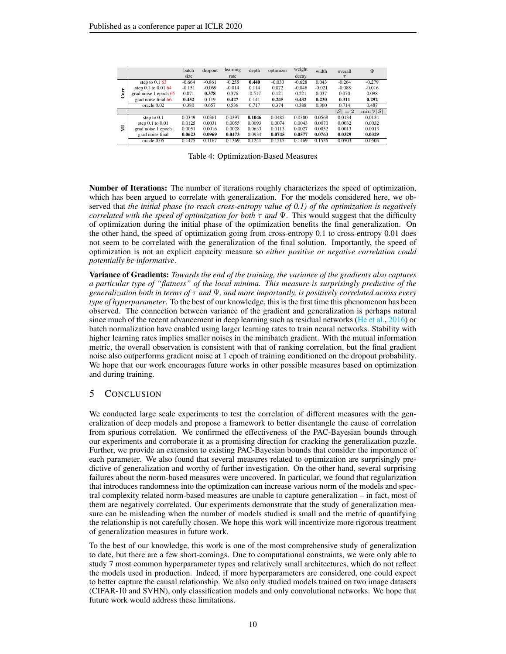<span id="page-9-0"></span>

|            |                         | batch    | dropout  | learning | depth    | optimizer | weight   | width    | overall  | Ψ                            |
|------------|-------------------------|----------|----------|----------|----------|-----------|----------|----------|----------|------------------------------|
|            |                         | size     |          | rate     |          |           | decay    |          | $\tau$   |                              |
|            | step to $0.1\,63$       | $-0.664$ | $-0.861$ | $-0.255$ | 0.440    | $-0.030$  | $-0.628$ | 0.043    | $-0.264$ | $-0.279$                     |
|            | step $0.1$ to $0.01$ 64 | $-0.151$ | $-0.069$ | $-0.014$ | 0.114    | 0.072     | $-0.046$ | $-0.021$ | $-0.088$ | $-0.016$                     |
| <b>Ser</b> | grad noise 1 epoch 65   | 0.071    | 0.378    | 0.376    | $-0.517$ | 0.121     | 0.221    | 0.037    | 0.070    | 0.098                        |
|            | grad noise final 66     | 0.452    | 0.119    | 0.427    | 0.141    | 0.245     | 0.432    | 0.230    | 0.311    | 0.292                        |
|            | oracle 0.02             | 0.380    | 0.657    | 0.536    | 0.717    | 0.374     | 0.388    | 0.360    | 0.714    | 0.487                        |
|            |                         |          |          |          |          |           |          |          | $ S =2$  | $\min \forall  \mathcal{S} $ |
|            | step to $0.1$           | 0.0349   | 0.0361   | 0.0397   | 0.1046   | 0.0485    | 0.0380   | 0.0568   | 0.0134   | 0.0134                       |
|            | step $0.1$ to $0.01$    | 0.0125   | 0.0031   | 0.0055   | 0.0093   | 0.0074    | 0.0043   | 0.0070   | 0.0032   | 0.0032                       |
| 븇          | grad noise 1 epoch      | 0.0051   | 0.0016   | 0.0028   | 0.0633   | 0.0113    | 0.0027   | 0.0052   | 0.0013   | 0.0013                       |
|            | grad noise final        | 0.0623   | 0.0969   | 0.0473   | 0.0934   | 0.0745    | 0.0577   | 0.0763   | 0.0329   | 0.0329                       |
|            | oracle 0.05             | 0.1475   | 0.1167   | 0.1369   | 0.1241   | 0.1515    | 0.1469   | 0.1535   | 0.0503   | 0.0503                       |

Table 4: Optimization-Based Measures

Number of Iterations: The number of iterations roughly characterizes the speed of optimization, which has been argued to correlate with generalization. For the models considered here, we observed that *the initial phase (to reach cross-entropy value of 0.1) of the optimization is negatively correlated with the speed of optimization for both*  $\tau$  *and*  $\Psi$ . This would suggest that the difficulty of optimization during the initial phase of the optimization benefits the final generalization. On the other hand, the speed of optimization going from cross-entropy 0.1 to cross-entropy 0.01 does not seem to be correlated with the generalization of the final solution. Importantly, the speed of optimization is not an explicit capacity measure so *either positive or negative correlation could potentially be informative*.

Variance of Gradients: *Towards the end of the training, the variance of the gradients also captures a particular type of "flatness" of the local minima. This measure is surprisingly predictive of the generalization both in terms of* τ *and* Ψ*, and more importantly, is positively correlated across every type of hyperparameter*. To the best of our knowledge, this is the first time this phenomenon has been observed. The connection between variance of the gradient and generalization is perhaps natural since much of the recent advancement in deep learning such as residual networks [\(He et al.,](#page-10-11) [2016\)](#page-10-11) or batch normalization have enabled using larger learning rates to train neural networks. Stability with higher learning rates implies smaller noises in the minibatch gradient. With the mutual information metric, the overall observation is consistent with that of ranking correlation, but the final gradient noise also outperforms gradient noise at 1 epoch of training conditioned on the dropout probability. We hope that our work encourages future works in other possible measures based on optimization and during training.

# 5 CONCLUSION

We conducted large scale experiments to test the correlation of different measures with the generalization of deep models and propose a framework to better disentangle the cause of correlation from spurious correlation. We confirmed the effectiveness of the PAC-Bayesian bounds through our experiments and corroborate it as a promising direction for cracking the generalization puzzle. Further, we provide an extension to existing PAC-Bayesian bounds that consider the importance of each parameter. We also found that several measures related to optimization are surprisingly predictive of generalization and worthy of further investigation. On the other hand, several surprising failures about the norm-based measures were uncovered. In particular, we found that regularization that introduces randomness into the optimization can increase various norm of the models and spectral complexity related norm-based measures are unable to capture generalization – in fact, most of them are negatively correlated. Our experiments demonstrate that the study of generalization measure can be misleading when the number of models studied is small and the metric of quantifying the relationship is not carefully chosen. We hope this work will incentivize more rigorous treatment of generalization measures in future work.

To the best of our knowledge, this work is one of the most comprehensive study of generalization to date, but there are a few short-comings. Due to computational constraints, we were only able to study 7 most common hyperparameter types and relatively small architectures, which do not reflect the models used in production. Indeed, if more hyperparameters are considered, one could expect to better capture the causal relationship. We also only studied models trained on two image datasets (CIFAR-10 and SVHN), only classification models and only convolutional networks. We hope that future work would address these limitations.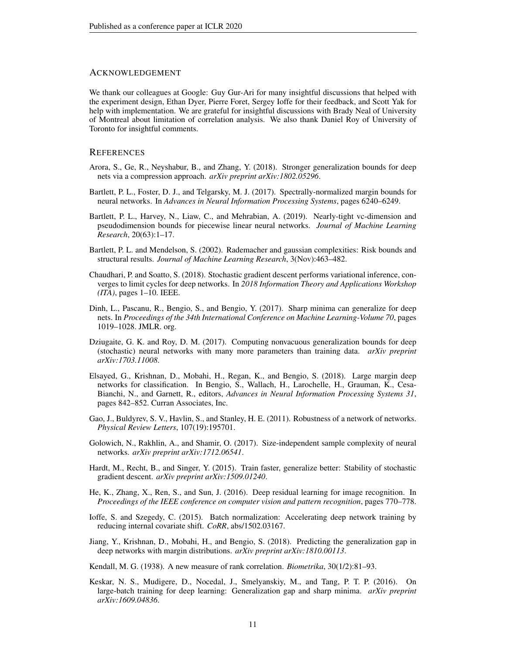# ACKNOWLEDGEMENT

We thank our colleagues at Google: Guy Gur-Ari for many insightful discussions that helped with the experiment design, Ethan Dyer, Pierre Foret, Sergey Ioffe for their feedback, and Scott Yak for help with implementation. We are grateful for insightful discussions with Brady Neal of University of Montreal about limitation of correlation analysis. We also thank Daniel Roy of University of Toronto for insightful comments.

### **REFERENCES**

- <span id="page-10-2"></span>Arora, S., Ge, R., Neyshabur, B., and Zhang, Y. (2018). Stronger generalization bounds for deep nets via a compression approach. *arXiv preprint arXiv:1802.05296*.
- <span id="page-10-0"></span>Bartlett, P. L., Foster, D. J., and Telgarsky, M. J. (2017). Spectrally-normalized margin bounds for neural networks. In *Advances in Neural Information Processing Systems*, pages 6240–6249.
- <span id="page-10-10"></span>Bartlett, P. L., Harvey, N., Liaw, C., and Mehrabian, A. (2019). Nearly-tight vc-dimension and pseudodimension bounds for piecewise linear neural networks. *Journal of Machine Learning Research*, 20(63):1–17.
- <span id="page-10-15"></span>Bartlett, P. L. and Mendelson, S. (2002). Rademacher and gaussian complexities: Risk bounds and structural results. *Journal of Machine Learning Research*, 3(Nov):463–482.
- <span id="page-10-6"></span>Chaudhari, P. and Soatto, S. (2018). Stochastic gradient descent performs variational inference, converges to limit cycles for deep networks. In *2018 Information Theory and Applications Workshop (ITA)*, pages 1–10. IEEE.
- <span id="page-10-14"></span>Dinh, L., Pascanu, R., Bengio, S., and Bengio, Y. (2017). Sharp minima can generalize for deep nets. In *Proceedings of the 34th International Conference on Machine Learning-Volume 70*, pages 1019–1028. JMLR. org.
- <span id="page-10-3"></span>Dziugaite, G. K. and Roy, D. M. (2017). Computing nonvacuous generalization bounds for deep (stochastic) neural networks with many more parameters than training data. *arXiv preprint arXiv:1703.11008*.
- <span id="page-10-12"></span>Elsayed, G., Krishnan, D., Mobahi, H., Regan, K., and Bengio, S. (2018). Large margin deep networks for classification. In Bengio, S., Wallach, H., Larochelle, H., Grauman, K., Cesa-Bianchi, N., and Garnett, R., editors, *Advances in Neural Information Processing Systems 31*, pages 842–852. Curran Associates, Inc.
- <span id="page-10-9"></span>Gao, J., Buldyrev, S. V., Havlin, S., and Stanley, H. E. (2011). Robustness of a network of networks. *Physical Review Letters*, 107(19):195701.
- <span id="page-10-1"></span>Golowich, N., Rakhlin, A., and Shamir, O. (2017). Size-independent sample complexity of neural networks. *arXiv preprint arXiv:1712.06541*.
- <span id="page-10-5"></span>Hardt, M., Recht, B., and Singer, Y. (2015). Train faster, generalize better: Stability of stochastic gradient descent. *arXiv preprint arXiv:1509.01240*.
- <span id="page-10-11"></span>He, K., Zhang, X., Ren, S., and Sun, J. (2016). Deep residual learning for image recognition. In *Proceedings of the IEEE conference on computer vision and pattern recognition*, pages 770–778.
- <span id="page-10-13"></span>Ioffe, S. and Szegedy, C. (2015). Batch normalization: Accelerating deep network training by reducing internal covariate shift. *CoRR*, abs/1502.03167.
- <span id="page-10-7"></span>Jiang, Y., Krishnan, D., Mobahi, H., and Bengio, S. (2018). Predicting the generalization gap in deep networks with margin distributions. *arXiv preprint arXiv:1810.00113*.

<span id="page-10-8"></span>Kendall, M. G. (1938). A new measure of rank correlation. *Biometrika*, 30(1/2):81–93.

<span id="page-10-4"></span>Keskar, N. S., Mudigere, D., Nocedal, J., Smelyanskiy, M., and Tang, P. T. P. (2016). On large-batch training for deep learning: Generalization gap and sharp minima. *arXiv preprint arXiv:1609.04836*.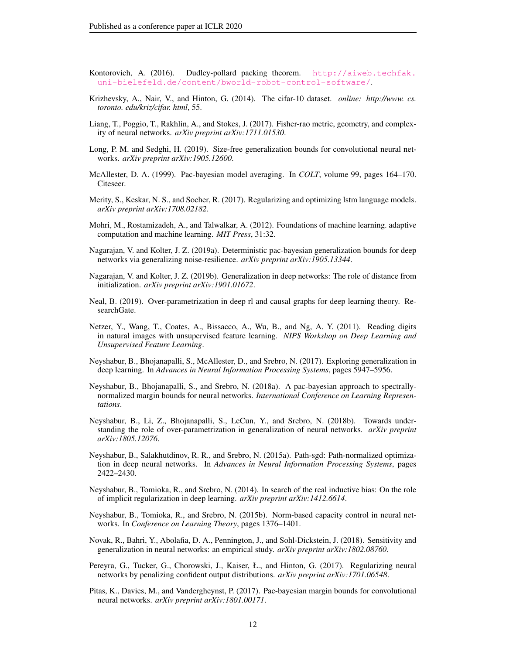- <span id="page-11-16"></span>Kontorovich, A. (2016). Dudley-pollard packing theorem. [http://aiweb.techfak.](http://aiweb.techfak.uni-bielefeld.de/content/bworld-robot-control-software/) [uni-bielefeld.de/content/bworld-robot-control-software/](http://aiweb.techfak.uni-bielefeld.de/content/bworld-robot-control-software/).
- <span id="page-11-7"></span>Krizhevsky, A., Nair, V., and Hinton, G. (2014). The cifar-10 dataset. *online: http://www. cs. toronto. edu/kriz/cifar. html*, 55.
- <span id="page-11-5"></span>Liang, T., Poggio, T., Rakhlin, A., and Stokes, J. (2017). Fisher-rao metric, geometry, and complexity of neural networks. *arXiv preprint arXiv:1711.01530*.
- <span id="page-11-4"></span>Long, P. M. and Sedghi, H. (2019). Size-free generalization bounds for convolutional neural networks. *arXiv preprint arXiv:1905.12600*.
- <span id="page-11-9"></span>McAllester, D. A. (1999). Pac-bayesian model averaging. In *COLT*, volume 99, pages 164–170. Citeseer.
- <span id="page-11-14"></span>Merity, S., Keskar, N. S., and Socher, R. (2017). Regularizing and optimizing lstm language models. *arXiv preprint arXiv:1708.02182*.
- <span id="page-11-15"></span>Mohri, M., Rostamizadeh, A., and Talwalkar, A. (2012). Foundations of machine learning. adaptive computation and machine learning. *MIT Press*, 31:32.
- <span id="page-11-3"></span>Nagarajan, V. and Kolter, J. Z. (2019a). Deterministic pac-bayesian generalization bounds for deep networks via generalizing noise-resilience. *arXiv preprint arXiv:1905.13344*.
- <span id="page-11-10"></span>Nagarajan, V. and Kolter, J. Z. (2019b). Generalization in deep networks: The role of distance from initialization. *arXiv preprint arXiv:1901.01672*.
- <span id="page-11-13"></span>Neal, B. (2019). Over-parametrization in deep rl and causal graphs for deep learning theory. ResearchGate.
- <span id="page-11-8"></span>Netzer, Y., Wang, T., Coates, A., Bissacco, A., Wu, B., and Ng, A. Y. (2011). Reading digits in natural images with unsupervised feature learning. *NIPS Workshop on Deep Learning and Unsupervised Feature Learning*.
- <span id="page-11-6"></span>Neyshabur, B., Bhojanapalli, S., McAllester, D., and Srebro, N. (2017). Exploring generalization in deep learning. In *Advances in Neural Information Processing Systems*, pages 5947–5956.
- <span id="page-11-2"></span>Neyshabur, B., Bhojanapalli, S., and Srebro, N. (2018a). A pac-bayesian approach to spectrallynormalized margin bounds for neural networks. *International Conference on Learning Representations*.
- <span id="page-11-19"></span>Neyshabur, B., Li, Z., Bhojanapalli, S., LeCun, Y., and Srebro, N. (2018b). Towards understanding the role of over-parametrization in generalization of neural networks. *arXiv preprint arXiv:1805.12076*.
- <span id="page-11-11"></span>Neyshabur, B., Salakhutdinov, R. R., and Srebro, N. (2015a). Path-sgd: Path-normalized optimization in deep neural networks. In *Advances in Neural Information Processing Systems*, pages 2422–2430.
- <span id="page-11-0"></span>Neyshabur, B., Tomioka, R., and Srebro, N. (2014). In search of the real inductive bias: On the role of implicit regularization in deep learning. *arXiv preprint arXiv:1412.6614*.
- <span id="page-11-1"></span>Neyshabur, B., Tomioka, R., and Srebro, N. (2015b). Norm-based capacity control in neural networks. In *Conference on Learning Theory*, pages 1376–1401.
- <span id="page-11-12"></span>Novak, R., Bahri, Y., Abolafia, D. A., Pennington, J., and Sohl-Dickstein, J. (2018). Sensitivity and generalization in neural networks: an empirical study. *arXiv preprint arXiv:1802.08760*.
- <span id="page-11-17"></span>Pereyra, G., Tucker, G., Chorowski, J., Kaiser, Ł., and Hinton, G. (2017). Regularizing neural networks by penalizing confident output distributions. *arXiv preprint arXiv:1701.06548*.
- <span id="page-11-18"></span>Pitas, K., Davies, M., and Vandergheynst, P. (2017). Pac-bayesian margin bounds for convolutional neural networks. *arXiv preprint arXiv:1801.00171*.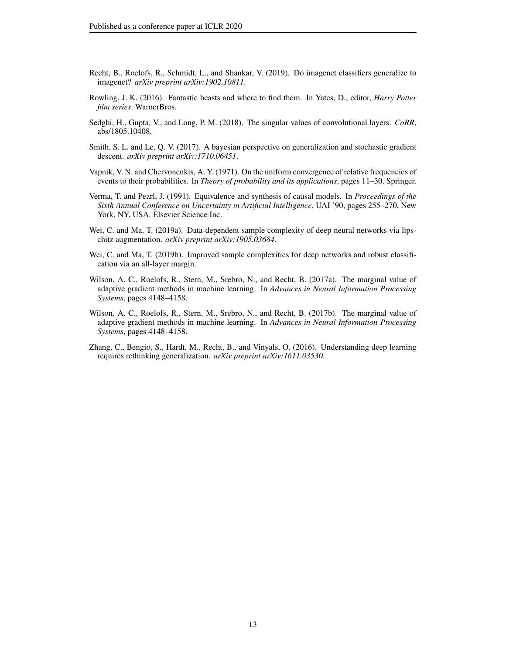- <span id="page-12-1"></span>Recht, B., Roelofs, R., Schmidt, L., and Shankar, V. (2019). Do imagenet classifiers generalize to imagenet? *arXiv preprint arXiv:1902.10811*.
- Rowling, J. K. (2016). Fantastic beasts and where to find them. In Yates, D., editor, *Harry Potter film series*. WarnerBros.
- <span id="page-12-6"></span>Sedghi, H., Gupta, V., and Long, P. M. (2018). The singular values of convolutional layers. *CoRR*, abs/1805.10408.
- <span id="page-12-5"></span>Smith, S. L. and Le, Q. V. (2017). A bayesian perspective on generalization and stochastic gradient descent. *arXiv preprint arXiv:1710.06451*.
- <span id="page-12-3"></span>Vapnik, V. N. and Chervonenkis, A. Y. (1971). On the uniform convergence of relative frequencies of events to their probabilities. In *Theory of probability and its applications*, pages 11–30. Springer.
- <span id="page-12-8"></span>Verma, T. and Pearl, J. (1991). Equivalence and synthesis of causal models. In *Proceedings of the Sixth Annual Conference on Uncertainty in Artificial Intelligence*, UAI '90, pages 255–270, New York, NY, USA. Elsevier Science Inc.
- <span id="page-12-2"></span>Wei, C. and Ma, T. (2019a). Data-dependent sample complexity of deep neural networks via lipschitz augmentation. *arXiv preprint arXiv:1905.03684*.
- <span id="page-12-7"></span>Wei, C. and Ma, T. (2019b). Improved sample complexities for deep networks and robust classification via an all-layer margin.
- <span id="page-12-4"></span>Wilson, A. C., Roelofs, R., Stern, M., Srebro, N., and Recht, B. (2017a). The marginal value of adaptive gradient methods in machine learning. In *Advances in Neural Information Processing Systems*, pages 4148–4158.
- <span id="page-12-9"></span>Wilson, A. C., Roelofs, R., Stern, M., Srebro, N., and Recht, B. (2017b). The marginal value of adaptive gradient methods in machine learning. In *Advances in Neural Information Processing Systems*, pages 4148–4158.
- <span id="page-12-0"></span>Zhang, C., Bengio, S., Hardt, M., Recht, B., and Vinyals, O. (2016). Understanding deep learning requires rethinking generalization. *arXiv preprint arXiv:1611.03530*.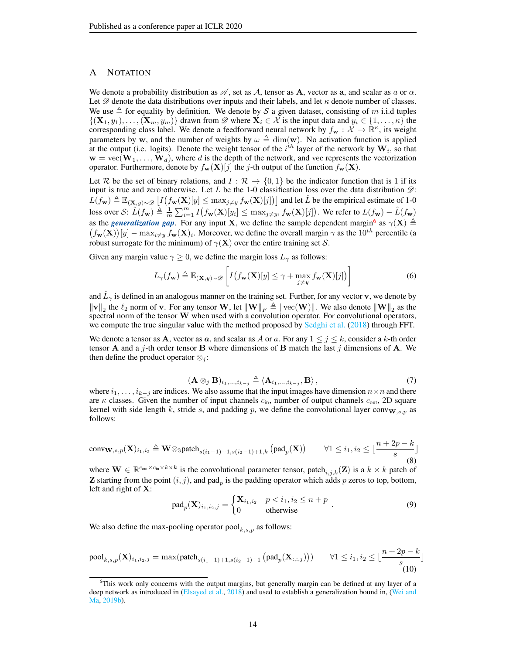# <span id="page-13-0"></span>A NOTATION

We denote a probability distribution as  $\mathscr A$ , set as A, tensor as A, vector as a, and scalar as a or  $\alpha$ . Let  $\mathscr D$  denote the data distributions over inputs and their labels, and let  $\kappa$  denote number of classes. We use  $\triangleq$  for equality by definition. We denote by S a given dataset, consisting of m i.i.d tuples  $\{(\mathbf{X}_1, y_1), \ldots, (\mathbf{X}_m, y_m)\}\)$  drawn from  $\mathscr{D}$  where  $\mathbf{X}_i \in \mathcal{X}$  is the input data and  $y_i \in \{1, \ldots, \kappa\}\$  the corresponding class label. We denote a feedforward neural network by  $f_w : \tilde{X} \to \mathbb{R}^k$ , its weight parameters by w, and the number of weights by  $\omega \triangleq \dim(w)$ . No activation function is applied at the output (i.e. logits). Denote the weight tensor of the  $i^{th}$  layer of the network by  $W_i$ , so that  $\mathbf{w} = \text{vec}(\mathbf{W}_1, \dots, \mathbf{W}_d)$ , where d is the depth of the network, and vec represents the vectorization operator. Furthermore, denote by  $f_{\mathbf{w}}(\mathbf{X})[j]$  the j-th output of the function  $f_{\mathbf{w}}(\mathbf{X})$ .

Let R be the set of binary relations, and  $I : \mathcal{R} \to \{0,1\}$  be the indicator function that is 1 if its input is true and zero otherwise. Let  $L$  be the 1-0 classification loss over the data distribution  $\mathcal{D}$ :  $L(f_{\mathbf{w}}) \triangleq \mathbb{E}_{(\mathbf{X},y)\sim \mathscr{D}}\left[I\left(f_{\mathbf{w}}(\mathbf{X})[y]\leq \max_{j\neq y} f_{\mathbf{w}}(\mathbf{X})[j]\right)\right]$  and let  $\hat{L}$  be the empirical estimate of 1-0 loss over S:  $\hat{L}(f_{\mathbf{w}}) \triangleq \frac{1}{m} \sum_{i=1}^{m} I(f_{\mathbf{w}}(\mathbf{X})[y_i] \leq \max_{j \neq y_i} f_{\mathbf{w}}(\mathbf{X})[j])$ . We refer to  $L(f_{\mathbf{w}}) - \hat{L}(f_{\mathbf{w}})$ as the *generalization gap*. For any input **X**, we define the sample dependent margin<sup>[6](#page-13-1)</sup> as  $\gamma(\mathbf{X}) \triangleq$  $(f_{\mathbf{w}}(\mathbf{X}))[y] - \max_{i \neq y} f_{\mathbf{w}}(\mathbf{X})_i$ . Moreover, we define the overall margin  $\gamma$  as the  $10^{th}$  percentile (a robust surrogate for the minimum) of  $\gamma(X)$  over the entire training set S.

Given any margin value  $\gamma \geq 0$ , we define the margin loss  $L_{\gamma}$  as follows:

$$
L_{\gamma}(f_{\mathbf{w}}) \triangleq \mathbb{E}_{(\mathbf{X},y)\sim\mathscr{D}}\left[I\big(f_{\mathbf{w}}(\mathbf{X})[y] \leq \gamma + \max_{j \neq y} f_{\mathbf{w}}(\mathbf{X})[j]\big)\right]
$$
(6)

and  $\hat{L}_{\gamma}$  is defined in an analogous manner on the training set. Further, for any vector v, we denote by  $\|\mathbf{v}\|_2$  the  $\ell_2$  norm of v. For any tensor W, let  $\|\mathbf{W}\|_F \triangleq \|\text{vec}(\mathbf{W})\|$ . We also denote  $\|\mathbf{W}\|_2$  as the spectral norm of the tensor W when used with a convolution operator. For convolutional operators, we compute the true singular value with the method proposed by [Sedghi et al.](#page-12-6) [\(2018\)](#page-12-6) through FFT.

We denote a tensor as **A**, vector as **a**, and scalar as A or a. For any  $1 \leq j \leq k$ , consider a k-th order tensor **A** and a j-th order tensor **B** where dimensions of **B** match the last j dimensions of **A**. We then define the product operator  $\otimes_i$ :

$$
(\mathbf{A}\otimes_j \mathbf{B})_{i_1,\ldots,i_{k-j}} \triangleq \langle \mathbf{A}_{i_1,\ldots,i_{k-j}}, \mathbf{B} \rangle, \tag{7}
$$

where  $i_1, \ldots, i_{k-j}$  are indices. We also assume that the input images have dimension  $n \times n$  and there are  $\kappa$  classes. Given the number of input channels  $c_{\rm in}$ , number of output channels  $c_{\rm out}$ , 2D square kernel with side length k, stride s, and padding p, we define the convolutional layer conv $\mathbf{w}_{s,p}$  as follows:

$$
\text{conv}_{\mathbf{W},s,p}(\mathbf{X})_{i_1,i_2} \triangleq \mathbf{W} \otimes \text{spatch}_{s(i_1-1)+1,s(i_2-1)+1,k} \left(\text{pad}_p(\mathbf{X})\right) \qquad \forall 1 \le i_1, i_2 \le \lfloor \frac{n+2p-k}{s} \rfloor
$$
\n
$$
(8)
$$

where  $\mathbf{W} \in \mathbb{R}^{c_{out} \times c_{in} \times k \times k}$  is the convolutional parameter tensor, patch<sub>i,j,k</sub>(Z) is a  $k \times k$  patch of **Z** starting from the point  $(i, j)$ , and pad<sub>p</sub> is the padding operator which adds p zeros to top, bottom, left and right of X:

$$
pad_p(\mathbf{X})_{i_1, i_2, j} = \begin{cases} \mathbf{X}_{i_1, i_2} & p < i_1, i_2 \le n + p \\ 0 & \text{otherwise} \end{cases}
$$
 (9)

We also define the max-pooling operator  $pool_{k,s,p}$  as follows:

$$
\text{pool}_{k,s,p}(\mathbf{X})_{i_1,i_2,j} = \max(\text{patch}_{s(i_1-1)+1,s(i_2-1)+1} \left(\text{pad}_p(\mathbf{X}_{:,:,j})\right)) \qquad \forall 1 \le i_1, i_2 \le \lfloor \frac{n+2p-k}{s} \rfloor
$$
\n(10)

<span id="page-13-1"></span><sup>&</sup>lt;sup>6</sup>This work only concerns with the output margins, but generally margin can be defined at any layer of a deep network as introduced in [\(Elsayed et al.,](#page-10-12) [2018\)](#page-10-12) and used to establish a generalization bound in, [\(Wei and](#page-12-7) [Ma,](#page-12-7) [2019b\)](#page-12-7).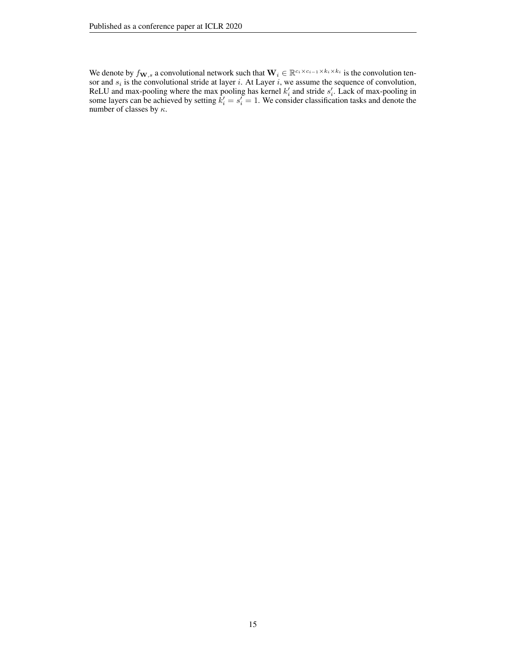We denote by  $f_{\mathbf{W},s}$  a convolutional network such that  $\mathbf{W}_i \in \mathbb{R}^{c_i \times c_{i-1} \times k_i \times k_i}$  is the convolution tensor and  $s_i$  is the convolutional stride at layer i. At Layer i, we assume the sequence of convolution, ReLU and max-pooling where the max pooling has kernel  $k_i$  and stride  $s_i'$ . Lack of max-pooling in some layers can be achieved by setting  $k'_i = s'_i = 1$ . We consider classification tasks and denote the number of classes by  $\kappa.$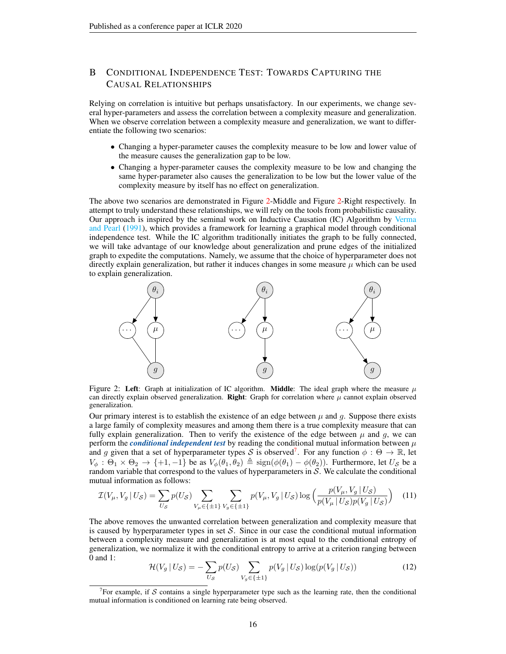# <span id="page-15-0"></span>B CONDITIONAL INDEPENDENCE TEST: TOWARDS CAPTURING THE CAUSAL RELATIONSHIPS

Relying on correlation is intuitive but perhaps unsatisfactory. In our experiments, we change several hyper-parameters and assess the correlation between a complexity measure and generalization. When we observe correlation between a complexity measure and generalization, we want to differentiate the following two scenarios:

- Changing a hyper-parameter causes the complexity measure to be low and lower value of the measure causes the generalization gap to be low.
- Changing a hyper-parameter causes the complexity measure to be low and changing the same hyper-parameter also causes the generalization to be low but the lower value of the complexity measure by itself has no effect on generalization.

The above two scenarios are demonstrated in Figure [2-](#page-15-1)Middle and Figure [2-](#page-15-1)Right respectively. In attempt to truly understand these relationships, we will rely on the tools from probabilistic causality. Our approach is inspired by the seminal work on Inductive Causation (IC) Algorithm by [Verma](#page-12-8) [and Pearl](#page-12-8) [\(1991\)](#page-12-8), which provides a framework for learning a graphical model through conditional independence test. While the IC algorithm traditionally initiates the graph to be fully connected, we will take advantage of our knowledge about generalization and prune edges of the initialized graph to expedite the computations. Namely, we assume that the choice of hyperparameter does not directly explain generalization, but rather it induces changes in some measure  $\mu$  which can be used to explain generalization.

<span id="page-15-1"></span>

Figure 2: Left: Graph at initialization of IC algorithm. Middle: The ideal graph where the measure  $\mu$ can directly explain observed generalization. Right: Graph for correlation where  $\mu$  cannot explain observed generalization.

Our primary interest is to establish the existence of an edge between  $\mu$  and q. Suppose there exists a large family of complexity measures and among them there is a true complexity measure that can fully explain generalization. Then to verify the existence of the edge between  $\mu$  and g, we can perform the *conditional independent test* by reading the conditional mutual information between  $\mu$ and g given that a set of hyperparameter types S is observed<sup>[7](#page-15-2)</sup>. For any function  $\phi : \Theta \to \mathbb{R}$ , let  $V_{\phi}$ :  $\Theta_1 \times \Theta_2 \rightarrow \{+1, -1\}$  be as  $V_{\phi}(\theta_1, \theta_2) \triangleq \text{sign}(\phi(\theta_1) - \phi(\theta_2))$ . Furthermore, let  $U_{\mathcal{S}}$  be a random variable that correspond to the values of hyperparameters in  $S$ . We calculate the conditional mutual information as follows:

$$
\mathcal{I}(V_{\mu}, V_g \mid U_{\mathcal{S}}) = \sum_{U_{\mathcal{S}}} p(U_{\mathcal{S}}) \sum_{V_{\mu} \in \{\pm 1\}} \sum_{V_g \in \{\pm 1\}} p(V_{\mu}, V_g \mid U_{\mathcal{S}}) \log \left( \frac{p(V_{\mu}, V_g \mid U_{\mathcal{S}})}{p(V_{\mu} \mid U_{\mathcal{S}}) p(V_g \mid U_{\mathcal{S}})} \right) \tag{11}
$$

The above removes the unwanted correlation between generalization and complexity measure that is caused by hyperparameter types in set  $S$ . Since in our case the conditional mutual information between a complexity measure and generalization is at most equal to the conditional entropy of generalization, we normalize it with the conditional entropy to arrive at a criterion ranging between 0 and 1:

$$
\mathcal{H}(V_g \mid U_\mathcal{S}) = -\sum_{U_\mathcal{S}} p(U_\mathcal{S}) \sum_{V_g \in \{\pm 1\}} p(V_g \mid U_\mathcal{S}) \log(p(V_g \mid U_\mathcal{S})) \tag{12}
$$

<span id="page-15-2"></span><sup>&</sup>lt;sup>7</sup>For example, if S contains a single hyperparameter type such as the learning rate, then the conditional mutual information is conditioned on learning rate being observed.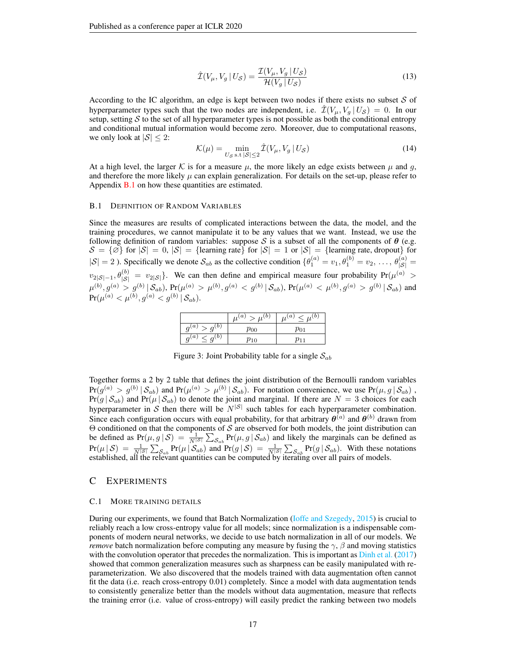$$
\hat{\mathcal{I}}(V_{\mu}, V_g \mid U_{\mathcal{S}}) = \frac{\mathcal{I}(V_{\mu}, V_g \mid U_{\mathcal{S}})}{\mathcal{H}(V_g \mid U_{\mathcal{S}})}\tag{13}
$$

According to the IC algorithm, an edge is kept between two nodes if there exists no subset  $S$  of hyperparameter types such that the two nodes are independent, i.e.  $\hat{\mathcal{I}}(V_u, V_g | U_s ) = 0$ . In our setup, setting  $S$  to the set of all hyperparameter types is not possible as both the conditional entropy and conditional mutual information would become zero. Moreover, due to computational reasons, we only look at  $|S| \leq 2$ :

$$
\mathcal{K}(\mu) = \min_{U_{\mathcal{S}} \text{ s.t } |\mathcal{S}| \le 2} \hat{\mathcal{I}}(V_{\mu}, V_g \mid U_{\mathcal{S}})
$$
\n(14)

At a high level, the larger K is for a measure  $\mu$ , the more likely an edge exists between  $\mu$  and g, and therefore the more likely  $\mu$  can explain generalization. For details on the set-up, please refer to Appendix  $B.1$  on how these quantities are estimated.

### <span id="page-16-1"></span>B.1 DEFINITION OF RANDOM VARIABLES

Since the measures are results of complicated interactions between the data, the model, and the training procedures, we cannot manipulate it to be any values that we want. Instead, we use the following definition of random variables: suppose S is a subset of all the components of  $\theta$  (e.g.  $S = {\emptyset}$  for  $|S| = 0$ ,  $|S| = {\text{learning rate}}$  for  $|S| = 1$  or  $|S| = {\text{learning rate}}$ , dropout for  $|S| = 2$ ). Specifically we denote  $S_{ab}$  as the collective condition  $\{\theta_1^{(a)} = v_1, \theta_1^{(b)} = v_2, \dots, \theta_{|S|}^{(a)} =$  $v_{2|\mathcal{S}|-1}, \theta_{|\mathcal{S}|}^{(b)} = v_{2|\mathcal{S}|}$ . We can then define and empirical measure four probability  $Pr(\mu^{(a)} >$  $\mu^{(b)}, g^{(a)} > g^{(b)}\,|\, \mathcal{S}_{ab}),$   $\Pr(\mu^{(a)} > \mu^{(b)}, g^{(a)} < g^{(b)}\,|\, \mathcal{S}_{ab}),$   $\Pr(\mu^{(a)} < \mu^{(b)}, g^{(a)} > g^{(b)}\,|\, \mathcal{S}_{ab})$  and  $\Pr(\mu^{(a)} < \mu^{(b)}, g^{(a)} < g^{(b)}\, | \, \mathcal{S}_{ab}).$ 

|                                  | $\mu^{(a)}$<br>(b)<br>$\mu$ | (a)<br>$\sim \mu^{(b)}$ |
|----------------------------------|-----------------------------|-------------------------|
| $q^{(a)}$<br>$g^{(b)}$           | $\rho_{00}$                 | $p_{01}$                |
| $\ell \leq g^{(b)}$<br>$q^{(a)}$ | $p_{10}$                    |                         |

Figure 3: Joint Probability table for a single  $S_{ab}$ 

Together forms a 2 by 2 table that defines the joint distribution of the Bernoulli random variables  $Pr(g^{(a)} > g^{(b)} | S_{ab})$  and  $Pr(\mu^{(a)} > \mu^{(b)} | S_{ab})$ . For notation convenience, we use  $Pr(\mu, g | S_{ab})$ ,  $Pr(g | S_{ab})$  and  $Pr(\mu | S_{ab})$  to denote the joint and marginal. If there are  $N = 3$  choices for each hyperparameter in S then there will be  $N^{|\mathcal{S}|}$  such tables for each hyperparameter combination. Since each configuration occurs with equal probability, for that arbitrary  $\theta^{(a)}$  and  $\theta^{(b)}$  drawn from Θ conditioned on that the components of S are observed for both models, the joint distribution can be defined as  $Pr(\mu, g | S) = \frac{1}{N^{|S|}} \sum_{S_{ab}} Pr(\mu, g | S_{ab})$  and likely the marginals can be defined as  $Pr(\mu | \mathcal{S}) = \frac{1}{N^{|\mathcal{S}|}} \sum_{\mathcal{S}_{ab}} Pr(\mu | \mathcal{S}_{ab})$  and  $Pr(g | \mathcal{S}) = \frac{1}{N^{|\mathcal{S}|}} \sum_{\mathcal{S}_{ab}} Pr(g | \mathcal{S}_{ab})$ . With these notations established, all the relevant quantities can be computed by iterating over all pairs of models.

# C EXPERIMENTS

### <span id="page-16-0"></span>C.1 MORE TRAINING DETAILS

During our experiments, we found that Batch Normalization [\(Ioffe and Szegedy,](#page-10-13) [2015\)](#page-10-13) is crucial to reliably reach a low cross-entropy value for all models; since normalization is a indispensable components of modern neural networks, we decide to use batch normalization in all of our models. We *remove* batch normalization before computing any measure by fusing the  $\gamma$ ,  $\beta$  and moving statistics with the convolution operator that precedes the normalization. This is important as [Dinh et al.](#page-10-14) [\(2017\)](#page-10-14) showed that common generalization measures such as sharpness can be easily manipulated with reparameterization. We also discovered that the models trained with data augmentation often cannot fit the data (i.e. reach cross-entropy 0.01) completely. Since a model with data augmentation tends to consistently generalize better than the models without data augmentation, measure that reflects the training error (i.e. value of cross-entropy) will easily predict the ranking between two models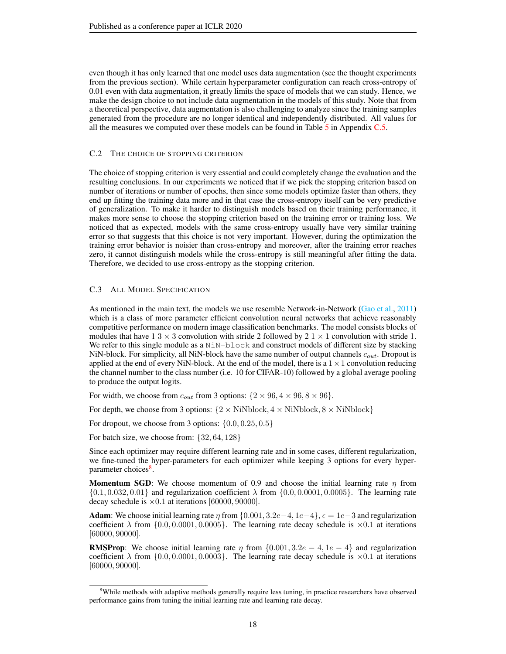even though it has only learned that one model uses data augmentation (see the thought experiments from the previous section). While certain hyperparameter configuration can reach cross-entropy of 0.01 even with data augmentation, it greatly limits the space of models that we can study. Hence, we make the design choice to not include data augmentation in the models of this study. Note that from a theoretical perspective, data augmentation is also challenging to analyze since the training samples generated from the procedure are no longer identical and independently distributed. All values for all the measures we computed over these models can be found in Table  $5$  in Appendix  $C.5$ .

### <span id="page-17-0"></span>C.2 THE CHOICE OF STOPPING CRITERION

The choice of stopping criterion is very essential and could completely change the evaluation and the resulting conclusions. In our experiments we noticed that if we pick the stopping criterion based on number of iterations or number of epochs, then since some models optimize faster than others, they end up fitting the training data more and in that case the cross-entropy itself can be very predictive of generalization. To make it harder to distinguish models based on their training performance, it makes more sense to choose the stopping criterion based on the training error or training loss. We noticed that as expected, models with the same cross-entropy usually have very similar training error so that suggests that this choice is not very important. However, during the optimization the training error behavior is noisier than cross-entropy and moreover, after the training error reaches zero, it cannot distinguish models while the cross-entropy is still meaningful after fitting the data. Therefore, we decided to use cross-entropy as the stopping criterion.

### <span id="page-17-1"></span>C.3 ALL MODEL SPECIFICATION

As mentioned in the main text, the models we use resemble Network-in-Network [\(Gao et al.,](#page-10-9) [2011\)](#page-10-9) which is a class of more parameter efficient convolution neural networks that achieve reasonably competitive performance on modern image classification benchmarks. The model consists blocks of modules that have  $1 \ 3 \times 3$  convolution with stride 2 followed by  $2 \ 1 \times 1$  convolution with stride 1. We refer to this single module as a NiN-block and construct models of different size by stacking NiN-block. For simplicity, all NiN-block have the same number of output channels  $c_{out}$ . Dropout is applied at the end of every NiN-block. At the end of the model, there is a  $1 \times 1$  convolution reducing the channel number to the class number (i.e. 10 for CIFAR-10) followed by a global average pooling to produce the output logits.

For width, we choose from  $c_{out}$  from 3 options:  $\{2 \times 96, 4 \times 96, 8 \times 96\}.$ 

For depth, we choose from 3 options:  $\{2 \times \text{NiNblock}, 4 \times \text{NiNblock}, 8 \times \text{NiNblock}\}$ 

For dropout, we choose from 3 options:  $\{0.0, 0.25, 0.5\}$ 

For batch size, we choose from:  $\{32, 64, 128\}$ 

Since each optimizer may require different learning rate and in some cases, different regularization, we fine-tuned the hyper-parameters for each optimizer while keeping 3 options for every hyper-parameter choices<sup>[8](#page-17-2)</sup>.

**Momentum SGD:** We choose momentum of 0.9 and choose the initial learning rate  $\eta$  from  $\{0.1, 0.032, 0.01\}$  and regularization coefficient  $\lambda$  from  $\{0.0, 0.0001, 0.0005\}$ . The learning rate decay schedule is  $\times 0.1$  at iterations [60000, 90000].

**Adam**: We choose initial learning rate  $\eta$  from  $\{0.001, 3.2e-4, 1e-4\}$ ,  $\epsilon = 1e-3$  and regularization coefficient  $\lambda$  from  $\{0.0, 0.0001, 0.0005\}$ . The learning rate decay schedule is  $\times 0.1$  at iterations [60000, 90000].

**RMSProp:** We choose initial learning rate  $\eta$  from {0.001, 3.2e – 4, 1e – 4} and regularization coefficient  $\lambda$  from  $\{0.0, 0.0001, 0.0003\}$ . The learning rate decay schedule is  $\times 0.1$  at iterations [60000, 90000].

<span id="page-17-2"></span><sup>&</sup>lt;sup>8</sup>While methods with adaptive methods generally require less tuning, in practice researchers have observed performance gains from tuning the initial learning rate and learning rate decay.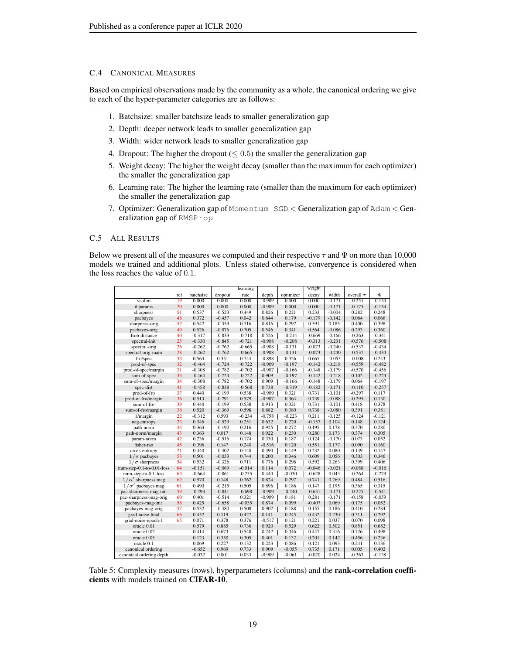# <span id="page-18-1"></span>C.4 CANONICAL MEASURES

Based on empirical observations made by the community as a whole, the canonical ordering we give to each of the hyper-parameter categories are as follows:

- 1. Batchsize: smaller batchsize leads to smaller generalization gap
- 2. Depth: deeper network leads to smaller generalization gap
- 3. Width: wider network leads to smaller generalization gap
- 4. Dropout: The higher the dropout ( $\leq 0.5$ ) the smaller the generalization gap
- 5. Weight decay: The higher the weight decay (smaller than the maximum for each optimizer) the smaller the generalization gap
- 6. Learning rate: The higher the learning rate (smaller than the maximum for each optimizer) the smaller the generalization gap
- 7. Optimizer: Generalization gap of Momentum SGD < Generalization gap of Adam < Generalization gap of RMSProp

### <span id="page-18-0"></span>C.5 ALL RESULTS

Below we present all of the measures we computed and their respective  $\tau$  and  $\Psi$  on more than 10,000 models we trained and additional plots. Unless stated otherwise, convergence is considered when the loss reaches the value of 0.1.

<span id="page-18-2"></span>

|                           |     |           |          | learning |          |           | weight   |          |                |          |
|---------------------------|-----|-----------|----------|----------|----------|-----------|----------|----------|----------------|----------|
|                           | ref | batchsize | dropout  | rate     | depth    | optimizer | decay    | width    | overall $\tau$ | Ψ        |
| vc dim                    | 19  | 0.000     | 0.000    | 0.000    | $-0.909$ | 0.000     | 0.000    | $-0.171$ | $-0.251$       | $-0.154$ |
| # params                  | 20  | 0.000     | 0.000    | 0.000    | $-0.909$ | 0.000     | 0.000    | $-0.171$ | $-0.175$       | $-0.154$ |
| sharpness                 | 51  | 0.537     | $-0.523$ | 0.449    | 0.826    | 0.221     | 0.233    | $-0.004$ | 0.282          | 0.248    |
| pacbayes                  | 48  | 0.372     | $-0.457$ | 0.042    | 0.644    | 0.179     | $-0.179$ | $-0.142$ | 0.064          | 0.066    |
| sharpness-orig            | 52  | 0.542     | $-0.359$ | 0.716    | 0.816    | 0.297     | 0.591    | 0.185    | 0.400          | 0.398    |
| pacbayes-orig             | 49  | 0.526     | $-0.076$ | 0.705    | 0.546    | 0.341     | 0.564    | $-0.086$ | 0.293          | 0.360    |
| frob-distance             | 40  | $-0.317$  | $-0.833$ | $-0.718$ | 0.526    | $-0.214$  | $-0.669$ | $-0.166$ | $-0.263$       | $-0.341$ |
| spectral-init             | 25  | $-0.330$  | $-0.845$ | $-0.721$ | $-0.908$ | $-0.208$  | $-0.313$ | $-0.231$ | $-0.576$       | $-0.508$ |
| spectral-orig             | 26  | $-0.262$  | $-0.762$ | $-0.665$ | $-0.908$ | $-0.131$  | $-0.073$ | $-0.240$ | $-0.537$       | $-0.434$ |
| spectral-orig-main        | 28  | $-0.262$  | $-0.762$ | $-0.665$ | $-0.908$ | $-0.131$  | $-0.073$ | $-0.240$ | $-0.537$       | $-0.434$ |
| fro/spec                  | 33  | 0.563     | 0.351    | 0.744    | $-0.898$ | 0.326     | 0.665    | $-0.053$ | $-0.008$       | 0.243    |
| prod-of-spec              | 32  | $-0.464$  | $-0.724$ | $-0.722$ | $-0.909$ | $-0.197$  | $-0.142$ | $-0.218$ | $-0.559$       | $-0.482$ |
| prod-of-spec/margin       | 31  | $-0.308$  | $-0.782$ | $-0.702$ | $-0.907$ | $-0.166$  | $-0.148$ | $-0.179$ | $-0.570$       | $-0.456$ |
| sum-of-spec               | 35  | $-0.464$  | $-0.724$ | $-0.722$ | 0.909    | $-0.197$  | $-0.142$ | $-0.218$ | 0.102          | $-0.223$ |
| sum-of-spec/margin        | 34  | $-0.308$  | $-0.782$ | $-0.702$ | 0.909    | $-0.166$  | $-0.148$ | $-0.179$ | 0.064          | $-0.197$ |
| spec-dist                 | 41  | $-0.458$  | $-0.838$ | $-0.568$ | 0.738    | $-0.319$  | $-0.182$ | $-0.171$ | $-0.110$       | $-0.257$ |
| prod-of-fro               | 37  | 0.440     | $-0.199$ | 0.538    | $-0.909$ | 0.321     | 0.731    | $-0.101$ | $-0.297$       | 0.117    |
| prod-of-fro/margin        | 36  | 0.513     | $-0.291$ | 0.579    | $-0.907$ | 0.364     | 0.739    | $-0.088$ | $-0.295$       | 0.130    |
| sum-of-fro                | 39  | 0.440     | $-0.199$ | 0.538    | 0.913    | 0.321     | 0.731    | $-0.101$ | 0.418          | 0.378    |
| sum-of-fro/margin         | 38  | 0.520     | $-0.369$ | 0.598    | 0.882    | 0.380     | 0.738    | $-0.080$ | 0.391          | 0.381    |
| 1/margin                  | 22  | $-0.312$  | 0.593    | $-0.234$ | $-0.758$ | $-0.223$  | 0.211    | $-0.125$ | $-0.124$       | $-0.121$ |
| neg-entropy               | 23  | 0.346     | $-0.529$ | 0.251    | 0.632    | 0.220     | $-0.157$ | 0.104    | 0.148          | 0.124    |
| path-norm                 | 44  | 0.363     | $-0.190$ | 0.216    | 0.925    | 0.272     | 0.195    | 0.178    | 0.370          | 0.280    |
| path-norm/margin          | 43  | 0.363     | 0.017    | 0.148    | 0.922    | 0.230     | 0.280    | 0.173    | 0.374          | 0.305    |
| param-norm                | 42  | 0.236     | $-0.516$ | 0.174    | 0.330    | 0.187     | 0.124    | $-0.170$ | 0.073          | 0.052    |
| fisher-rao                | 45  | 0.396     | 0.147    | 0.240    | $-0.516$ | 0.120     | 0.551    | 0.177    | 0.090          | 0.160    |
| cross-entropy             | 21  | 0.440     | $-0.402$ | 0.140    | 0.390    | 0.149     | 0.232    | 0.080    | 0.149          | 0.147    |
| $1/\sigma$ pachayes       | 53  | 0.501     | $-0.033$ | 0.744    | 0.200    | 0.346     | 0.609    | 0.056    | 0.303          | 0.346    |
| $1/\sigma$ sharpness      | 54  | 0.532     | $-0.326$ | 0.711    | 0.776    | 0.296     | 0.592    | 0.263    | 0.399          | 0.406    |
| num-step-0.1-to-0.01-loss | 64  | $-0.151$  | $-0.069$ | $-0.014$ | 0.114    | 0.072     | $-0.046$ | $-0.021$ | $-0.088$       | $-0.016$ |
| num-step-to-0.1-loss      | 63  | $-0.664$  | $-0.861$ | $-0.255$ | 0.440    | $-0.030$  | $-0.628$ | 0.043    | $-0.264$       | $-0.279$ |
| $1/\alpha'$ sharpness mag | 62  | 0.570     | 0.148    | 0.762    | 0.824    | 0.297     | 0.741    | 0.269    | 0.484          | 0.516    |
| $1/\sigma'$ pachayes mag  | 61  | 0.490     | $-0.215$ | 0.505    | 0.896    | 0.186     | 0.147    | 0.195    | 0.365          | 0.315    |
| pac-sharpness-mag-init    | 59  | $-0.293$  | $-0.841$ | $-0.698$ | $-0.909$ | $-0.240$  | $-0.631$ | $-0.171$ | $-0.225$       | $-0.541$ |
| pac-sharpness-mag-orig    | 60  | 0.401     | $-0.514$ | 0.321    | $-0.909$ | 0.181     | 0.281    | $-0.171$ | $-0.158$       | $-0.059$ |
| pacbayes-mag-init         | 56  | 0.425     | $-0.658$ | $-0.035$ | 0.874    | 0.099     | $-0.407$ | 0.069    | 0.175          | 0.052    |
| pacbayes-mag-orig         | 57  | 0.532     | $-0.480$ | 0.508    | 0.902    | 0.188     | 0.155    | 0.186    | 0.410          | 0.284    |
| grad-noise-final          | 66  | 0.452     | 0.119    | 0.427    | 0.141    | 0.245     | 0.432    | 0.230    | 0.311          | 0.292    |
| grad-noise-epoch-1        | 65  | 0.071     | 0.378    | 0.376    | $-0.517$ | 0.121     | 0.221    | 0.037    | 0.070          | 0.098    |
| oracle 0.01               |     | 0.579     | 0.885    | 0.736    | 0.920    | 0.529     | 0.622    | 0.502    | 0.851          | 0.682    |
| oracle 0.02               |     | 0.414     | 0.673    | 0.548    | 0.742    | 0.346     | 0.447    | 0.316    | 0.726          | 0.498    |
| oracle 0.05               |     | 0.123     | 0.350    | 0.305    | 0.401    | 0.132     | 0.201    | 0.142    | 0.456          | 0.236    |
| oracle 0.1                |     | 0.069     | 0.227    | 0.132    | 0.223    | 0.086     | 0.121    | 0.093    | 0.241          | 0.136    |
| canonical ordering        |     | $-0.652$  | 0.969    | 0.733    | 0.909    | $-0.055$  | 0.735    | 0.171    | 0.005          | 0.402    |
| canonical ordering depth  |     | $-0.032$  | 0.001    | 0.033    | $-0.909$ | $-0.061$  | $-0.020$ | 0.024    | $-0.363$       | $-0.138$ |

Table 5: Complexity measures (rows), hyperparameters (columns) and the rank-correlation coefficients with models trained on CIFAR-10.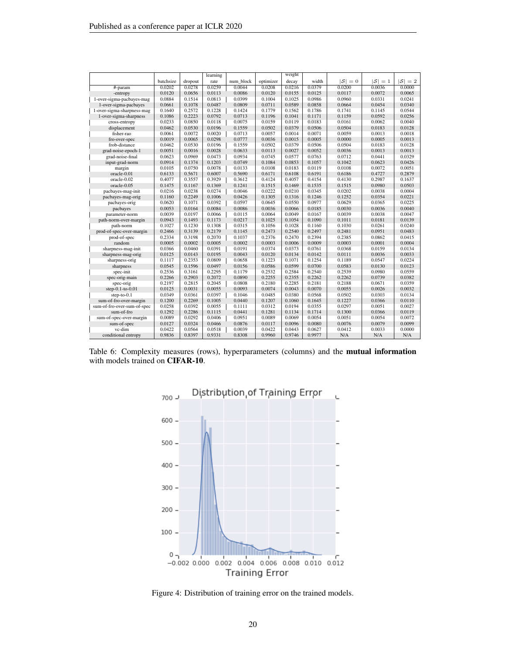|                             |           |         | learning |           |           | weight |        |                   |                   |         |
|-----------------------------|-----------|---------|----------|-----------|-----------|--------|--------|-------------------|-------------------|---------|
|                             | batchsize | dropout | rate     | num block | optimizer | decay  | width  | $ \mathcal{S} =0$ | $ \mathcal{S} =1$ | $ S =2$ |
| #-param                     | 0.0202    | 0.0278  | 0.0259   | 0.0044    | 0.0208    | 0.0216 | 0.0379 | 0.0200            | 0.0036            | 0.0000  |
| -entropy                    | 0.0120    | 0.0656  | 0.0113   | 0.0086    | 0.0120    | 0.0155 | 0.0125 | 0.0117            | 0.0072            | 0.0065  |
| 1-over-sigma-pacbayes-mag   | 0.0884    | 0.1514  | 0.0813   | 0.0399    | 0.1004    | 0.1025 | 0.0986 | 0.0960            | 0.0331            | 0.0241  |
| 1-over-sigma-pacbayes       | 0.0661    | 0.1078  | 0.0487   | 0.0809    | 0.0711    | 0.0589 | 0.0858 | 0.0664            | 0.0454            | 0.0340  |
| 1-over-sigma-sharpness-mag  | 0.1640    | 0.2572  | 0.1228   | 0.1424    | 0.1779    | 0.1562 | 0.1786 | 0.1741            | 0.1145            | 0.0544  |
| 1-over-sigma-sharpness      | 0.1086    | 0.2223  | 0.0792   | 0.0713    | 0.1196    | 0.1041 | 0.1171 | 0.1159            | 0.0592            | 0.0256  |
| cross-entropy               | 0.0233    | 0.0850  | 0.0118   | 0.0075    | 0.0159    | 0.0119 | 0.0183 | 0.0161            | 0.0062            | 0.0040  |
| displacement                | 0.0462    | 0.0530  | 0.0196   | 0.1559    | 0.0502    | 0.0379 | 0.0506 | 0.0504            | 0.0183            | 0.0128  |
| fisher-rao                  | 0.0061    | 0.0072  | 0.0020   | 0.0713    | 0.0057    | 0.0014 | 0.0071 | 0.0059            | 0.0013            | 0.0018  |
| fro-over-spec               | 0.0019    | 0.0065  | 0.0298   | 0.0777    | 0.0036    | 0.0015 | 0.0005 | 0.0000            | 0.0005            | 0.0013  |
| frob-distance               | 0.0462    | 0.0530  | 0.0196   | 0.1559    | 0.0502    | 0.0379 | 0.0506 | 0.0504            | 0.0183            | 0.0128  |
| grad-noise-epoch-1          | 0.0051    | 0.0016  | 0.0028   | 0.0633    | 0.0113    | 0.0027 | 0.0052 | 0.0036            | 0.0013            | 0.0013  |
| grad-noise-final            | 0.0623    | 0.0969  | 0.0473   | 0.0934    | 0.0745    | 0.0577 | 0.0763 | 0.0712            | 0.0441            | 0.0329  |
| input-grad-norm             | 0.0914    | 0.1374  | 0.1203   | 0.0749    | 0.1084    | 0.0853 | 0.1057 | 0.1042            | 0.0623            | 0.0426  |
| margin                      | 0.0105    | 0.0750  | 0.0078   | 0.0133    | 0.0108    | 0.0183 | 0.0119 | 0.0108            | 0.0072            | 0.0051  |
| oracle-0.01                 | 0.6133    | 0.5671  | 0.6007   | 0.5690    | 0.6171    | 0.6108 | 0.6191 | 0.6186            | 0.4727            | 0.2879  |
| oracle-0.02                 | 0.4077    | 0.3557  | 0.3929   | 0.3612    | 0.4124    | 0.4057 | 0.4154 | 0.4130            | 0.2987            | 0.1637  |
| oracle-0.05                 | 0.1475    | 0.1167  | 0.1369   | 0.1241    | 0.1515    | 0.1469 | 0.1535 | 0.1515            | 0.0980            | 0.0503  |
| pacbayes-mag-init           | 0.0216    | 0.0238  | 0.0274   | 0.0046    | 0.0222    | 0.0210 | 0.0345 | 0.0202            | 0.0038            | 0.0004  |
| pacbayes-mag-orig           | 0.1160    | 0.2249  | 0.1006   | 0.0426    | 0.1305    | 0.1316 | 0.1246 | 0.1252            | 0.0354            | 0.0221  |
| pacbayes-orig               | 0.0620    | 0.1071  | 0.0392   | 0.0597    | 0.0645    | 0.0550 | 0.0977 | 0.0629            | 0.0365            | 0.0225  |
| pacbayes                    | 0.0053    | 0.0164  | 0.0084   | 0.0086    | 0.0036    | 0.0066 | 0.0185 | 0.0030            | 0.0036            | 0.0040  |
| parameter-norm              | 0.0039    | 0.0197  | 0.0066   | 0.0115    | 0.0064    | 0.0049 | 0.0167 | 0.0039            | 0.0038            | 0.0047  |
| path-norm-over-margin       | 0.0943    | 0.1493  | 0.1173   | 0.0217    | 0.1025    | 0.1054 | 0.1090 | 0.1011            | 0.0181            | 0.0139  |
| path-norm                   | 0.1027    | 0.1230  | 0.1308   | 0.0315    | 0.1056    | 0.1028 | 0.1160 | 0.1030            | 0.0261            | 0.0240  |
| prod-of-spec-over-margin    | 0.2466    | 0.3139  | 0.2179   | 0.1145    | 0.2473    | 0.2540 | 0.2497 | 0.2481            | 0.0951            | 0.0483  |
| prod-of-spec                | 0.2334    | 0.3198  | 0.2070   | 0.1037    | 0.2376    | 0.2470 | 0.2394 | 0.2385            | 0.0862            | 0.0415  |
| random                      | 0.0005    | 0.0002  | 0.0005   | 0.0002    | 0.0003    | 0.0006 | 0.0009 | 0.0003            | 0.0001            | 0.0004  |
| sharpness-mag-init          | 0.0366    | 0.0460  | 0.0391   | 0.0191    | 0.0374    | 0.0373 | 0.0761 | 0.0368            | 0.0159            | 0.0134  |
| sharpness-mag-orig          | 0.0125    | 0.0143  | 0.0195   | 0.0043    | 0.0120    | 0.0134 | 0.0142 | 0.0111            | 0.0036            | 0.0033  |
| sharpness-orig              | 0.1117    | 0.2353  | 0.0809   | 0.0658    | 0.1223    | 0.1071 | 0.1254 | 0.1189            | 0.0547            | 0.0224  |
| sharpness                   | 0.0545    | 0.1596  | 0.0497   | 0.0156    | 0.0586    | 0.0599 | 0.0700 | 0.0583            | 0.0130            | 0.0123  |
| spec-init                   | 0.2536    | 0.3161  | 0.2295   | 0.1179    | 0.2532    | 0.2584 | 0.2540 | 0.2539            | 0.0980            | 0.0559  |
| spec-orig-main              | 0.2266    | 0.2903  | 0.2072   | 0.0890    | 0.2255    | 0.2355 | 0.2262 | 0.2262            | 0.0739            | 0.0382  |
| spec-orig                   | 0.2197    | 0.2815  | 0.2045   | 0.0808    | 0.2180    | 0.2285 | 0.2181 | 0.2188            | 0.0671            | 0.0359  |
| step-0.1-to-0.01            | 0.0125    | 0.0031  | 0.0055   | 0.0093    | 0.0074    | 0.0043 | 0.0070 | 0.0055            | 0.0026            | 0.0032  |
| step-to-0.1                 | 0.0349    | 0.0361  | 0.0397   | 0.1046    | 0.0485    | 0.0380 | 0.0568 | 0.0502            | 0.0303            | 0.0134  |
| sum-of-fro-over-margin      | 0.1200    | 0.2269  | 0.1005   | 0.0440    | 0.1207    | 0.1060 | 0.1645 | 0.1227            | 0.0366            | 0.0110  |
| sum-of-fro-over-sum-of-spec | 0.0258    | 0.0392  | 0.0055   | 0.1111    | 0.0312    | 0.0194 | 0.0355 | 0.0297            | 0.0051            | 0.0027  |
| sum-of-fro                  | 0.1292    | 0.2286  | 0.1115   | 0.0441    | 0.1281    | 0.1134 | 0.1714 | 0.1300            | 0.0366            | 0.0119  |
| sum-of-spec-over-margin     | 0.0089    | 0.0292  | 0.0406   | 0.0951    | 0.0089    | 0.0069 | 0.0054 | 0.0051            | 0.0054            | 0.0072  |
| sum-of-spec                 | 0.0127    | 0.0324  | 0.0466   | 0.0876    | 0.0117    | 0.0096 | 0.0080 | 0.0076            | 0.0079            | 0.0099  |
| vc-dim                      | 0.0422    | 0.0564  | 0.0518   | 0.0039    | 0.0422    | 0.0443 | 0.0627 | 0.0412            | 0.0033            | 0.0000  |
| conditional entropy         | 0.9836    | 0.8397  | 0.9331   | 0.8308    | 0.9960    | 0.9746 | 0.9977 | N/A               | N/A               | N/A     |

<span id="page-19-0"></span>Table 6: Complexity measures (rows), hyperparameters (columns) and the mutual information with models trained on CIFAR-10.



Figure 4: Distribution of training error on the trained models.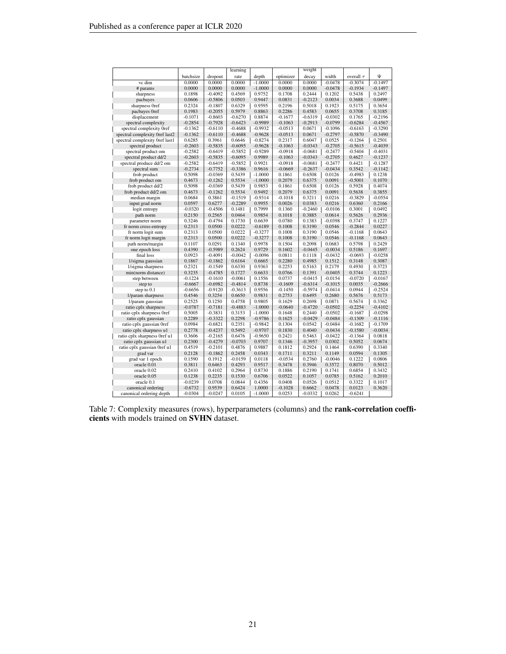<span id="page-20-0"></span>

|                                         |                     |                        | learning         |                  |                  | weight           |                     |                  |                  |
|-----------------------------------------|---------------------|------------------------|------------------|------------------|------------------|------------------|---------------------|------------------|------------------|
|                                         | batchsize           | dropout                | rate             | depth            | optimizer        | decay            | width               | overall $\tau$   | Ψ                |
| vc dim                                  | 0.0000              | 0.0000                 | 0.0000           | $-1.0000$        | 0.0000           | 0.0000           | $-0.0478$           | $-0.3074$        | $-0.1497$        |
| # params                                | 0.0000              | 0.0000                 | 0.0000           | $-1.0000$        | 0.0000           | 0.0000           | $-0.0478$           | $-0.1934$        | $-0.1497$        |
| sharpness                               | 0.1898              | $-0.4092$              | 0.4569           | 0.9752           | 0.1708           | 0.2444           | 0.1202              | 0.5438           | 0.2497           |
| pacbayes                                | 0.0606              | $-0.5806$              | 0.0503           | 0.9447           | 0.0831           | $-0.2123$        | 0.0034              | 0.3688           | 0.0499           |
| sharpness Oref                          | 0.2324              | $-0.1807$              | 0.6329           | 0.9595           | 0.2196           | 0.5018           | 0.1923              | 0.5175           | 0.3654           |
| pacbayes 0ref                           | 0.1983              | $-0.2055$              | 0.5979           | 0.8863           | 0.2286           | 0.4583           | 0.0655              | 0.3708           | 0.3185           |
| displacement                            | $-0.1071$           | $-0.8603$              | $-0.6270$        | 0.8874           | $-0.1677$        | $-0.6319$        | $-0.0302$           | 0.1765           | $-0.2196$        |
| spectral complexity                     | $-0.2854$           | $-0.7928$              | $-0.6423$        | $-0.9989$        | $-0.1063$        | $-0.2913$        | $-0.0799$           | $-0.6284$        | $-0.4567$        |
| spectral complexity 0ref                | $-0.1362$           | $-0.6110$              | $-0.4688$        | $-0.9932$        | $-0.0513$        | 0.0671           | $-0.1096$           | $-0.6163$        | $-0.3290$        |
| spectral complexity 0ref last2          | $-0.1362$           | $-0.6110$              | $-0.4688$        | $-0.9628$        | $-0.0513$        | 0.0671           | $-0.2797$           | $-0.5870$        | $-0.3490$        |
| spectral complexity 0ref last1          | 0.6285              | 0.3961                 | 0.6646           | $-0.8274$        | 0.2317           | 0.6047           | 0.0525              | $-0.1264$        | 0.2501           |
| spectral product                        | $-0.2603$           | $-0.5835$              | $-0.6095$        | $-0.9628$        | $-0.1063$        | $-0.0343$        | $-0.2705$           | $-0.5615$        | $-0.4039$        |
| spectral product om                     | $-0.2582$           | $-0.6419$              | $-0.5852$        | $-0.9289$        | $-0.0918$        | $-0.0681$        | $-0.2477$           | $-0.5404$        | $-0.4031$        |
| spectral product dd/2                   | $-0.2603$           | $-0.5835$              | $-0.6095$        | 0.9989           | $-0.1063$        | $-0.0343$        | $-0.2705$           | 0.4627           | $-0.1237$        |
| spectral produce dd/2 om                | $-0.2582$           | $-0.6419$              | $-0.5852$        | 0.9921           | $-0.0918$        | $-0.0681$        | $-0.2477$           | 0.4421           | $-0.1287$        |
| spectral sum                            | $-0.2734$           | $-0.7752$              | $-0.3386$        | 0.9616           | $-0.0669$        | $-0.2637$        | $-0.0434$           | 0.3542           | $-0.1142$        |
| frob product                            | 0.5098              | $-0.0369$              | 0.5439           | $-1.0000$        | 0.1861           | 0.6508           | 0.0126              | $-0.4983$        | 0.1238           |
| frob product om                         | 0.4673              | $-0.1262$              | 0.5534           | $-1.0000$        | 0.2079           | 0.6375           | 0.0091              | $-0.5001$        | 0.1070           |
| frob product dd/2                       | 0.5098              | $-0.0369$              | 0.5439           | 0.9853           | 0.1861           | 0.6508           | 0.0126              | 0.5928           | 0.4074           |
| frob product dd/2 om                    | 0.4673              | $-0.1262$              | 0.5534           | 0.9492           | 0.2079           | 0.6375           | 0.0091              | 0.5638           | 0.3855           |
| median margin                           | 0.0684              | 0.3861                 | $-0.1519$        | $-0.9314$        | $-0.1018$        | 0.3211           | 0.0216              | $-0.3829$        | $-0.0554$        |
| input grad norm                         | 0.0597              | 0.6277                 | $-0.2289$        | 0.9955           | 0.0026           | 0.0383           | 0.0216              | 0.6360           | 0.2166           |
| logit entropy                           | $-0.0320$           | $-0.4506$              | 0.1481           | 0.7999           | 0.1360           | $-0.2460$        | -0.0106             | 0.3001           | 0.0492           |
| path norm                               | 0.2150              | 0.2565                 | 0.0464           | 0.9854           | 0.1018           | 0.3885           | 0.0614              | 0.5626           | 0.2936           |
| parameter norm                          | 0.3246              | $-0.4794$              | 0.1730           | 0.6639           | 0.0780           | 0.1383           | $-0.0398$           | 0.3747           | 0.1227           |
| fr norm cross-entropy                   | 0.2313              | 0.0500                 | 0.0222           | $-0.6189$        | 0.1008           | 0.3190           | 0.0546              | $-0.2844$        | 0.0227           |
| fr norm logit sum                       | 0.2313              | 0.0500                 | 0.0222           | $-0.3277$        | 0.1008           | 0.3190           | 0.0546              | $-0.1168$        | 0.0643           |
| fr norm logit margin                    | 0.2313              | 0.0500                 | 0.0222           | $-0.3277$        | 0.1008           | 0.3190           | 0.0546              | $-0.1168$        | 0.0643           |
| path norm/margin                        | 0.1107              | 0.0291                 | 0.1340           | 0.9978           | 0.1504           | 0.2098           | 0.0683              | 0.5798           | 0.2429           |
| one epoch loss                          | 0.4390              | $-0.5989$              | 0.2624           | 0.9729           | 0.1602           | $-0.0445$        | $-0.0034$           | 0.5186           | 0.1697           |
| final loss                              | 0.0923              | $-0.4091$              | $-0.0042$        | $-0.0096$        | 0.0811           | 0.1118           | $-0.0432$           | $-0.0693$        | $-0.0258$        |
| 1/sigma gaussian                        | 0.1867              | $-0.1862$<br>$-0.1549$ | 0.6164<br>0.6330 | 0.6665           | 0.2280<br>0.2253 | 0.4985<br>0.5163 | 0.1512<br>0.2179    | 0.3148           | 0.3087           |
| 1/sigma sharpness<br>min(norm distance) | 0.2321<br>0.3235    | $-0.4785$              | 0.1727           | 0.9363<br>0.6633 | 0.0766           | 0.1391           | $-0.0405$           | 0.4930<br>0.3744 | 0.3723<br>0.1223 |
| step between                            | $-0.1224$           | $-0.1610$              | $-0.0061$        | 0.1556           | 0.0737           | $-0.0415$        | $-0.0154$           | $-0.0720$        | $-0.0167$        |
|                                         | $-0.6667$           | $-0.6982$              | $-0.4814$        | 0.8738           | $-0.1609$        | $-0.6314$        | $-0.1015$           | 0.0035           | $-0.2666$        |
| step to                                 |                     | $-0.9120$              | $-0.3613$        | 0.9556           | $-0.1450$        | $-0.5974$        |                     | 0.0944           | $-0.2524$        |
| step to 0.1<br>1/param sharpness        | $-0.6656$<br>0.4546 | 0.3254                 | 0.6650           | 0.9831           | 0.2753           | 0.6495           | $-0.0414$<br>0.2680 | 0.5676           | 0.5173           |
| 1/param gaussian                        | 0.2525              | 0.1250                 | 0.4758           | 0.9805           | 0.1629           | 0.2698           | 0.0871              | 0.5674           | 0.3362           |
| ratio cplx sharpness                    | $-0.0787$           | $-0.7181$              | $-0.4883$        | $-1.0000$        | $-0.0640$        | $-0.4720$        | $-0.0502$           | $-0.2254$        | $-0.4102$        |
| ratio cplx sharpness 0ref               | 0.5005              | $-0.3831$              | 0.3153           | $-1.0000$        | 0.1648           | 0.2440           | $-0.0502$           | $-0.1687$        | $-0.0298$        |
| ratio cplx gaussian                     | 0.2289              | $-0.3322$              | 0.2298           | $-0.9786$        | 0.1625           | $-0.0429$        | $-0.0484$           | $-0.1309$        | $-0.1116$        |
| ratio cplx gaussian 0ref                | 0.0984              | $-0.6821$              | 0.2351           | $-0.9842$        | 0.1304           | 0.0542           | $-0.0484$           | $-0.1682$        | $-0.1709$        |
| ratio cplx sharpness u1                 | 0.2778              | $-0.4237$              | 0.5492           | $-0.9707$        | 0.1830           | 0.4040           | $-0.0434$           | $-0.1580$        | $-0.0034$        |
| ratio cplx sharpness 0ref u1            | 0.3606              | $-0.2165$              | 0.6476           | $-0.9650$        | 0.2421           | 0.5463           | -0.0422             | $-0.1364$        | 0.0818           |
| ratio cplx gaussian u1                  | 0.2300              | $-0.4279$              | $-0.0703$        | 0.9707           | 0.1346           | $-0.3957$        | 0.0302              | 0.5052           | 0.0674           |
| ratio cplx gaussian 0ref u1             | 0.4519              | $-0.2101$              | 0.4876           | 0.9887           | 0.1812           | 0.2924           | 0.1464              | 0.6390           | 0.3340           |
| grad var                                | 0.2128              | $-0.1862$              | 0.2458           | 0.0343           | 0.1711           | 0.3211           | 0.1149              | 0.0594           | 0.1305           |
| grad var 1 epoch                        | 0.1590              | 0.1912                 | $-0.0159$        | 0.0118           | $-0.0534$        | 0.2760           | $-0.0046$           | 0.1222           | 0.0806           |
| oracle 0.01                             | 0.3811              | 0.6463                 | 0.4293           | 0.9517           | 0.3478           | 0.3946           | 0.3572              | 0.8070           | 0.5012           |
| oracle 0.02                             | 0.2410              | 0.4102                 | 0.2964           | 0.8730           | 0.1886           | 0.2190           | 0.1741              | 0.6854           | 0.3432           |
| oracle 0.05                             | 0.1238              | 0.2235                 | 0.1530           | 0.6706           | 0.0522           | 0.1057           | 0.0785              | 0.5162           | 0.2010           |
| oracle 0.1                              | $-0.0239$           | 0.0708                 | 0.0844           | 0.4356           | 0.0408           | 0.0526           | 0.0512              | 0.3322           | 0.1017           |
| canonical ordering                      | $-0.6732$           | 0.9539                 | 0.6424           | 1.0000           | $-0.1028$        | 0.6662           | 0.0478              | 0.0123           | 0.3620           |
| canonical ordering depth                | $-0.0304$           | $-0.0247$              | 0.0105           | $-1.0000$        | 0.0253           | $-0.0332$        | 0.0262              | $-0.6241$        |                  |
|                                         |                     |                        |                  |                  |                  |                  |                     |                  |                  |

Table 7: Complexity measures (rows), hyperparameters (columns) and the **rank-correlation coeffi**cients with models trained on SVHN dataset.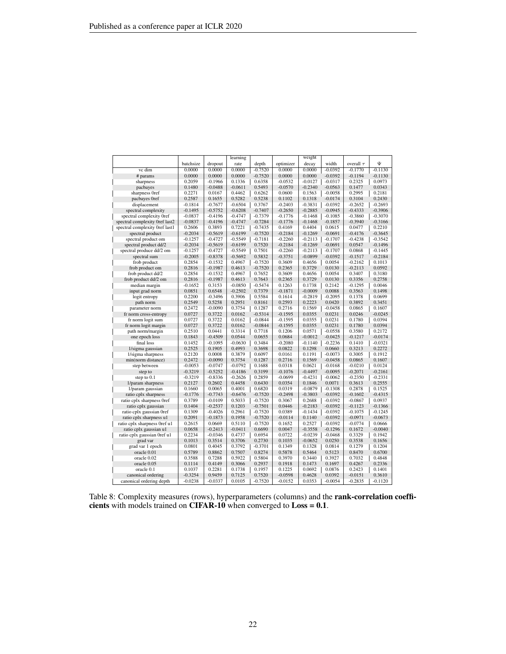|                                |           |           | learning  |           |           | weight    |           |                |           |
|--------------------------------|-----------|-----------|-----------|-----------|-----------|-----------|-----------|----------------|-----------|
|                                | batchsize | dropout   | rate      | depth     | optimizer | decay     | width     | overall $\tau$ | Ψ         |
| vc dim                         | 0.0000    | 0.0000    | 0.0000    | $-0.7520$ | 0.0000    | 0.0000    | $-0.0392$ | $-0.1770$      | $-0.1130$ |
| # params                       | 0.0000    | 0.0000    | 0.0000    | $-0.7520$ | 0.0000    | 0.0000    | $-0.0392$ | $-0.1194$      | $-0.1130$ |
| sharpness                      | 0.2059    | $-0.1966$ | 0.1336    | 0.6358    | $-0.0532$ | $-0.0127$ | $-0.0317$ | 0.2325         | 0.0973    |
| pacbayes                       | 0.1480    | $-0.0488$ | $-0.0611$ | 0.5493    | $-0.0570$ | $-0.2340$ | $-0.0563$ | 0.1477         | 0.0343    |
| sharpness Oref                 | 0.2271    | 0.0167    | 0.4462    | 0.6262    | 0.0600    | 0.1563    | $-0.0058$ | 0.2995         | 0.2181    |
| pacbayes 0ref                  | 0.2587    | 0.1655    | 0.5282    | 0.5238    | 0.1102    | 0.1318    | $-0.0174$ | 0.3104         | 0.2430    |
| displacement                   | $-0.1814$ | $-0.7677$ | $-0.6504$ | 0.3767    | $-0.2403$ | $-0.3831$ | $-0.0392$ | $-0.2652$      | $-0.2693$ |
| spectral complexity            | $-0.1495$ | $-0.5752$ | $-0.6208$ | $-0.7407$ | $-0.2650$ | $-0.2885$ | $-0.0945$ | $-0.4333$      | $-0.3906$ |
| spectral complexity 0ref       | $-0.0837$ | $-0.4196$ | $-0.4747$ | $-0.7379$ | $-0.1776$ | $-0.1468$ | $-0.1085$ | $-0.3860$      | $-0.3070$ |
| spectral complexity 0ref last2 | $-0.0837$ | $-0.4196$ | $-0.4747$ | $-0.7284$ | $-0.1776$ | $-0.1468$ | $-0.1857$ | $-0.3940$      | $-0.3166$ |
| spectral complexity 0ref last1 | 0.2606    | 0.3893    | 0.7221    | $-0.7435$ | 0.4169    | 0.4404    | 0.0615    | 0.0477         | 0.2210    |
| spectral product               | $-0.2034$ | $-0.5619$ | $-0.6199$ | $-0.7520$ | $-0.2184$ | $-0.1269$ | $-0.0691$ | $-0.4176$      | $-0.3645$ |
| spectral product om            | $-0.1257$ | $-0.4727$ | $-0.5549$ | $-0.7181$ | $-0.2260$ | $-0.2113$ | $-0.1707$ | $-0.4238$      | $-0.3542$ |
| spectral product dd/2          | $-0.2034$ | $-0.5619$ | $-0.6199$ | 0.7520    | $-0.2184$ | $-0.1269$ | $-0.0691$ | 0.0547         | $-0.1496$ |
| spectral produce dd/2 om       | $-0.1257$ | $-0.4727$ | $-0.5549$ | 0.7501    | $-0.2260$ | $-0.2113$ | $-0.1707$ | 0.0868         | $-0.1445$ |
| spectral sum                   | $-0.2005$ | $-0.8378$ | $-0.5692$ | 0.5832    | $-0.3751$ | $-0.0899$ | $-0.0392$ | $-0.1517$      | $-0.2184$ |
| frob product                   | 0.2854    | $-0.1532$ | 0.4967    | $-0.7520$ | 0.3609    | 0.4656    | 0.0054    | $-0.2162$      | 0.1013    |
| frob product om                | 0.2816    | $-0.1987$ | 0.4613    | $-0.7520$ | 0.2365    | 0.3729    | 0.0130    | $-0.2113$      | 0.0592    |
| frob product dd/2              | 0.2854    | $-0.1532$ | 0.4967    | 0.7652    | 0.3609    | 0.4656    | 0.0054    | 0.3407         | 0.3180    |
| frob product dd/2 om           | 0.2816    | $-0.1987$ | 0.4613    | 0.7643    | 0.2365    | 0.3729    | 0.0130    | 0.3356         | 0.2758    |
| median margin                  | $-0.1652$ | 0.3153    | $-0.0850$ | $-0.5474$ | 0.1263    | 0.1738    | 0.2142    | $-0.1295$      | 0.0046    |
| input grad norm                | 0.0851    | 0.6548    | $-0.2502$ | 0.7379    | $-0.1871$ | $-0.0009$ | 0.0088    | 0.3563         | 0.1498    |
| logit entropy                  | 0.2200    | $-0.3496$ | 0.3906    | 0.5584    | 0.1614    | $-0.2819$ | $-0.2095$ | 0.1378         | 0.0699    |
| path norm                      | 0.2549    | 0.5258    | 0.2951    | 0.8161    | 0.2593    | 0.2223    | 0.0420    | 0.3892         | 0.3451    |
| parameter norm                 | 0.2472    | $-0.0090$ | 0.3754    | 0.1287    | 0.2716    | 0.1569    | $-0.0458$ | 0.0865         | 0.1607    |
| fr norm cross-entropy          | 0.0727    | 0.3722    | 0.0162    | $-0.5314$ | $-0.1595$ | 0.0355    | 0.0231    | 0.0246         | $-0.0245$ |
| fr norm logit sum              | 0.0727    | 0.3722    | 0.0162    | $-0.0844$ | $-0.1595$ | 0.0355    | 0.0231    | 0.1780         | 0.0394    |
| fr norm logit margin           | 0.0727    | 0.3722    | 0.0162    | $-0.0844$ | $-0.1595$ | 0.0355    | 0.0231    | 0.1780         | 0.0394    |
| path norm/margin               | 0.2510    | 0.0441    | 0.3314    | 0.7718    | 0.1206    | 0.0571    | $-0.0558$ | 0.3580         | 0.2172    |
| one epoch loss                 | 0.1843    | $-0.4509$ | 0.0544    | 0.0655    | 0.0684    | $-0.0012$ | $-0.0425$ | $-0.1217$      | $-0.0174$ |
| final loss                     | 0.1452    | $-0.1095$ | $-0.0630$ | 0.3484    | $-0.2080$ | $-0.1140$ | $-0.2236$ | 0.1410         | $-0.0321$ |
| 1/sigma gaussian               | 0.2525    | 0.1905    | 0.4993    | 0.3698    | 0.0822    | 0.1298    | 0.0660    | 0.3213         | 0.2272    |
| 1/sigma sharpness              | 0.2120    | 0.0008    | 0.3879    | 0.6097    | 0.0161    | 0.1191    | $-0.0073$ | 0.3005         | 0.1912    |
| min(norm distance)             | 0.2472    | $-0.0090$ | 0.3754    | 0.1287    | 0.2716    | 0.1569    | $-0.0458$ | 0.0865         | 0.1607    |
| step between                   | $-0.0053$ | $-0.0747$ | $-0.0792$ | 0.1688    | 0.0318    | 0.0621    | $-0.0168$ | $-0.0210$      | 0.0124    |
| step to                        | $-0.3219$ | $-0.5252$ | $-0.4186$ | 0.3199    | $-0.1076$ | $-0.4497$ | $-0.0095$ | $-0.2071$      | $-0.2161$ |
| step to 0.1                    | $-0.3219$ | $-0.8336$ | $-0.2626$ | 0.2859    | $-0.0699$ | $-0.4231$ | $-0.0062$ | $-0.2350$      | $-0.2331$ |
| 1/param sharpness              | 0.2127    | 0.2602    | 0.4458    | 0.6430    | 0.0354    | 0.1846    | 0.0071    | 0.3613         | 0.2555    |
| 1/param gaussian               | 0.1660    | 0.0065    | 0.4001    | 0.6820    | 0.0319    | $-0.0879$ | $-0.1308$ | 0.2878         | 0.1525    |
| ratio cplx sharpness           | $-0.1776$ | $-0.7743$ | $-0.6476$ | $-0.7520$ | $-0.2498$ | $-0.3803$ | $-0.0392$ | $-0.1602$      | $-0.4315$ |
| ratio cplx sharpness 0ref      | 0.3789    | $-0.0109$ | 0.5033    | $-0.7520$ | 0.3067    | 0.2688    | $-0.0392$ | $-0.0867$      | 0.0937    |
| ratio cplx gaussian            | 0.1404    | $-0.2537$ | 0.1203    | $-0.7501$ | 0.0446    | $-0.2183$ | $-0.0392$ | $-0.1123$      | $-0.1366$ |
| ratio cplx gaussian 0ref       | 0.1309    | $-0.4026$ | 0.2961    | $-0.7520$ | 0.0389    | $-0.1434$ | $-0.0392$ | $-0.1075$      | $-0.1245$ |
| ratio cplx sharpness u1        | 0.2091    | $-0.1873$ | 0.1958    | $-0.7520$ | $-0.0114$ | 0.1140    | $-0.0392$ | $-0.0971$      | $-0.0673$ |
| ratio cplx sharpness 0ref u1   | 0.2615    | 0.0669    | 0.5110    | $-0.7520$ | 0.1652    | 0.2527    | $-0.0392$ | $-0.0774$      | 0.0666    |
| ratio cplx gaussian u1         | 0.0658    | $-0.2413$ | $-0.0411$ | 0.6690    | 0.0047    | $-0.3558$ | $-0.1296$ | 0.1672         | $-0.0040$ |
| ratio cplx gaussian Oref u1    | 0.2234    | $-0.0346$ | 0.4737    | 0.6954    | 0.0722    | $-0.0239$ | $-0.0468$ | 0.3329         | 0.1942    |
| grad var                       | 0.1013    | 0.3514    | 0.3706    | 0.2730    | 0.1035    | $-0.0652$ | 0.0250    | 0.3538         | 0.1656    |
| grad var 1 epoch               | 0.0801    | 0.4045    | 0.3792    | $-0.3701$ | 0.1349    | 0.1328    | 0.0814    | 0.1279         | 0.1204    |
| oracle 0.01                    | 0.5789    | 0.8862    | 0.7507    | 0.8274    | 0.5878    | 0.5464    | 0.5123    | 0.8470         | 0.6700    |
| oracle 0.02                    | 0.3588    | 0.7288    | 0.5922    | 0.5804    | 0.3970    | 0.3440    | 0.3927    | 0.7032         | 0.4848    |
| oracle 0.05                    | 0.1114    | 0.4149    | 0.3066    | 0.2937    | 0.1918    | 0.1473    | 0.1697    | 0.4267         | 0.2336    |
| oracle 0.1                     | 0.1037    | 0.2281    | 0.1738    | 0.1957    | 0.1225    | 0.0692    | 0.0876    | 0.2423         | 0.1401    |
| canonical ordering             | $-0.3254$ | 0.9459    | 0.7125    | 0.7520    | $-0.0598$ | 0.4628    | 0.0392    | $-0.0151$      | 0.3610    |
| canonical ordering depth       | $-0.0238$ | $-0.0337$ | 0.0105    | $-0.7520$ | $-0.0152$ | 0.0353    | $-0.0054$ | $-0.2835$      | $-0.1120$ |

Table 8: Complexity measures (rows), hyperparameters (columns) and the **rank-correlation coeffi**cients with models trained on CIFAR-10 when converged to  $Loss = 0.1$ .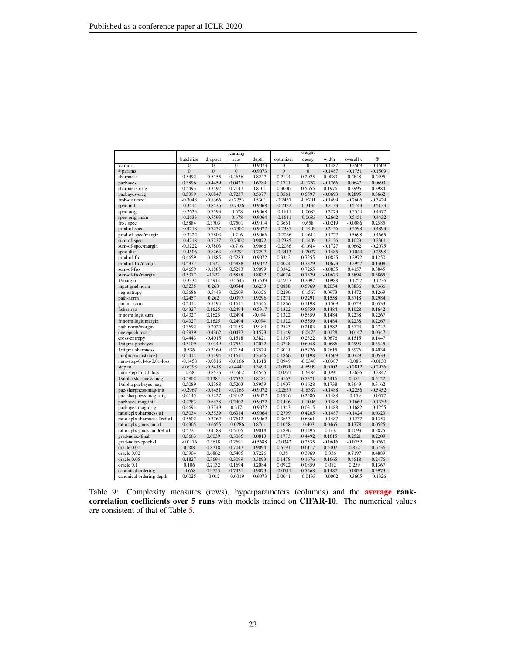<span id="page-22-0"></span>

|                              |                |              | learning       |           |                | weight         |           |                |           |
|------------------------------|----------------|--------------|----------------|-----------|----------------|----------------|-----------|----------------|-----------|
|                              | batchsize      | dropout      | rate           | depth     | optimizer      | decay          | width     | overall $\tau$ | Φ         |
| vc dim                       | $\mathbf{0}$   | $\bf{0}$     | $\overline{0}$ | $-0.9073$ | $\overline{0}$ | $\overline{0}$ | $-0.1487$ | $-0.2509$      | $-0.1509$ |
| # params                     | $\overline{0}$ | $\mathbf{0}$ | $\overline{0}$ | $-0.9073$ | $\overline{0}$ | $\overline{0}$ | $-0.1487$ | $-0.1751$      | $-0.1509$ |
| sharpness                    | 0.5492         | $-0.5155$    | 0.4636         | 0.8247    | 0.2134         | 0.2025         | 0.0083    | 0.2848         | 0.2495    |
| pacbayes                     | 0.3896         | $-0.4459$    | 0.0427         | 0.6289    | 0.1721         | $-0.1757$      | $-0.1266$ | 0.0647         | 0.0693    |
| sharpness-orig               | 0.5493         | $-0.3492$    | 0.7147         | 0.8101    | 0.3006         | 0.5655         | 0.1976    | 0.3996         | 0.3984    |
| pacbayes-orig                | 0.5399         | $-0.0847$    | 0.7237         | 0.5377    | 0.3561         | 0.5597         | $-0.0693$ | 0.2895         | 0.3662    |
| frob-distance                | $-0.3048$      | $-0.8366$    | $-0.7253$      | 0.5301    | $-0.2437$      | $-0.6701$      | $-0.1499$ | $-0.2606$      | $-0.3429$ |
| spec-init                    | $-0.3414$      | $-0.8436$    | $-0.7326$      | $-0.9068$ | $-0.2422$      | $-0.3134$      | $-0.2133$ | $-0.5743$      | $-0.5133$ |
| spec-orig                    | $-0.2633$      | $-0.7593$    | $-0.678$       | $-0.9068$ | $-0.1611$      | $-0.0683$      | $-0.2273$ | $-0.5354$      | $-0.4377$ |
| spec-orig-main               | $-0.2633$      | $-0.7593$    | $-0.678$       | $-0.9064$ | $-0.1611$      | $-0.0683$      | $-0.2662$ | $-0.5451$      | $-0.4432$ |
| fro / spec                   | 0.5884         | 0.3703       | 0.7501         | $-0.9014$ | 0.3661         | 0.658          | $-0.0219$ | $-0.0086$      | 0.2585    |
| prod-of-spec                 | $-0.4718$      | $-0.7237$    | $-0.7302$      | $-0.9072$ | $-0.2385$      | $-0.1409$      | $-0.2126$ | $-0.5598$      | $-0.4893$ |
| prod-of-spec/margin          | $-0.3222$      | $-0.7803$    | $-0.716$       | $-0.9066$ | $-0.2066$      | $-0.1614$      | $-0.1727$ | $-0.5698$      | $-0.4665$ |
| sum-of-spec                  | $-0.4718$      | $-0.7237$    | $-0.7302$      | 0.9072    | $-0.2385$      | $-0.1409$      | $-0.2126$ | 0.1023         | $-0.2301$ |
| sum-of-spec/margin           | $-0.3222$      | $-0.7803$    | $-0.716$       | 0.9066    | $-0.2066$      | $-0.1614$      | $-0.1727$ | 0.0662         | $-0.2075$ |
| spec-dist                    | $-0.4506$      | $-0.8263$    | $-0.5791$      | 0.7297    | $-0.3413$      | $-0.2027$      | $-0.1485$ | $-0.1044$      | $-0.2598$ |
| prod-of-fro                  | 0.4659         | $-0.1885$    | 0.5283         | $-0.9072$ | 0.3342         | 0.7255         | $-0.0835$ | $-0.2972$      | 0.1250    |
| prod-of-fro/margin           | 0.5377         | $-0.372$     | 0.5888         | $-0.9072$ | 0.4024         | 0.7329         | $-0.0673$ | $-0.2957$      | 0.1308    |
| sum-of-fro                   | 0.4659         | $-0.1885$    | 0.5283         | 0.9099    | 0.3342         | 0.7255         | $-0.0835$ | 0.4157         | 0.3845    |
| sum-of-fro/margin            | 0.5377         | $-0.372$     | 0.5888         | 0.8832    | 0.4024         | 0.7329         | $-0.0673$ | 0.3894         | 0.3865    |
| 1/margin                     | $-0.3334$      | 0.5914       | $-0.2543$      | $-0.7539$ | $-0.2257$      | 0.2097         | $-0.0988$ | $-0.1257$      | $-0.1236$ |
| input grad norm              | 0.5235         | 0.263        | 0.0544         | 0.6239    | 0.0888         | 0.5969         | 0.2054    | 0.3836         | 0.3366    |
| neg-entropy                  | 0.3686         | $-0.5443$    | 0.2609         | 0.6326    | 0.2296         | -0.1567        | 0.0973    | 0.1472         | 0.1269    |
| path-norm                    | 0.2457         | 0.262        | 0.0397         | 0.9296    | 0.1271         | 0.3291         | 0.1558    | 0.3718         | 0.2984    |
| param-norm                   | 0.2414         | $-0.5194$    | 0.1611         | 0.3346    | 0.1866         | 0.1198         | $-0.1509$ | 0.0729         | 0.0533    |
| fisher-rao                   | 0.4327         | 0.1625       | 0.2494         | $-0.5317$ | 0.1322         | 0.5559         | 0.1484    | 0.1028         | 0.1642    |
| fr norm logit sum            | 0.4327         | 0.1625       | 0.2494         | $-0.094$  | 0.1322         | 0.5559         | 0.1484    | 0.2238         | 0.2267    |
| fr norm logit margin         | 0.4327         | 0.1625       | 0.2494         | $-0.094$  | 0.1322         | 0.5559         | 0.1484    | 0.2238         | 0.2267    |
| path norm/margin             | 0.3692         | $-0.2022$    | 0.2159         | 0.9189    | 0.2523         | 0.2103         | 0.1582    | 0.3724         | 0.2747    |
| one epoch loss               | 0.3939         | $-0.4362$    | 0.0477         | 0.1573    | 0.1149         | $-0.0475$      | 0.0128    | $-0.0147$      | 0.0347    |
| cross-entropy                | 0.4443         | $-0.4015$    | 0.1518         | 0.3821    | 0.1367         | 0.2322         | 0.0676    | 0.1515         | 0.1447    |
| 1/sigma pacbayes             | 0.5109         | $-0.0349$    | 0.7551         | 0.2032    | 0.3738         | 0.6048         | 0.0686    | 0.2993         | 0.3545    |
| 1/sigma sharpness            | 0.536          | $-0.3169$    | 0.7154         | 0.7529    | 0.3021         | 0.5726         | 0.2615    | 0.3976         | 0.4034    |
| min(norm distance)           | 0.2414         | $-0.5194$    | 0.1611         | 0.3346    | 0.1866         | 0.1198         | $-0.1509$ | 0.0729         | 0.0533    |
| num-step-0.1-to-0.01-loss    | $-0.1458$      | $-0.0816$    | $-0.0166$      | 0.1318    | 0.0949         | $-0.0348$      | $-0.0387$ | $-0.086$       | $-0.0130$ |
| step to                      | $-0.6798$      | $-0.5418$    | $-0.4441$      | 0.3493    | $-0.0578$      | $-0.6909$      | 0.0102    | $-0.2812$      | $-0.2936$ |
| num-step-to-0.1-loss         | $-0.68$        | $-0.8526$    | $-0.2662$      | 0.4545    | $-0.0291$      | $-0.6484$      | 0.0291    | $-0.2626$      | $-0.2847$ |
| 1/alpha sharpness mag        | 0.5802         | 0.1381       | 0.7537         | 0.8181    | 0.3163         | 0.7371         | 0.2416    | 0.481          | 0.5122    |
| 1/alpha pacbayes mag         | 0.5089         | $-0.2388$    | 0.5203         | 0.8959    | 0.1907         | 0.1628         | 0.1738    | 0.3649         | 0.3162    |
| pac-sharpness-mag-init       | $-0.2967$      | $-0.8451$    | $-0.7165$      | $-0.9072$ | $-0.2637$      | $-0.6387$      | $-0.1488$ | $-0.2256$      | $-0.5452$ |
| pac-sharpness-mag-orig       | 0.4145         | $-0.5227$    | 0.3102         | $-0.9072$ | 0.1916         | 0.2586         | $-0.1488$ | $-0.159$       | $-0.0577$ |
| pacbayes-mag-init            | 0.4783         | $-0.6438$    | 0.2402         | $-0.9072$ | 0.1446         | $-0.1006$      | $-0.1488$ | $-0.1669$      | $-0.1339$ |
| pacbayes-mag-orig            | 0.4694         | $-0.7749$    | 0.317          | $-0.9072$ | 0.1343         | 0.0315         | $-0.1488$ | $-0.1682$      | $-0.1255$ |
| ratio cplx sharpness u1      | 0.5034         | $-0.5539$    | 0.6314         | $-0.9064$ | 0.2799         | 0.4205         | $-0.1487$ | $-0.1424$      | 0.0323    |
| ratio cplx sharpness 0ref u1 | 0.5602         | $-0.3762$    | 0.7642         | $-0.9062$ | 0.3653         | 0.6861         | $-0.1487$ | $-0.1237$      | 0.1350    |
| ratio cplx gaussian u1       | 0.4365         | $-0.6655$    | $-0.0286$      | 0.8761    | 0.1058         | $-0.403$       | 0.0465    | 0.1778         | 0.0525    |
| ratio cplx gaussian 0ref u1  | 0.5721         | $-0.4788$    | 0.5105         | 0.9018    | 0.1896         | 0.1495         | 0.168     | 0.4093         | 0.2875    |
| grad-noise-final             | 0.3663         | 0.0039       | 0.3066         | 0.0813    | 0.1773         | 0.4492         | 0.1615    | 0.2521         | 0.2209    |
| grad-noise-epoch-1           | $-0.0376$      | 0.3618       | 0.2691         | $-0.5688$ | $-0.0342$      | 0.2535         | $-0.0616$ | $-0.0252$      | 0.0260    |
| oracle 0.01                  | 0.588          | 0.8718       | 0.7047         | 0.9094    | 0.5191         | 0.6117         | 0.5107    | 0.852          | 0.6736    |
| oracle 0.02                  | 0.3904         | 0.6862       | 0.5405         | 0.7226    | 0.35           | 0.3969         | 0.336     | 0.7197         | 0.4889    |
| oracle 0.05                  | 0.1827         | 0.3694       | 0.3099         | 0.3893    | 0.1478         | 0.1676         | 0.1665    | 0.4518         | 0.2476    |
| oracle 0.1                   | 0.106          | 0.2132       | 0.1694         | 0.2084    | 0.0922         | 0.0859         | 0.082     | 0.259          | 0.1367    |
| canonical ordering           | $-0.668$       | 0.9753       | 0.7421         | 0.9073    | $-0.0511$      | 0.7268         | 0.1487    | $-0.0039$      | 0.3973    |
| canonical ordering depth     | 0.0025         | $-0.012$     | $-0.0019$      | $-0.9073$ | 0.0041         | $-0.0133$      | $-0.0002$ | $-0.3605$      | $-0.1326$ |

Table 9: Complexity measures (rows), hyperparameters (columns) and the **average rank**correlation coefficients over 5 runs with models trained on CIFAR-10. The numerical values are consistent of that of Table [5.](#page-18-2)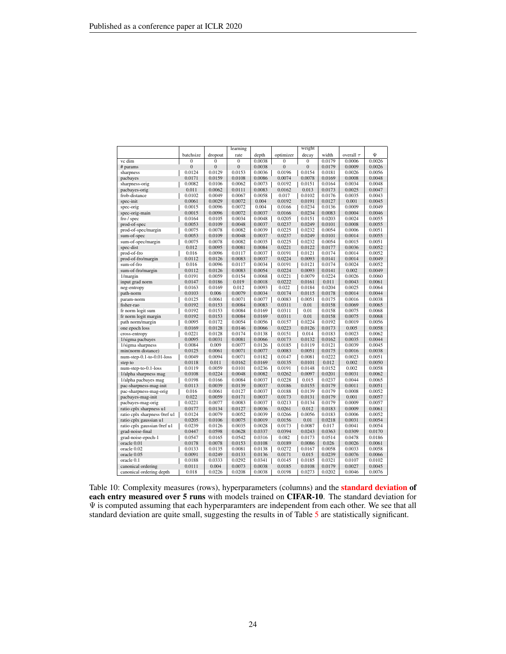<span id="page-23-0"></span>

|                              |                  |                  | learning         |        |                  | weight           |        |                |        |
|------------------------------|------------------|------------------|------------------|--------|------------------|------------------|--------|----------------|--------|
|                              | batchsize        | dropout          | rate             | depth  | optimizer        | decay            | width  | overall $\tau$ | Ψ      |
| vc dim                       | $\Omega$         | $\overline{0}$   | $\mathbf{0}$     | 0.0038 | $\Omega$         | $\overline{0}$   | 0.0179 | 0.0006         | 0.0026 |
| # params                     | $\boldsymbol{0}$ | $\boldsymbol{0}$ | $\boldsymbol{0}$ | 0.0038 | $\boldsymbol{0}$ | $\boldsymbol{0}$ | 0.0179 | 0.0009         | 0.0026 |
| sharpness                    | 0.0124           | 0.0129           | 0.0153           | 0.0036 | 0.0196           | 0.0154           | 0.0181 | 0.0026         | 0.0056 |
| pacbayes                     | 0.0171           | 0.0159           | 0.0108           | 0.0086 | 0.0074           | 0.0078           | 0.0169 | 0.0008         | 0.0048 |
| sharpness-orig               | 0.0082           | 0.0106           | 0.0062           | 0.0073 | 0.0192           | 0.0151           | 0.0164 | 0.0034         | 0.0048 |
| pacbayes-orig                | 0.011            | 0.0062           | 0.0111           | 0.0083 | 0.0162           | 0.013            | 0.0173 | 0.0025         | 0.0047 |
| frob-distance                | 0.0102           | 0.0049           | 0.0067           | 0.0058 | 0.017            | 0.0102           | 0.0176 | 0.0035         | 0.0043 |
| spec-init                    | 0.0061           | 0.0029           | 0.0072           | 0.004  | 0.0192           | 0.0191           | 0.0127 | 0.001          | 0.0045 |
| spec-orig                    | 0.0015           | 0.0096           | 0.0072           | 0.004  | 0.0166           | 0.0234           | 0.0136 | 0.0009         | 0.0049 |
| spec-orig-main               | 0.0015           | 0.0096           | 0.0072           | 0.0037 | 0.0166           | 0.0234           | 0.0083 | 0.0004         | 0.0046 |
| fro / spec                   | 0.0164           | 0.0105           | 0.0034           | 0.0048 | 0.0205           | 0.0151           | 0.0203 | 0.0024         | 0.0055 |
| prod-of-spec                 | 0.0053           | 0.0109           | 0.0048           | 0.0037 | 0.0237           | 0.0249           | 0.0101 | 0.0008         | 0.0055 |
| prod-of-spec/margin          | 0.0075           | 0.0078           | 0.0082           | 0.0039 | 0.0225           | 0.0232           | 0.0054 | 0.0006         | 0.0051 |
| sum-of-spec                  | 0.0053           | 0.0109           | 0.0048           | 0.0037 | 0.0237           | 0.0249           | 0.0101 | 0.0014         | 0.0055 |
| sum-of-spec/margin           | 0.0075           | 0.0078           | 0.0082           | 0.0035 | 0.0225           | 0.0232           | 0.0054 | 0.0015         | 0.0051 |
| spec-dist                    | 0.012            | 0.0095           | 0.0081           | 0.0084 | 0.0221           | 0.0122           | 0.0177 | 0.0036         | 0.0052 |
| prod-of-fro                  | 0.016            | 0.0096           | 0.0117           | 0.0037 | 0.0191           | 0.0121           | 0.0174 | 0.0014         | 0.0052 |
| prod-of-fro/margin           | 0.0112           | 0.0126           | 0.0083           | 0.0037 | 0.0224           | 0.0093           | 0.0141 | 0.0014         | 0.0049 |
| sum-of-fro                   | 0.016            | 0.0096           | 0.0117           | 0.0034 | 0.0191           | 0.0121           | 0.0174 | 0.0024         | 0.0052 |
| sum-of-fro/margin            | 0.0112           | 0.0126           | 0.0083           | 0.0054 | 0.0224           | 0.0093           | 0.0141 | 0.002          | 0.0049 |
| 1/margin                     | 0.0191           | 0.0059           | 0.0154           | 0.0068 | 0.0221           | 0.0079           | 0.0224 | 0.0026         | 0.0060 |
| input grad norm              | 0.0147           | 0.0186           | 0.019            | 0.0018 | 0.0222           | 0.0161           | 0.011  | 0.0043         | 0.0061 |
| neg-entropy                  | 0.0163           | 0.0169           | 0.012            | 0.0093 | 0.022            | 0.0184           | 0.0204 | 0.0025         | 0.0064 |
| path-norm                    | 0.0103           | 0.006            | 0.0079           | 0.0034 | 0.0174           | 0.0115           | 0.0178 | 0.0014         | 0.0044 |
| param-norm                   | 0.0125           | 0.0061           | 0.0071           | 0.0077 | 0.0083           | 0.0051           | 0.0175 | 0.0016         | 0.0038 |
| fisher-rao                   | 0.0192           | 0.0153           | 0.0084           | 0.0083 | 0.0311           | 0.01             | 0.0158 | 0.0069         | 0.0065 |
| fr norm logit sum            | 0.0192           | 0.0153           | 0.0084           | 0.0169 | 0.0311           | 0.01             | 0.0158 | 0.0075         | 0.0068 |
| fr norm logit margin         | 0.0192           | 0.0153           | 0.0084           | 0.0169 | 0.0311           | 0.01             | 0.0158 | 0.0075         | 0.0068 |
| path norm/margin             | 0.0095           | 0.0172           | 0.0054           | 0.0056 | 0.0157           | 0.0224           | 0.0192 | 0.0019         | 0.0056 |
| one epoch loss               | 0.0169           | 0.0128           | 0.0146           | 0.0066 | 0.0223           | 0.0126           | 0.0173 | 0.005          | 0.0058 |
| cross-entropy                | 0.0221           | 0.0128           | 0.0174           | 0.0138 | 0.0151           | 0.014            | 0.0183 | 0.0023         | 0.0062 |
| 1/sigma pacbayes             | 0.0095           | 0.0031           | 0.0081           | 0.0066 | 0.0173           | 0.0132           | 0.0162 | 0.0035         | 0.0044 |
| 1/sigma sharpness            | 0.0084           | 0.009            | 0.0077           | 0.0126 | 0.0185           | 0.0119           | 0.0121 | 0.0039         | 0.0045 |
| min(norm distance)           | 0.0125           | 0.0061           | 0.0071           | 0.0077 | 0.0083           | 0.0051           | 0.0175 | 0.0016         | 0.0038 |
| $num-step-0.1-to-0.01-loss$  | 0.0049           | 0.0094           | 0.0071           | 0.0182 | 0.0147           | 0.0081           | 0.0222 | 0.0023         | 0.0051 |
| step to                      | 0.0118           | 0.011            | 0.0162           | 0.0169 | 0.0135           | 0.0101           | 0.012  | 0.002          | 0.0050 |
| num-step-to-0.1-loss         | 0.0119           | 0.0059           | 0.0101           | 0.0236 | 0.0191           | 0.0148           | 0.0152 | 0.002          | 0.0058 |
| 1/alpha sharpness mag        | 0.0108           | 0.0224           | 0.0048           | 0.0082 | 0.0262           | 0.0097           | 0.0201 | 0.0031         | 0.0062 |
| 1/alpha pacbayes mag         | 0.0198           | 0.0166           | 0.0084           | 0.0037 | 0.0228           | 0.015            | 0.0237 | 0.0044         | 0.0065 |
| pac-sharpness-mag-init       | 0.0113           | 0.0039           | 0.0139           | 0.0037 | 0.0186           | 0.0155           | 0.0179 | 0.0011         | 0.0051 |
| pac-sharpness-mag-orig       | 0.016            | 0.0061           | 0.0127           | 0.0037 | 0.0188           | 0.0139           | 0.0179 | 0.0008         | 0.0052 |
| pacbayes-mag-init            | 0.022            | 0.0059           | 0.0171           | 0.0037 | 0.0173           | 0.0131           | 0.0179 | 0.001          | 0.0057 |
| pacbayes-mag-orig            | 0.0221           | 0.0077           | 0.0083           | 0.0037 | 0.0213           | 0.0134           | 0.0179 | 0.0009         | 0.0057 |
| ratio cplx sharpness u1      | 0.0177           | 0.0134           | 0.0127           | 0.0036 | 0.0261           | 0.012            | 0.0183 | 0.0009         | 0.0061 |
| ratio cplx sharpness 0ref u1 | 0.0124           | 0.0079           | 0.0052           | 0.0039 | 0.0266           | 0.0056           | 0.0183 | 0.0006         | 0.0052 |
| ratio cplx gaussian u1       | 0.0205           | 0.0106           | 0.0075           | 0.0019 | 0.0156           | 0.01             | 0.0218 | 0.0031         | 0.0054 |
| ratio cplx gaussian 0ref u1  | 0.0239           | 0.0126           | 0.0035           | 0.0028 | 0.0173           | 0.0087           | 0.017  | 0.0041         | 0.0054 |
| grad-noise-final             | 0.0447           | 0.0598           | 0.0628           | 0.0337 | 0.0394           | 0.0243           | 0.0363 | 0.0309         | 0.0170 |
| grad-noise-epoch-1           | 0.0547           | 0.0165           | 0.0542           | 0.0316 | 0.082            | 0.0173           | 0.0514 | 0.0478         | 0.0186 |
| oracle 0.01                  | 0.0178           | 0.0078           | 0.0153           | 0.0108 | 0.0189           | 0.0086           | 0.026  | 0.0026         | 0.0061 |
| oracle 0.02                  | 0.0133           | 0.0135           | 0.0081           | 0.0138 | 0.0272           | 0.0167           | 0.0058 | 0.0033         | 0.0058 |
| oracle 0.05                  | 0.0091           | 0.0249           | 0.0133           | 0.0136 | 0.0171           | 0.015            | 0.0239 | 0.0076         | 0.0066 |
| oracle 0.1                   | 0.0188           | 0.0333           | 0.0292           | 0.0341 | 0.0145           | 0.0185           | 0.0321 | 0.0107         | 0.0102 |
| canonical ordering           | 0.0111           | 0.004            | 0.0073           | 0.0038 | 0.0185           | 0.0108           | 0.0179 | 0.0027         | 0.0045 |
| canonical ordering depth     | 0.018            | 0.0226           | 0.0208           | 0.0038 | 0.0198           | 0.0273           | 0.0202 | 0.0046         | 0.0076 |

Table 10: Complexity measures (rows), hyperparameters (columns) and the **standard deviation of** each entry measured over 5 runs with models trained on CIFAR-10. The standard deviation for  $\Psi$  is computed assuming that each hyperparamters are independent from each other. We see that all standard deviation are quite small, suggesting the results in of Table [5](#page-18-2) are statistically significant.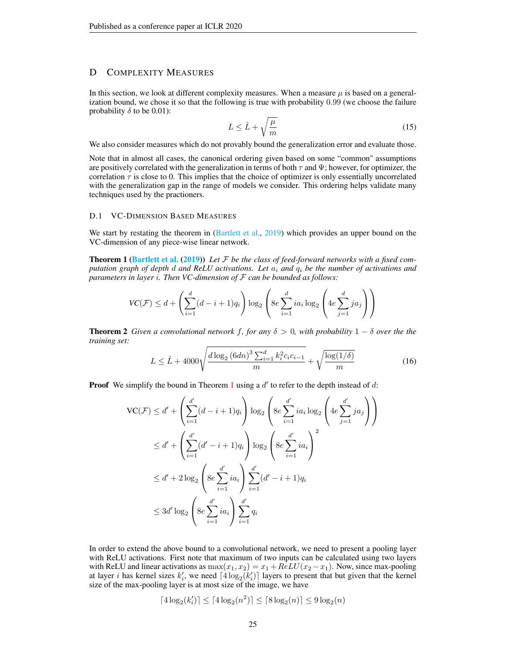# <span id="page-24-0"></span>D COMPLEXITY MEASURES

In this section, we look at different complexity measures. When a measure  $\mu$  is based on a generalization bound, we chose it so that the following is true with probability 0.99 (we choose the failure probability  $\delta$  to be 0.01):

<span id="page-24-2"></span>
$$
L \leq \hat{L} + \sqrt{\frac{\mu}{m}}\tag{15}
$$

We also consider measures which do not provably bound the generalization error and evaluate those.

Note that in almost all cases, the canonical ordering given based on some "common" assumptions are positively correlated with the generalization in terms of both  $\tau$  and  $\Psi$ ; however, for optimizer, the correlation  $\tau$  is close to 0. This implies that the choice of optimizer is only essentially uncorrelated with the generalization gap in the range of models we consider. This ordering helps validate many techniques used by the practioners.

### <span id="page-24-1"></span>D.1 VC-DIMENSION BASED MEASURES

We start by restating the theorem in [\(Bartlett et al.,](#page-10-10) [2019\)](#page-10-10) which provides an upper bound on the VC-dimension of any piece-wise linear network.

Theorem 1 [\(Bartlett et al.](#page-10-10) [\(2019\)](#page-10-10)) *Let* F *be the class of feed-forward networks with a fixed computation graph of depth* d *and ReLU activations. Let* a<sup>i</sup> *and* q<sup>i</sup> *be the number of activations and parameters in layer* i*. Then VC-dimension of* F *can be bounded as follows:*

$$
VC(\mathcal{F}) \le d + \left(\sum_{i=1}^d (d-i+1)q_i\right) \log_2\left(8e \sum_{i=1}^d ia_i \log_2\left(4e \sum_{j=1}^d ja_j\right)\right)
$$

<span id="page-24-3"></span>**Theorem 2** *Given a convolutional network* f, for any  $\delta > 0$ , with probability  $1 - \delta$  *over the the training set:*

$$
L \leq \hat{L} + 4000 \sqrt{\frac{d \log_2 (6dn)^3 \sum_{i=1}^d k_i^2 c_i c_{i-1}}{m}} + \sqrt{\frac{\log(1/\delta)}{m}} \tag{16}
$$

**Proof** We simplify the bound in Theorem [1](#page-24-2) using a  $d'$  to refer to the depth instead of  $d$ :

$$
VC(\mathcal{F}) \le d' + \left(\sum_{i=1}^{d'} (d - i + 1)q_i\right) \log_2 \left(8e \sum_{i=1}^{d'} ia_i \log_2 \left(4e \sum_{j=1}^{d'} ja_j\right)\right)
$$
  

$$
\le d' + \left(\sum_{i=1}^{d'} (d' - i + 1)q_i\right) \log_2 \left(8e \sum_{i=1}^{d'} ia_i\right)^2
$$
  

$$
\le d' + 2 \log_2 \left(8e \sum_{i=1}^{d'} ia_i\right) \sum_{i=1}^{d'} (d' - i + 1)q_i
$$
  

$$
\le 3d' \log_2 \left(8e \sum_{i=1}^{d'} ia_i\right) \sum_{i=1}^{d'} q_i
$$

In order to extend the above bound to a convolutional network, we need to present a pooling layer with ReLU activations. First note that maximum of two inputs can be calculated using two layers with ReLU and linear activations as  $\max(x_1, x_2) = x_1 + ReLU(x_2 - x_1)$ . Now, since max-pooling at layer *i* has kernel sizes  $k'_i$ , we need  $\lceil 4 \log_2(k'_i) \rceil$  layers to present that but given that the kernel size of the max-pooling layer is at most size of the image, we have

$$
\lceil 4\log_2(k'_i)\rceil\leq \lceil 4\log_2(n^2)\rceil\leq \lceil 8\log_2(n)\rceil\leq 9\log_2(n)
$$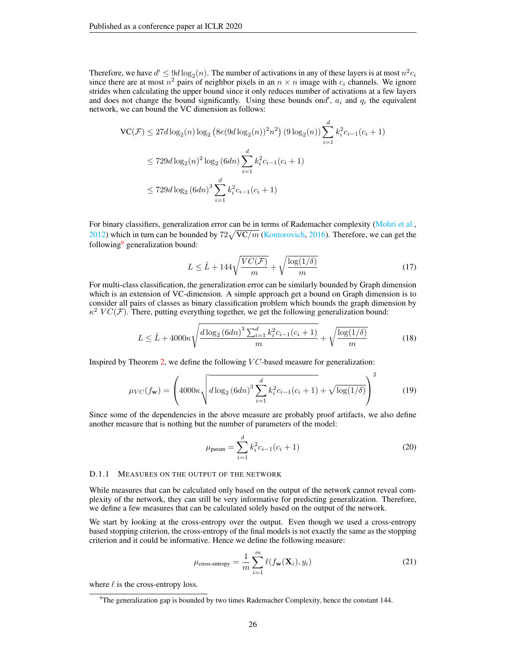Therefore, we have  $d' \leq \frac{9}{2}d \log_2(n)$ . The number of activations in any of these layers is at most  $n^2c_i$ since there are at most  $n^2$  pairs of neighbor pixels in an  $n \times n$  image with  $c_i$  channels. We ignore strides when calculating the upper bound since it only reduces number of activations at a few layers and does not change the bound significantly. Using these bounds ond',  $a_i$  and  $q_i$  the equivalent network, we can bound the VC dimension as follows:

$$
\begin{aligned} \n\text{VC}(\mathcal{F}) &\le 27d \log_2(n) \log_2\left(8e(9d \log_2(n))^2 n^2\right) (9 \log_2(n)) \sum_{i=1}^d k_i^2 c_{i-1}(c_i+1) \\ \n&\le 729d \log_2(n)^2 \log_2\left(6dn\right) \sum_{i=1}^d k_i^2 c_{i-1}(c_i+1) \\ \n&\le 729d \log_2\left(6dn\right)^3 \sum_{i=1}^d k_i^2 c_{i-1}(c_i+1) \n\end{aligned}
$$

For binary classifiers, generalization error can be in terms of Rademacher complexity [\(Mohri et al.,](#page-11-15) [2012\)](#page-11-15) which in turn can be bounded by  $72\sqrt{VC/m}$  [\(Kontorovich,](#page-11-16) [2016\)](#page-11-16). Therefore, we can get the following<sup>[9](#page-25-4)</sup> generalization bound:

$$
L \leq \hat{L} + 144\sqrt{\frac{VC(\mathcal{F})}{m}} + \sqrt{\frac{\log(1/\delta)}{m}}
$$
\n(17)

For multi-class classification, the generalization error can be similarly bounded by Graph dimension which is an extension of VC-dimension. A simple approach get a bound on Graph dimension is to consider all pairs of classes as binary classification problem which bounds the graph dimension by  $\kappa^2$   $VC(\mathcal{F})$ . There, putting everything together, we get the following generalization bound:

$$
L \leq \hat{L} + 4000\kappa \sqrt{\frac{d\log_2\left(6dn\right)^3 \sum_{i=1}^d k_i^2 c_{i-1} (c_i + 1)}{m}} + \sqrt{\frac{\log(1/\delta)}{m}}\tag{18}
$$

Inspired by Theorem [2,](#page-24-3) we define the following  $VC$ -based measure for generalization:

<span id="page-25-0"></span>
$$
\mu_{VC}(f_{\mathbf{w}}) = \left(4000\kappa \sqrt{d \log_2 (6dn)^3 \sum_{i=1}^d k_i^2 c_{i-1}(c_i+1)} + \sqrt{\log(1/\delta)}\right)^2 \tag{19}
$$

Since some of the dependencies in the above measure are probably proof artifacts, we also define another measure that is nothing but the number of parameters of the model:

<span id="page-25-1"></span>
$$
\mu_{\text{param}} = \sum_{i=1}^{d} k_i^2 c_{i-1} (c_i + 1) \tag{20}
$$

### <span id="page-25-3"></span>D.1.1 MEASURES ON THE OUTPUT OF THE NETWORK

While measures that can be calculated only based on the output of the network cannot reveal complexity of the network, they can still be very informative for predicting generalization. Therefore, we define a few measures that can be calculated solely based on the output of the network.

We start by looking at the cross-entropy over the output. Even though we used a cross-entropy based stopping criterion, the cross-entropy of the final models is not exactly the same as the stopping criterion and it could be informative. Hence we define the following measure:

<span id="page-25-2"></span>
$$
\mu_{\text{cross-entropy}} = \frac{1}{m} \sum_{i=1}^{m} \ell(f_{\mathbf{w}}(\mathbf{X}_i), y_i)
$$
(21)

where  $\ell$  is the cross-entropy loss.

<span id="page-25-4"></span> $9$ The generalization gap is bounded by two times Rademacher Complexity, hence the constant 144.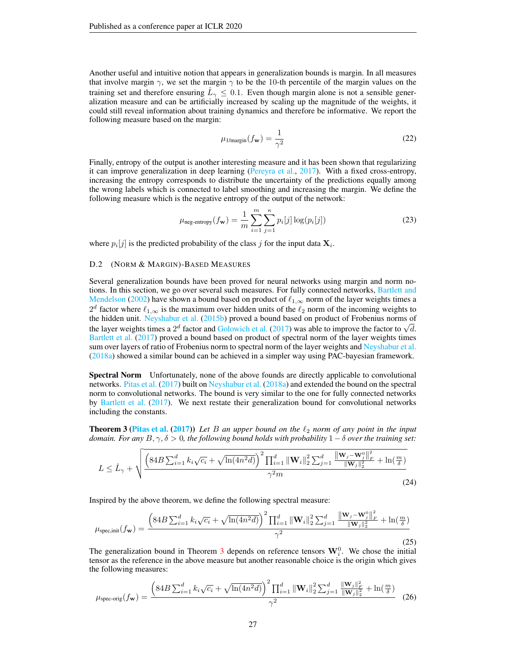Another useful and intuitive notion that appears in generalization bounds is margin. In all measures that involve margin  $\gamma$ , we set the margin  $\gamma$  to be the 10-th percentile of the margin values on the training set and therefore ensuring  $\hat{L}_{\gamma} \leq 0.1$ . Even though margin alone is not a sensible generalization measure and can be artificially increased by scaling up the magnitude of the weights, it could still reveal information about training dynamics and therefore be informative. We report the following measure based on the margin:

<span id="page-26-0"></span>
$$
\mu_{1/\text{margin}}(f_{\mathbf{w}}) = \frac{1}{\gamma^2} \tag{22}
$$

Finally, entropy of the output is another interesting measure and it has been shown that regularizing it can improve generalization in deep learning [\(Pereyra et al.,](#page-11-17) [2017\)](#page-11-17). With a fixed cross-entropy, increasing the entropy corresponds to distribute the uncertainty of the predictions equally among the wrong labels which is connected to label smoothing and increasing the margin. We define the following measure which is the negative entropy of the output of the network:

<span id="page-26-1"></span>
$$
\mu_{\text{neg-entropy}}(f_{\mathbf{w}}) = \frac{1}{m} \sum_{i=1}^{m} \sum_{j=1}^{n} p_i[j] \log(p_i[j])
$$
\n(23)

where  $p_i[j]$  is the predicted probability of the class j for the input data  $\mathbf{X}_i$ .

### <span id="page-26-3"></span>D.2 (NORM & MARGIN)-BASED MEASURES

Several generalization bounds have been proved for neural networks using margin and norm no-tions. In this section, we go over several such measures. For fully connected networks, [Bartlett and](#page-10-15) [Mendelson](#page-10-15) [\(2002\)](#page-10-15) have shown a bound based on product of  $\ell_{1,\infty}$  norm of the layer weights times a  $2^d$  factor where  $\ell_{1,\infty}$  is the maximum over hidden units of the  $\ell_2$  norm of the incoming weights to the hidden unit. [Neyshabur et al.](#page-11-1) [\(2015b\)](#page-11-1) proved a bound based on product of Frobenius norms of the hidden unit. Neyshabur et al. (2015b) proved a bound based on product of Frobenius norms of the layer weights times a 2<sup>d</sup> factor and [Golowich et al.](#page-10-1) [\(2017\)](#page-10-1) was able to improve the factor to  $\sqrt{d}$ . [Bartlett et al.](#page-10-0) [\(2017\)](#page-10-0) proved a bound based on product of spectral norm of the layer weights times sum over layers of ratio of Frobenius norm to spectral norm of the layer weights and [Neyshabur et al.](#page-11-2) [\(2018a\)](#page-11-2) showed a similar bound can be achieved in a simpler way using PAC-bayesian framework.

Spectral Norm Unfortunately, none of the above founds are directly applicable to convolutional networks. [Pitas et al.](#page-11-18) [\(2017\)](#page-11-18) built on [Neyshabur et al.](#page-11-2) [\(2018a\)](#page-11-2) and extended the bound on the spectral norm to convolutional networks. The bound is very similar to the one for fully connected networks by [Bartlett et al.](#page-10-0) [\(2017\)](#page-10-0). We next restate their generalization bound for convolutional networks including the constants.

<span id="page-26-5"></span>**Theorem 3 [\(Pitas et al.](#page-11-18) [\(2017\)](#page-11-18))** Let B an upper bound on the  $\ell_2$  norm of any point in the input *domain. For any*  $B, \gamma, \delta > 0$ , the following bound holds with probability  $1-\delta$  *over the training set:* 

$$
L \leq \hat{L}_{\gamma} + \sqrt{\frac{\left(84B \sum_{i=1}^{d} k_i \sqrt{c_i} + \sqrt{\ln(4n^2 d)}\right)^2 \prod_{i=1}^{d} \|\mathbf{W}_i\|_2^2 \sum_{j=1}^{d} \frac{\|\mathbf{W}_j - \mathbf{W}_j^0\|_F^2}{\|\mathbf{W}_j\|_2^2} + \ln(\frac{m}{\delta})}{\gamma^2 m}}
$$
(24)

Inspired by the above theorem, we define the following spectral measure:

<span id="page-26-4"></span>
$$
\mu_{\text{spec,init}}(f_{\mathbf{w}}) = \frac{\left(84B \sum_{i=1}^{d} k_i \sqrt{c_i} + \sqrt{\ln(4n^2 d)}\right)^2 \prod_{i=1}^{d} \|\mathbf{W}_i\|_2^2 \sum_{j=1}^{d} \frac{\|\mathbf{w}_j - \mathbf{w}_j^0\|_F^2}{\|\mathbf{W}_j\|_2^2} + \ln(\frac{m}{\delta})}{\gamma^2}
$$
(25)

The generalization bound in Theorem [3](#page-26-5) depends on reference tensors  $\mathbf{W}_{i}^{0}$ . We chose the initial tensor as the reference in the above measure but another reasonable choice is the origin which gives the following measures:

<span id="page-26-2"></span>
$$
\mu_{\text{spec-orig}}(f_{\mathbf{w}}) = \frac{\left(84B\sum_{i=1}^{d}k_i\sqrt{c_i} + \sqrt{\ln(4n^2d)}\right)^2\prod_{i=1}^{d} \|\mathbf{W}_i\|_2^2\sum_{j=1}^{d} \frac{\|\mathbf{W}_j\|_F^2}{\|\mathbf{W}_j\|_2^2} + \ln(\frac{m}{\delta})}{\gamma^2} \tag{26}
$$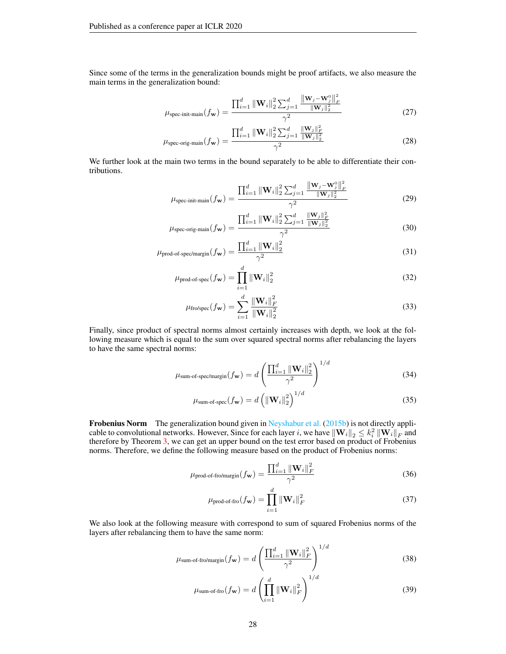Since some of the terms in the generalization bounds might be proof artifacts, we also measure the main terms in the generalization bound:

$$
\mu_{\text{spec-init-min}}(f_{\mathbf{w}}) = \frac{\prod_{i=1}^{d} \|\mathbf{W}_{i}\|_{2}^{2} \sum_{j=1}^{d} \frac{\|\mathbf{w}_{j} - \mathbf{w}_{j}^{\text{o}}\|_{F}^{2}}{\|\mathbf{w}_{j}\|_{2}^{2}}}{\gamma^{2}}
$$
(27)

$$
\mu_{\text{spec-orig-man}}(f_{\mathbf{w}}) = \frac{\prod_{i=1}^{d} \|\mathbf{W}_{i}\|_{2}^{2} \sum_{j=1}^{d} \frac{\|\mathbf{W}_{j}\|_{F}^{2}}{\|\mathbf{W}_{j}\|_{2}^{2}}}{\gamma^{2}}
$$
(28)

We further look at the main two terms in the bound separately to be able to differentiate their contributions.

<span id="page-27-0"></span>
$$
\mu_{\text{spec-init-min}}(f_{\mathbf{w}}) = \frac{\prod_{i=1}^{d} ||\mathbf{W}_{i}||_{2}^{2} \sum_{j=1}^{d} \frac{||\mathbf{w}_{j} - \mathbf{w}_{j}^{0}||_{F}^{2}}{||\mathbf{w}_{j}||_{2}^{2}}}{\gamma^{2}}
$$
(29)

$$
\mu_{\text{spec-orig-man}}(f_{\mathbf{w}}) = \frac{\prod_{i=1}^{d} ||\mathbf{W}_{i}||_{2}^{2} \sum_{j=1}^{d} \frac{||\mathbf{W}_{j}||_{F}^{2}}{||\mathbf{W}_{j}||_{2}^{2}}}{\gamma^{2}}
$$
(30)

$$
\mu_{\text{prod-of-spec/margin}}(f_{\mathbf{w}}) = \frac{\prod_{i=1}^{d} ||\mathbf{W}_{i}||_2^2}{\gamma^2}
$$
\n(31)

$$
\mu_{\text{prod-of-spec}}(f_{\mathbf{w}}) = \prod_{i=1}^{d} \|\mathbf{W}_{i}\|_{2}^{2}
$$
\n(32)

<span id="page-27-3"></span><span id="page-27-2"></span><span id="page-27-1"></span>
$$
\mu_{\text{fro/spec}}(f_{\mathbf{w}}) = \sum_{i=1}^{d} \frac{\|\mathbf{W}_{i}\|_{F}^{2}}{\|\mathbf{W}_{i}\|_{2}^{2}}
$$
(33)

Finally, since product of spectral norms almost certainly increases with depth, we look at the following measure which is equal to the sum over squared spectral norms after rebalancing the layers to have the same spectral norms:

$$
\mu_{\text{sum-of-spec/margin}}(f_{\mathbf{w}}) = d \left( \frac{\prod_{i=1}^{d} \|\mathbf{W}_{i}\|_{2}^{2}}{\gamma^{2}} \right)^{1/d}
$$
(34)

<span id="page-27-5"></span><span id="page-27-4"></span>
$$
\mu_{\text{sum-of-spec}}(f_{\mathbf{w}}) = d \left( \left\| \mathbf{W}_i \right\|_2^2 \right)^{1/d} \tag{35}
$$

Frobenius Norm The generalization bound given in [Neyshabur et al.](#page-11-1) [\(2015b\)](#page-11-1) is not directly applicable to convolutional networks. However, Since for each layer  $i$ , we have  $\left\| \mathbf{W}_i \right\|_2 \leq k_i^2 \left\| \mathbf{W}_i \right\|_F$  and therefore by Theorem [3,](#page-26-5) we can get an upper bound on the test error based on product of Frobenius norms. Therefore, we define the following measure based on the product of Frobenius norms:

$$
\mu_{\text{prod-of-fro/margin}}(f_{\mathbf{w}}) = \frac{\prod_{i=1}^{d} \|\mathbf{W}_{i}\|_{F}^{2}}{\gamma^{2}}
$$
(36)

<span id="page-27-9"></span><span id="page-27-7"></span><span id="page-27-6"></span>
$$
\mu_{\text{prod-of-fro}}(f_{\mathbf{w}}) = \prod_{i=1}^{d} \|\mathbf{W}_{i}\|_{F}^{2}
$$
\n(37)

We also look at the following measure with correspond to sum of squared Frobenius norms of the layers after rebalancing them to have the same norm:

$$
\mu_{\text{sum-of-fro/margin}}(f_{\mathbf{w}}) = d \left( \frac{\prod_{i=1}^{d} \|\mathbf{W}_{i}\|_{F}^{2}}{\gamma^{2}} \right)^{1/d}
$$
(38)

<span id="page-27-8"></span>
$$
\mu_{\text{sum-of-fro}}(f_{\mathbf{w}}) = d \left( \prod_{i=1}^{d} \|\mathbf{W}_{i}\|_{F}^{2} \right)^{1/d}
$$
(39)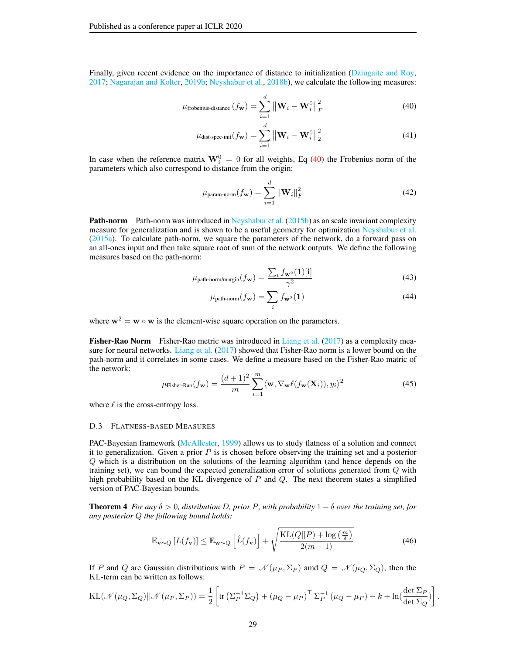Finally, given recent evidence on the importance of distance to initialization [\(Dziugaite and Roy,](#page-10-3) [2017;](#page-10-3) [Nagarajan and Kolter,](#page-11-10) [2019b;](#page-11-10) [Neyshabur et al.,](#page-11-19) [2018b\)](#page-11-19), we calculate the following measures:

$$
\mu_{\text{frobenius-distance}}\left(f_{\mathbf{w}}\right) = \sum_{i=1}^{d} \left\| \mathbf{W}_{i} - \mathbf{W}_{i}^{0} \right\|_{F}^{2}
$$
\n(40)

<span id="page-28-0"></span>
$$
\mu_{\text{dist-spec-init}}(f_{\mathbf{w}}) = \sum_{i=1}^{d} \left\| \mathbf{W}_i - \mathbf{W}_i^0 \right\|_2^2
$$
\n(41)

In case when the reference matrix  $W_i^0 = 0$  for all weights, Eq [\(40\)](#page-28-0) the Frobenius norm of the parameters which also correspond to distance from the origin:

<span id="page-28-5"></span><span id="page-28-1"></span>
$$
\mu_{\text{param-norm}}(f_{\mathbf{w}}) = \sum_{i=1}^{d} \|\mathbf{W}_{i}\|_{F}^{2}
$$
\n(42)

**Path-norm** Path-norm was introduced in [Neyshabur et al.](#page-11-1) [\(2015b\)](#page-11-1) as an scale invariant complexity measure for generalization and is shown to be a useful geometry for optimization [Neyshabur et al.](#page-11-11) [\(2015a\)](#page-11-11). To calculate path-norm, we square the parameters of the network, do a forward pass on an all-ones input and then take square root of sum of the network outputs. We define the following measures based on the path-norm:

$$
\mu_{\text{path-norm/margin}}(f_{\mathbf{w}}) = \frac{\sum_{i} f_{\mathbf{w}^2}(\mathbf{1})[\mathbf{i}]}{\gamma^2}
$$
(43)

<span id="page-28-6"></span><span id="page-28-2"></span>
$$
\mu_{\text{path-norm}}(f_{\mathbf{w}}) = \sum_{i} f_{\mathbf{w}^2}(\mathbf{1}) \tag{44}
$$

where  $w^2 = w \circ w$  is the element-wise square operation on the parameters.

Fisher-Rao Norm Fisher-Rao metric was introduced in [Liang et al.](#page-11-5) [\(2017\)](#page-11-5) as a complexity mea-sure for neural networks. [Liang et al.](#page-11-5) [\(2017\)](#page-11-5) showed that Fisher-Rao norm is a lower bound on the path-norm and it correlates in some cases. We define a measure based on the Fisher-Rao matric of the network:

<span id="page-28-3"></span>
$$
\mu_{\text{Fisher-Rao}}(f_{\mathbf{w}}) = \frac{(d+1)^2}{m} \sum_{i=1}^{m} \langle \mathbf{w}, \nabla_{\mathbf{w}} \ell(f_{\mathbf{w}}(\mathbf{X}_i)), y_i \rangle^2 \tag{45}
$$

where  $\ell$  is the cross-entropy loss.

### D.3 FLATNESS-BASED MEASURES

PAC-Bayesian framework [\(McAllester,](#page-11-9) [1999\)](#page-11-9) allows us to study flatness of a solution and connect it to generalization. Given a prior  $P$  is is chosen before observing the training set and a posterior Q which is a distribution on the solutions of the learning algorithm (and hence depends on the training set), we can bound the expected generalization error of solutions generated from Q with high probability based on the KL divergence of  $P$  and  $Q$ . The next theorem states a simplified version of PAC-Bayesian bounds.

**Theorem 4** *For any*  $\delta > 0$ *, distribution* D*, prior* P*, with probability*  $1 - \delta$  *over the training set, for any posterior* Q *the following bound holds:*

<span id="page-28-4"></span>
$$
\mathbb{E}_{\mathbf{v}\sim Q}\left[L(f_{\mathbf{v}})\right] \leq \mathbb{E}_{\mathbf{w}\sim Q}\left[\hat{L}(f_{\mathbf{v}})\right] + \sqrt{\frac{\text{KL}(Q||P) + \log\left(\frac{m}{\delta}\right)}{2(m-1)}}\tag{46}
$$

.

If P and Q are Gaussian distributions with  $P = \mathcal{N}(\mu_P, \Sigma_P)$  amd  $Q = \mathcal{N}(\mu_Q, \Sigma_Q)$ , then the KL-term can be written as follows:

$$
KL(\mathcal{N}(\mu_Q, \Sigma_Q)||\mathcal{N}(\mu_P, \Sigma_P)) = \frac{1}{2} \left[ \text{tr} \left( \Sigma_P^{-1} \Sigma_Q \right) + (\mu_Q - \mu_P)^{\top} \Sigma_P^{-1} (\mu_Q - \mu_P) - k + \ln(\frac{\det \Sigma_P}{\det \Sigma_Q}) \right]
$$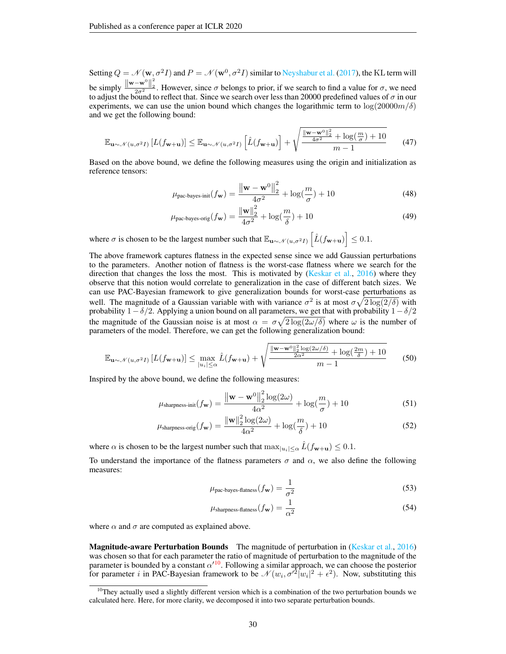Setting  $Q = \mathcal{N}(w, \sigma^2 I)$  and  $P = \mathcal{N}(w^0, \sigma^2 I)$  similar to [Neyshabur et al.](#page-11-6) [\(2017\)](#page-11-6), the KL term will be simply  $\frac{\|\mathbf{w}-\mathbf{w}^0\|^2_2}{2\sigma^2}$ . However, since  $\sigma$  belongs to prior, if we search to find a value for  $\sigma$ , we need to adjust the bound to reflect that. Since we search over less than 20000 predefined values of  $\sigma$  in our experiments, we can use the union bound which changes the logarithmic term to  $\log(20000m/\delta)$ and we get the following bound:

<span id="page-29-0"></span>
$$
\mathbb{E}_{\mathbf{u}\sim\mathcal{N}(u,\sigma^2 I)}\left[L(f_{\mathbf{w}+\mathbf{u}})\right] \leq \mathbb{E}_{\mathbf{u}\sim\mathcal{N}(u,\sigma^2 I)}\left[\hat{L}(f_{\mathbf{w}+\mathbf{u}})\right] + \sqrt{\frac{\|\mathbf{w}-\mathbf{w}^0\|_2^2}{4\sigma^2} + \log(\frac{m}{\sigma}) + 10}{m-1}
$$
(47)

Based on the above bound, we define the following measures using the origin and initialization as reference tensors:

<span id="page-29-5"></span>
$$
\mu_{\text{pac-bayes-init}}(f_{\mathbf{w}}) = \frac{\left\|\mathbf{w} - \mathbf{w}^0\right\|_2^2}{4\sigma^2} + \log(\frac{m}{\sigma}) + 10\tag{48}
$$

<span id="page-29-3"></span>
$$
\mu_{\text{pac-bayes-orig}}(f_{\mathbf{w}}) = \frac{\|\mathbf{w}\|_2^2}{4\sigma^2} + \log(\frac{m}{\delta}) + 10\tag{49}
$$

where  $\sigma$  is chosen to be the largest number such that  $\mathbb{E}_{\mathbf{u} \sim \mathcal{N}(u, \sigma^2 I)} \left[ \hat{L}(f_{\mathbf{w}+\mathbf{u}}) \right] \leq 0.1$ .

The above framework captures flatness in the expected sense since we add Gaussian perturbations to the parameters. Another notion of flatness is the worst-case flatness where we search for the direction that changes the loss the most. This is motivated by [\(Keskar et al.,](#page-10-4) [2016\)](#page-10-4) where they observe that this notion would correlate to generalization in the case of different batch sizes. We can use PAC-Bayesian framework to give generalization bounds for worst-case perturbations as well. The magnitude of a Gaussian variable with with variance  $\sigma^2$  is at most  $\sigma \sqrt{2 \log(2/\delta)}$  with probability  $1-\delta/2$ . Applying a union bound on all parameters, we get that with probability  $1-\delta/2$ the magnitude of the Gaussian noise is at most  $\alpha = \sigma \sqrt{2 \log(2\omega/\delta)}$  where  $\omega$  is the number of parameters of the model. Therefore, we can get the following generalization bound:

<span id="page-29-1"></span>
$$
\mathbb{E}_{\mathbf{u}\sim\mathcal{N}(u,\sigma^2 I)}\left[L(f_{\mathbf{w}+\mathbf{u}})\right] \le \max_{|u_i|\le\alpha} \hat{L}(f_{\mathbf{w}+\mathbf{u}}) + \sqrt{\frac{\|\mathbf{w}-\mathbf{w}^0\|_2^2\log(2\omega/\delta)}{2\alpha^2} + \log\left(\frac{2m}{\delta}\right) + 10}{m-1}
$$
(50)

Inspired by the above bound, we define the following measures:

$$
\mu_{\text{sharpness-int}}(f_{\mathbf{w}}) = \frac{\left\|\mathbf{w} - \mathbf{w}^0\right\|_2^2 \log(2\omega)}{4\alpha^2} + \log(\frac{m}{\sigma}) + 10
$$
\n(51)

$$
\mu_{\text{sharpness-orig}}(f_{\mathbf{w}}) = \frac{\|\mathbf{w}\|_2^2 \log(2\omega)}{4\alpha^2} + \log(\frac{m}{\delta}) + 10
$$
\n(52)

where  $\alpha$  is chosen to be the largest number such that  $\max_{|u_i| \leq \alpha} L(f_{w+u}) \leq 0.1$ .

To understand the importance of the flatness parameters  $\sigma$  and  $\alpha$ , we also define the following measures:

<span id="page-29-6"></span><span id="page-29-4"></span><span id="page-29-2"></span>
$$
\mu_{\text{pac-bayes-flatness}}(f_{\mathbf{w}}) = \frac{1}{\sigma^2} \tag{53}
$$

<span id="page-29-7"></span>
$$
\mu_{\text{sharpness-flatness}}(f_{\mathbf{w}}) = \frac{1}{\alpha^2} \tag{54}
$$

where  $\alpha$  and  $\sigma$  are computed as explained above.

Magnitude-aware Perturbation Bounds The magnitude of perturbation in [\(Keskar et al.,](#page-10-4) [2016\)](#page-10-4) was chosen so that for each parameter the ratio of magnitude of perturbation to the magnitude of the parameter is bounded by a constant  $\alpha'^{10}$  $\alpha'^{10}$  $\alpha'^{10}$ . Following a similar approach, we can choose the posterior for parameter i in PAC-Bayesian framework to be  $\mathcal{N}(w_i, \sigma'^2 |w_i|^2 + \epsilon^2)$ . Now, substituting this

<span id="page-29-8"></span> $10$ They actually used a slightly different version which is a combination of the two perturbation bounds we calculated here. Here, for more clarity, we decomposed it into two separate perturbation bounds.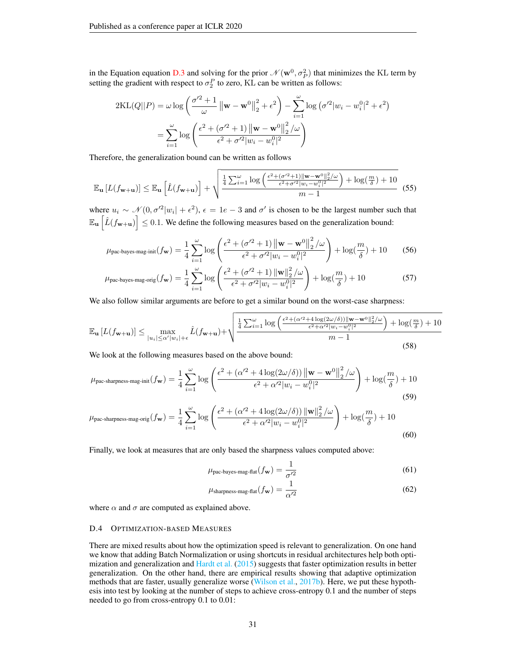in the Equation equation [D.3](#page-28-4) and solving for the prior  $\mathcal{N}(\mathbf{w}^0, \sigma_P^2)$  that minimizes the KL term by setting the gradient with respect to  $\sigma_2^P$  to zero, KL can be written as follows:

$$
2KL(Q||P) = \omega \log \left( \frac{\sigma'^2 + 1}{\omega} ||\mathbf{w} - \mathbf{w}^0||_2^2 + \epsilon^2 \right) - \sum_{i=1}^{\omega} \log (\sigma'^2 |w_i - w_i^0|^2 + \epsilon^2)
$$

$$
= \sum_{i=1}^{\omega} \log \left( \frac{\epsilon^2 + (\sigma'^2 + 1) ||\mathbf{w} - \mathbf{w}^0||_2^2}{\epsilon^2 + \sigma'^2 |w_i - w_i^0|^2} \right)
$$

Therefore, the generalization bound can be written as follows

<span id="page-30-2"></span>
$$
\mathbb{E}_{\mathbf{u}}\left[L(f_{\mathbf{w}+\mathbf{u}})\right] \leq \mathbb{E}_{\mathbf{u}}\left[\hat{L}(f_{\mathbf{w}+\mathbf{u}})\right] + \sqrt{\frac{\frac{1}{4}\sum_{i=1}^{\omega}\log\left(\frac{\epsilon^2 + (\sigma'^2 + 1)\|\mathbf{w} - \mathbf{w}^0\|_2^2/\omega}{\epsilon^2 + \sigma'^2\|w_i - w_i^0\|^2}\right) + \log(\frac{m}{\delta}) + 10}}{m - 1} \quad (55)
$$

where  $u_i \sim \mathcal{N}(0, \sigma'^2 |w_i| + \epsilon^2)$ ,  $\epsilon = 1e - 3$  and  $\sigma'$  is chosen to be the largest number such that  $\mathbb{E}_{\mathbf{u}}\left[\hat{L}(f_{\mathbf{w}+\mathbf{u}})\right] \leq 0.1$ . We define the following measures based on the generalization bound:

$$
\mu_{\text{pac-bayes-mag-init}}(f_{\mathbf{w}}) = \frac{1}{4} \sum_{i=1}^{\omega} \log \left( \frac{\epsilon^2 + (\sigma'^2 + 1) \left\| \mathbf{w} - \mathbf{w}^0 \right\|_2^2 / \omega}{\epsilon^2 + \sigma'^2 |w_i - w_i^0|^2} \right) + \log(\frac{m}{\delta}) + 10 \tag{56}
$$

$$
\mu_{\text{pac-bayes-mag-orig}}(f_{\mathbf{w}}) = \frac{1}{4} \sum_{i=1}^{\omega} \log \left( \frac{\epsilon^2 + (\sigma'^2 + 1) \|\mathbf{w}\|_2^2 / \omega}{\epsilon^2 + \sigma'^2 |w_i - w_i^0|^2} \right) + \log(\frac{m}{\delta}) + 10 \tag{57}
$$

We also follow similar arguments are before to get a similar bound on the worst-case sharpness:

<span id="page-30-3"></span>
$$
\mathbb{E}_{\mathbf{u}}\left[L(f_{\mathbf{w}+\mathbf{u}})\right] \le \max_{|u_i| \le \alpha'|w_i| + \epsilon} \hat{L}(f_{\mathbf{w}+\mathbf{u}}) + \sqrt{\frac{\frac{1}{4}\sum_{i=1}^{\omega} \log\left(\frac{\epsilon^2 + (\alpha'^2 + 4\log(2\omega/\delta))\|\mathbf{w} - \mathbf{w}^0\|_2^2/\omega}{\epsilon^2 + \alpha'^2 |w_i - w_i^0|^2}\right) + \log(\frac{m}{\delta}) + 10}{m - 1}}
$$
(58)

We look at the following measures based on the above bound:

$$
\mu_{\text{pac-sharpness-mag-int}}(f_{\mathbf{w}}) = \frac{1}{4} \sum_{i=1}^{\omega} \log \left( \frac{\epsilon^2 + (\alpha'^2 + 4 \log(2\omega/\delta)) \left\| \mathbf{w} - \mathbf{w}^0 \right\|_2^2 / \omega}{\epsilon^2 + \alpha'^2 |w_i - w_i^0|^2} \right) + \log(\frac{m}{\delta}) + 10
$$
\n(59)

$$
\mu_{\text{pac-sharpness-mag-orig}}(f_{\mathbf{w}}) = \frac{1}{4} \sum_{i=1}^{\omega} \log \left( \frac{\epsilon^2 + (\alpha'^2 + 4 \log(2\omega/\delta)) \|\mathbf{w}\|_2^2 / \omega}{\epsilon^2 + \alpha'^2 |w_i - w_i^0|^2} \right) + \log(\frac{m}{\delta}) + 10
$$
\n(60)

Finally, we look at measures that are only based the sharpness values computed above:

<span id="page-30-7"></span><span id="page-30-6"></span><span id="page-30-5"></span><span id="page-30-4"></span><span id="page-30-1"></span>
$$
\mu_{\text{pac-bayes-mag-flat}}(f_{\mathbf{w}}) = \frac{1}{\sigma'^2}
$$
\n(61)

<span id="page-30-0"></span>
$$
\mu_{\text{sharpness-mag-flat}}(f_{\mathbf{w}}) = \frac{1}{\alpha'^2}
$$
\n(62)

where  $\alpha$  and  $\sigma$  are computed as explained above.

### D.4 OPTIMIZATION-BASED MEASURES

There are mixed results about how the optimization speed is relevant to generalization. On one hand we know that adding Batch Normalization or using shortcuts in residual architectures help both optimization and generalization and [Hardt et al.](#page-10-5) [\(2015\)](#page-10-5) suggests that faster optimization results in better generalization. On the other hand, there are empirical results showing that adaptive optimization methods that are faster, usually generalize worse [\(Wilson et al.,](#page-12-9) [2017b\)](#page-12-9). Here, we put these hypothesis into test by looking at the number of steps to achieve cross-entropy 0.1 and the number of steps needed to go from cross-entropy 0.1 to 0.01: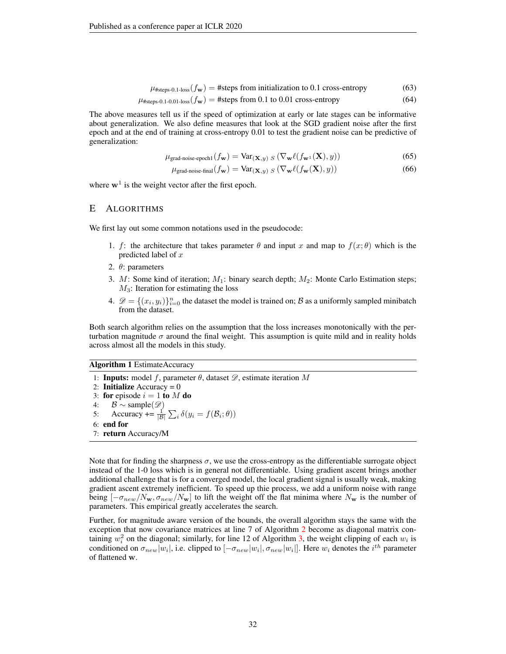$$
\mu_{\text{#steps-0.1-loss}}(f_{\mathbf{w}}) = \text{#steps from initialization to 0.1 cross-entropy} \tag{63}
$$

$$
\mu_{\text{#steps-0.1-0.01-loss}}(f_{\mathbf{w}}) = \text{#steps from 0.1 to 0.01 cross-entropy} \tag{64}
$$

The above measures tell us if the speed of optimization at early or late stages can be informative about generalization. We also define measures that look at the SGD gradient noise after the first epoch and at the end of training at cross-entropy 0.01 to test the gradient noise can be predictive of generalization:

$$
\mu_{\text{grad-noise-epoch1}}(f_{\mathbf{w}}) = \text{Var}_{(\mathbf{X}, y) \ S} \left( \nabla_{\mathbf{w}} \ell(f_{\mathbf{w}^1}(\mathbf{X}), y) \right) \tag{65}
$$

<span id="page-31-4"></span><span id="page-31-3"></span><span id="page-31-2"></span><span id="page-31-1"></span>
$$
\mu_{\text{grad-noise-final}}(f_{\mathbf{w}}) = \text{Var}_{(\mathbf{X}, y) \ S} \left( \nabla_{\mathbf{w}} \ell(f_{\mathbf{w}}(\mathbf{X}), y) \right) \tag{66}
$$

where  $w<sup>1</sup>$  is the weight vector after the first epoch.

# <span id="page-31-0"></span>E ALGORITHMS

We first lay out some common notations used in the pseudocode:

- 1. f: the architecture that takes parameter  $\theta$  and input x and map to  $f(x; \theta)$  which is the predicted label of x
- 2. θ: parameters
- 3. M: Some kind of iteration;  $M_1$ : binary search depth;  $M_2$ : Monte Carlo Estimation steps;  $M_3$ : Iteration for estimating the loss
- 4.  $\mathscr{D} = \{(x_i, y_i)\}_{i=0}^n$  the dataset the model is trained on;  $\mathscr{B}$  as a uniformly sampled minibatch from the dataset.

Both search algorithm relies on the assumption that the loss increases monotonically with the perturbation magnitude  $\sigma$  around the final weight. This assumption is quite mild and in reality holds across almost all the models in this study.

### Algorithm 1 EstimateAccuracy

1: Inputs: model f, parameter  $\theta$ , dataset  $\mathscr{D}$ , estimate iteration M 2: **Initialize** Accuracy =  $0$ 3: for episode  $i = 1$  to M do 4:  $\mathcal{B} \sim$  sample( $\mathscr{D}$ ) 5: Accuracy +=  $\frac{1}{|\mathcal{B}|} \sum_i \delta(y_i = f(\mathcal{B}_i; \theta))$ 6: end for 7: return Accuracy/M

Note that for finding the sharpness  $\sigma$ , we use the cross-entropy as the differentiable surrogate object instead of the 1-0 loss which is in general not differentiable. Using gradient ascent brings another additional challenge that is for a converged model, the local gradient signal is usually weak, making gradient ascent extremely inefficient. To speed up thie process, we add a uniform noise with range being  $[-\sigma_{new}/N_{\bf w}, \sigma_{new}/N_{\bf w}]$  to lift the weight off the flat minima where  $N_{\bf w}$  is the number of parameters. This empirical greatly accelerates the search.

Further, for magnitude aware version of the bounds, the overall algorithm stays the same with the exception that now covariance matrices at line 7 of Algorithm [2](#page-32-0) become as diagonal matrix containing  $w_i^2$  on the diagonal; similarly, for line 12 of Algorithm [3,](#page-32-1) the weight clipping of each  $w_i$  is conditioned on  $\sigma_{new}|w_i|$ , i.e. clipped to  $[-\sigma_{new}|w_i|, \sigma_{new}|w_i|]$ . Here  $w_i$  denotes the  $i^{th}$  parameter of flattened w.